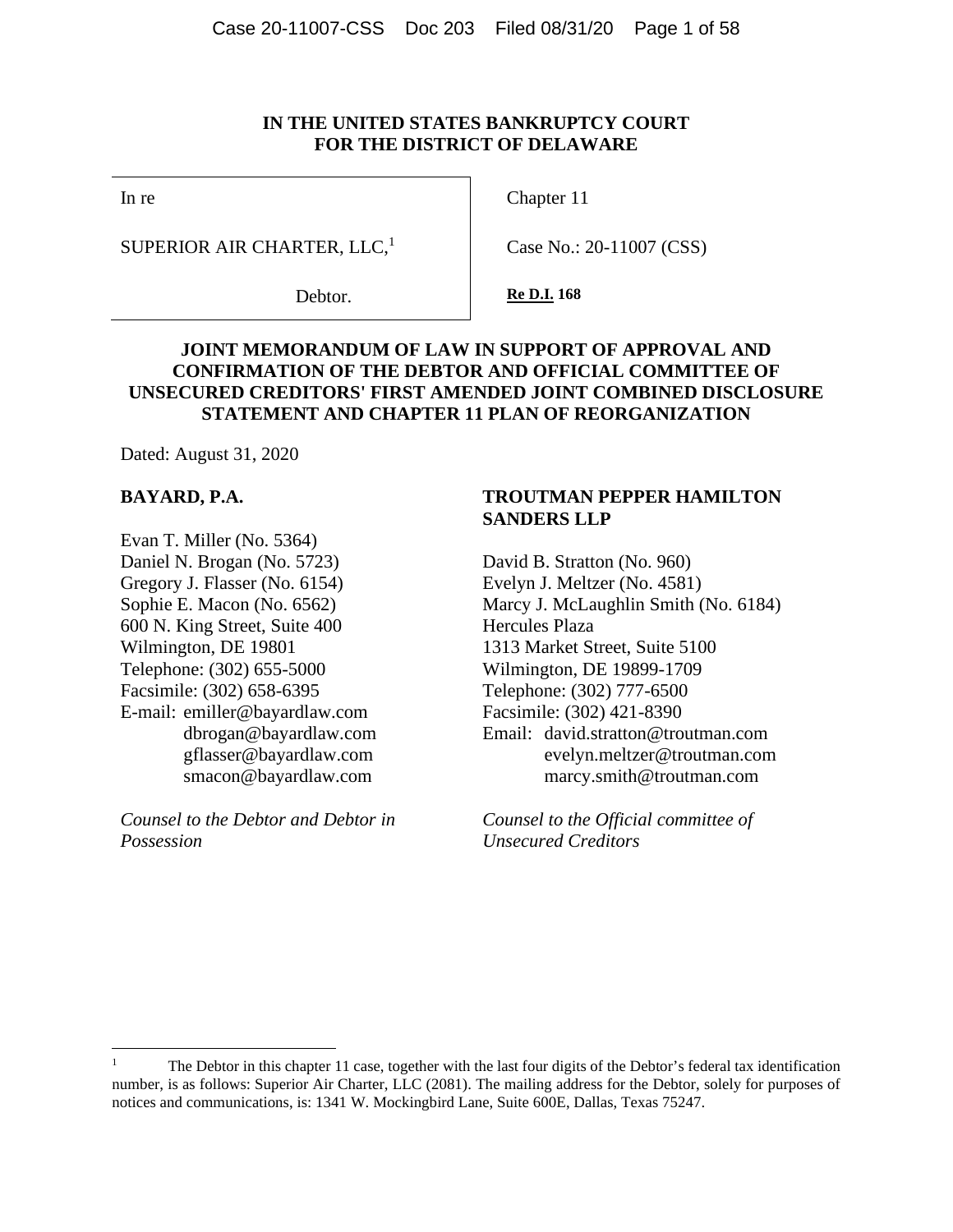### **IN THE UNITED STATES BANKRUPTCY COURT FOR THE DISTRICT OF DELAWARE**

In re

Chapter 11

SUPERIOR AIR CHARTER, LLC, $<sup>1</sup>$ </sup>

Debtor.

Case No.: 20-11007 (CSS)

**Re D.I. 168** 

# **JOINT MEMORANDUM OF LAW IN SUPPORT OF APPROVAL AND CONFIRMATION OF THE DEBTOR AND OFFICIAL COMMITTEE OF UNSECURED CREDITORS' FIRST AMENDED JOINT COMBINED DISCLOSURE STATEMENT AND CHAPTER 11 PLAN OF REORGANIZATION**

Dated: August 31, 2020

#### **BAYARD, P.A.**

Evan T. Miller (No. 5364) Daniel N. Brogan (No. 5723) Gregory J. Flasser (No. 6154) Sophie E. Macon (No. 6562) 600 N. King Street, Suite 400 Wilmington, DE 19801 Telephone: (302) 655-5000 Facsimile: (302) 658-6395 E-mail: emiller@bayardlaw.com dbrogan@bayardlaw.com gflasser@bayardlaw.com smacon@bayardlaw.com

*Counsel to the Debtor and Debtor in Possession*

# **TROUTMAN PEPPER HAMILTON SANDERS LLP**

David B. Stratton (No. 960) Evelyn J. Meltzer (No. 4581) Marcy J. McLaughlin Smith (No. 6184) Hercules Plaza 1313 Market Street, Suite 5100 Wilmington, DE 19899-1709 Telephone: (302) 777-6500 Facsimile: (302) 421-8390 Email: david.stratton@troutman.com evelyn.meltzer@troutman.com marcy.smith@troutman.com

*Counsel to the Official committee of Unsecured Creditors*

<sup>1</sup> The Debtor in this chapter 11 case, together with the last four digits of the Debtor's federal tax identification number, is as follows: Superior Air Charter, LLC (2081). The mailing address for the Debtor, solely for purposes of notices and communications, is: 1341 W. Mockingbird Lane, Suite 600E, Dallas, Texas 75247.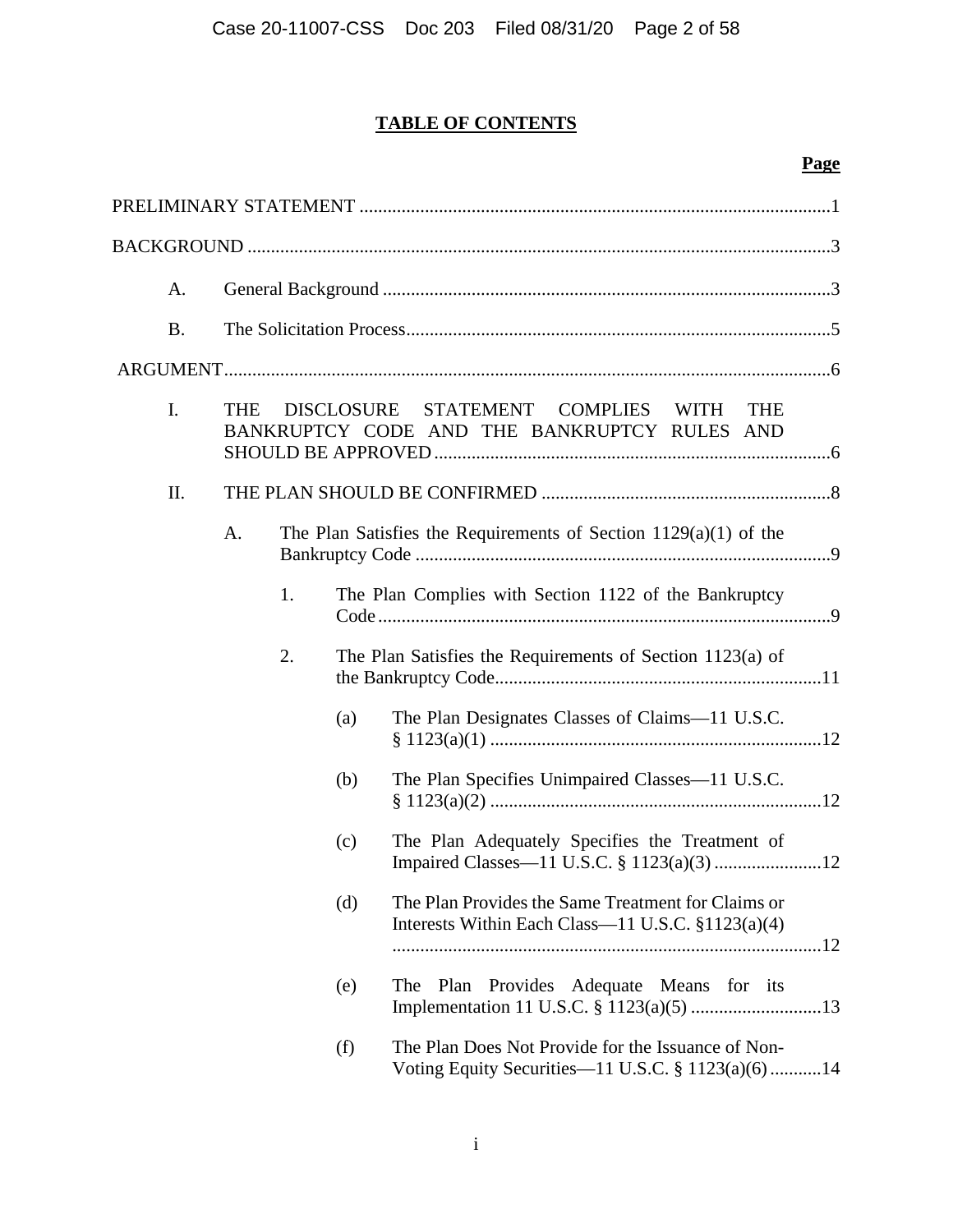# **TABLE OF CONTENTS**

# **Page**

| A.        |                                                                                                                          |    |     |                                                                                                         |
|-----------|--------------------------------------------------------------------------------------------------------------------------|----|-----|---------------------------------------------------------------------------------------------------------|
| <b>B.</b> |                                                                                                                          |    |     |                                                                                                         |
|           |                                                                                                                          |    |     |                                                                                                         |
| I.        | <b>DISCLOSURE</b><br>STATEMENT COMPLIES WITH<br><b>THE</b><br><b>THE</b><br>BANKRUPTCY CODE AND THE BANKRUPTCY RULES AND |    |     |                                                                                                         |
| II.       |                                                                                                                          |    |     |                                                                                                         |
|           | A.                                                                                                                       |    |     | The Plan Satisfies the Requirements of Section $1129(a)(1)$ of the                                      |
|           |                                                                                                                          | 1. |     | The Plan Complies with Section 1122 of the Bankruptcy                                                   |
|           |                                                                                                                          | 2. |     | The Plan Satisfies the Requirements of Section 1123(a) of                                               |
|           |                                                                                                                          |    | (a) | The Plan Designates Classes of Claims-11 U.S.C.                                                         |
|           |                                                                                                                          |    | (b) | The Plan Specifies Unimpaired Classes—11 U.S.C.                                                         |
|           |                                                                                                                          |    | (c) | The Plan Adequately Specifies the Treatment of                                                          |
|           |                                                                                                                          |    | (d) | The Plan Provides the Same Treatment for Claims or<br>Interests Within Each Class—11 U.S.C. §1123(a)(4) |
|           |                                                                                                                          |    | (e) | Plan<br>Provides Adequate Means for its<br>The                                                          |
|           |                                                                                                                          |    | (f) | The Plan Does Not Provide for the Issuance of Non-<br>Voting Equity Securities-11 U.S.C. § 1123(a)(6)14 |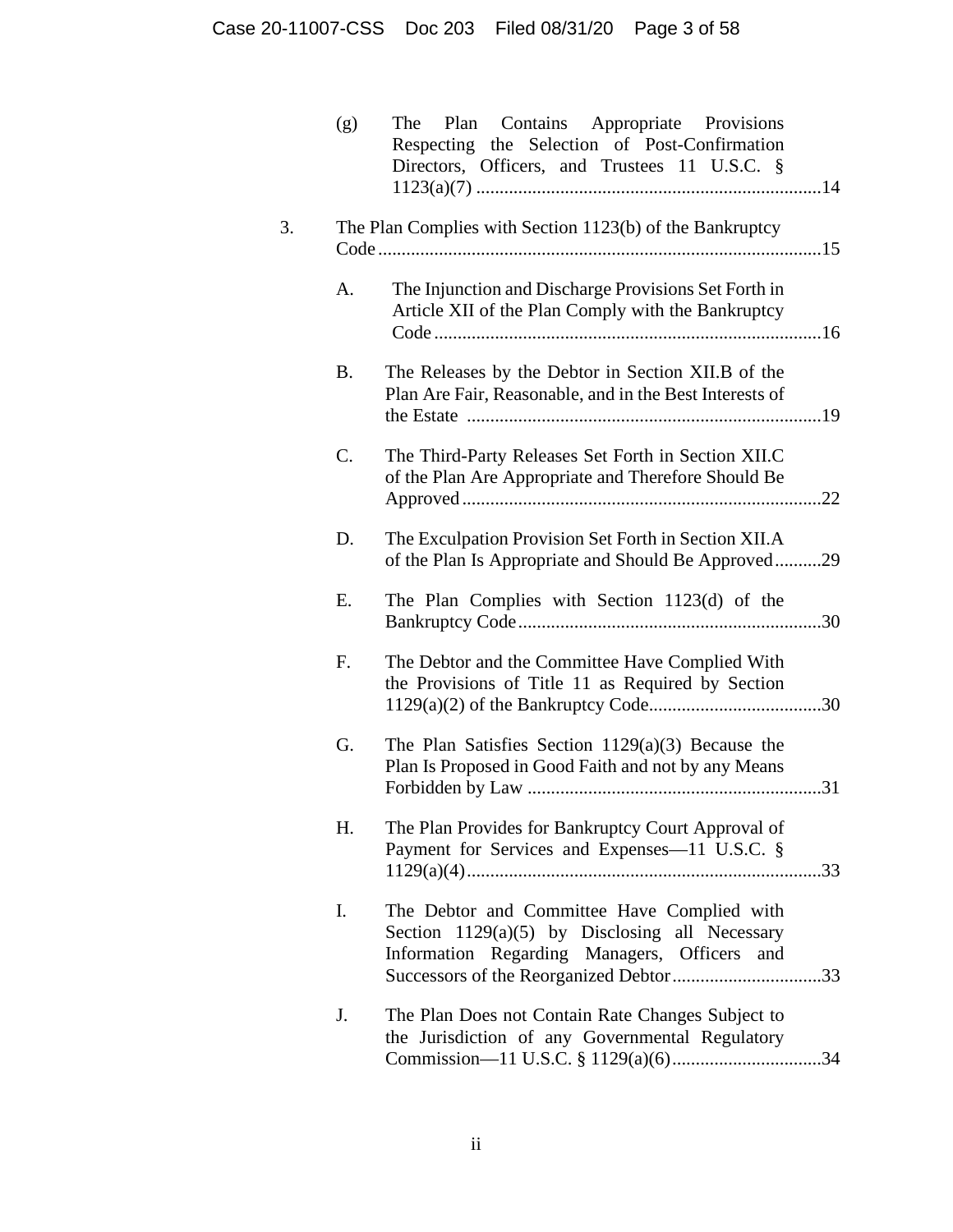| (g)       | Plan Contains Appropriate Provisions<br>The<br>Respecting the Selection of Post-Confirmation<br>Directors, Officers, and Trustees 11 U.S.C. §   |
|-----------|-------------------------------------------------------------------------------------------------------------------------------------------------|
|           | The Plan Complies with Section 1123(b) of the Bankruptcy                                                                                        |
| A.        | The Injunction and Discharge Provisions Set Forth in<br>Article XII of the Plan Comply with the Bankruptcy                                      |
| <b>B.</b> | The Releases by the Debtor in Section XII.B of the<br>Plan Are Fair, Reasonable, and in the Best Interests of                                   |
| C.        | The Third-Party Releases Set Forth in Section XII.C<br>of the Plan Are Appropriate and Therefore Should Be                                      |
| D.        | The Exculpation Provision Set Forth in Section XII.A<br>of the Plan Is Appropriate and Should Be Approved29                                     |
| Ε.        | The Plan Complies with Section 1123(d) of the                                                                                                   |
| F.        | The Debtor and the Committee Have Complied With<br>the Provisions of Title 11 as Required by Section                                            |
| G.        | The Plan Satisfies Section $1129(a)(3)$ Because the<br>Plan Is Proposed in Good Faith and not by any Means                                      |
| H.        | The Plan Provides for Bankruptcy Court Approval of<br>Payment for Services and Expenses-11 U.S.C. §                                             |
| I.        | The Debtor and Committee Have Complied with<br>Section $1129(a)(5)$ by Disclosing all Necessary<br>Information Regarding Managers, Officers and |
| J.        | The Plan Does not Contain Rate Changes Subject to<br>the Jurisdiction of any Governmental Regulatory                                            |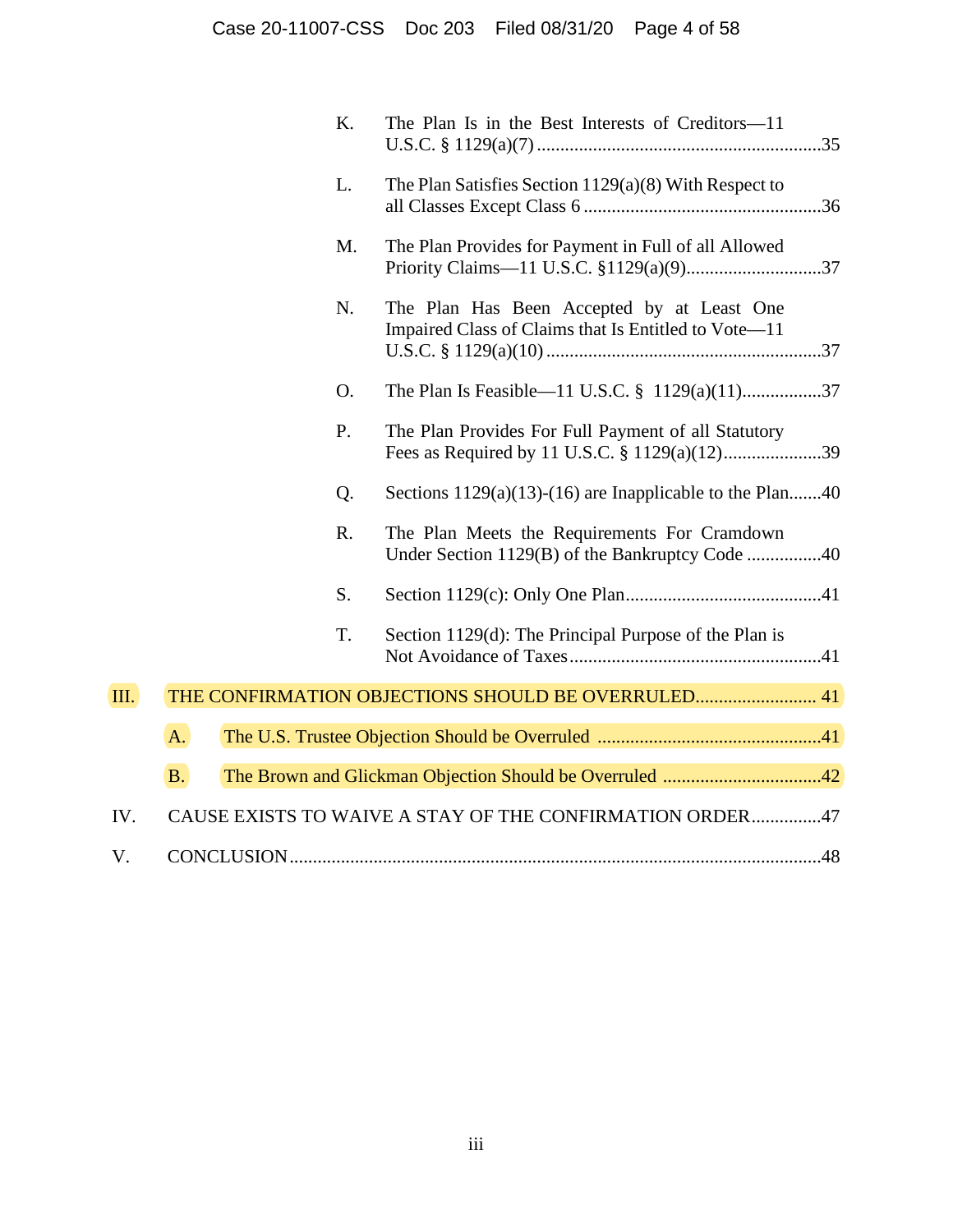|      |           | K. | The Plan Is in the Best Interests of Creditors—11                                                  |
|------|-----------|----|----------------------------------------------------------------------------------------------------|
|      |           | L. | The Plan Satisfies Section $1129(a)(8)$ With Respect to                                            |
|      |           | M. | The Plan Provides for Payment in Full of all Allowed                                               |
|      |           | N. | The Plan Has Been Accepted by at Least One<br>Impaired Class of Claims that Is Entitled to Vote-11 |
|      |           | O. | The Plan Is Feasible—11 U.S.C. $\frac{8}{9}$ 1129(a)(11)37                                         |
|      |           | P. | The Plan Provides For Full Payment of all Statutory                                                |
|      |           | Q. | Sections $1129(a)(13)-(16)$ are Inapplicable to the Plan40                                         |
|      |           | R. | The Plan Meets the Requirements For Cramdown                                                       |
|      |           | S. |                                                                                                    |
|      |           | T. | Section 1129(d): The Principal Purpose of the Plan is                                              |
| III. |           |    | THE CONFIRMATION OBJECTIONS SHOULD BE OVERRULED 41                                                 |
|      | A.        |    |                                                                                                    |
|      | <b>B.</b> |    |                                                                                                    |
| IV.  |           |    | CAUSE EXISTS TO WAIVE A STAY OF THE CONFIRMATION ORDER47                                           |
| V.   |           |    |                                                                                                    |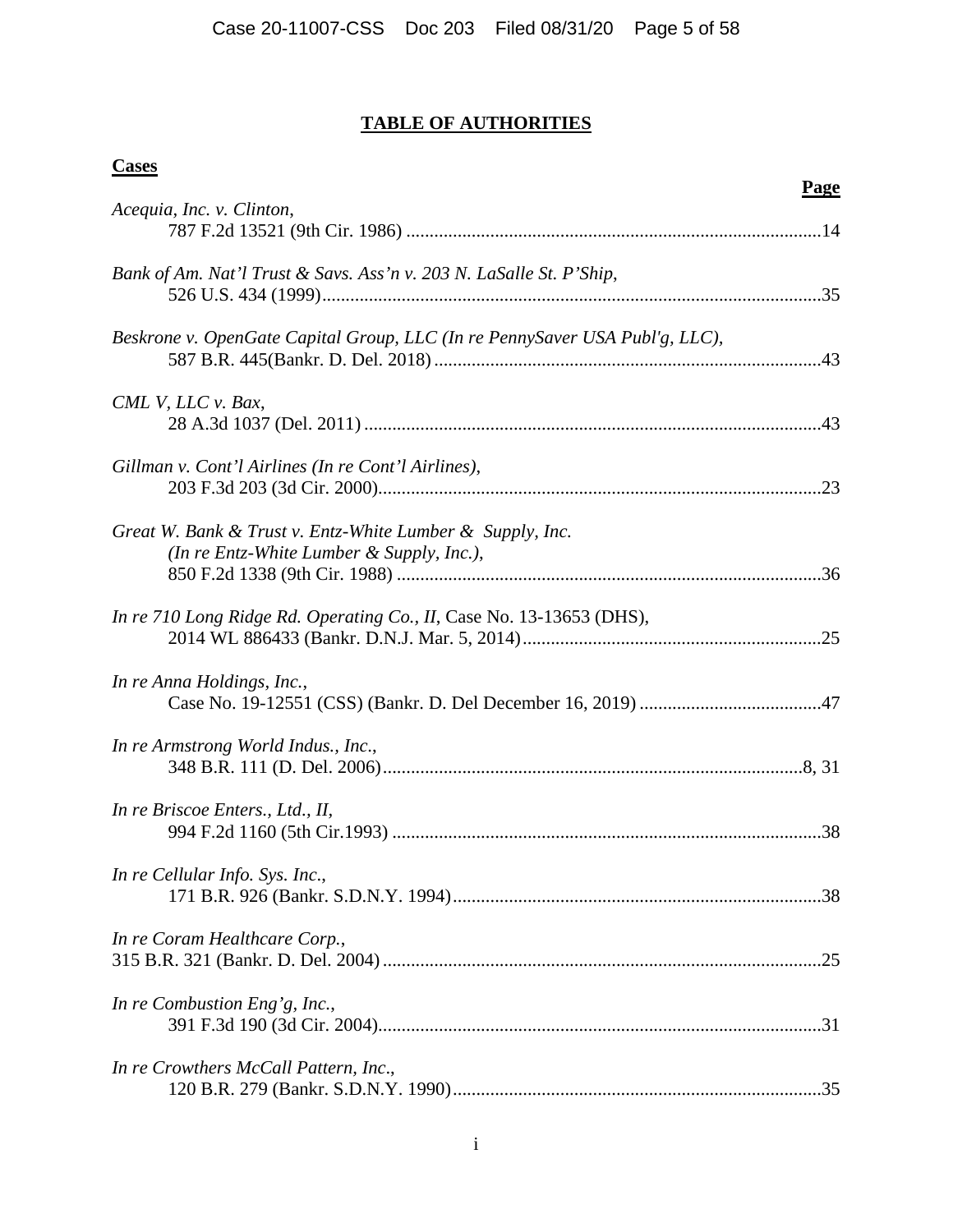# **TABLE OF AUTHORITIES**

| w |
|---|
|---|

*Acequia, Inc. v. Clinton*,

| Bank of Am. Nat'l Trust & Savs. Ass'n v. 203 N. LaSalle St. P'Ship,                                    |  |
|--------------------------------------------------------------------------------------------------------|--|
| Beskrone v. OpenGate Capital Group, LLC (In re PennySaver USA Publ'g, LLC),                            |  |
| CML V, LLC v. Bax,                                                                                     |  |
| Gillman v. Cont'l Airlines (In re Cont'l Airlines),                                                    |  |
| Great W. Bank & Trust v. Entz-White Lumber & Supply, Inc.<br>(In re Entz-White Lumber & Supply, Inc.), |  |
| In re 710 Long Ridge Rd. Operating Co., II, Case No. 13-13653 (DHS),                                   |  |
| In re Anna Holdings, Inc.,                                                                             |  |
| In re Armstrong World Indus., Inc.,                                                                    |  |
| In re Briscoe Enters., Ltd., II,                                                                       |  |
| In re Cellular Info. Sys. Inc.,                                                                        |  |
| In re Coram Healthcare Corp.,                                                                          |  |
| In re Combustion Eng'g, Inc.,                                                                          |  |
| In re Crowthers McCall Pattern, Inc.,                                                                  |  |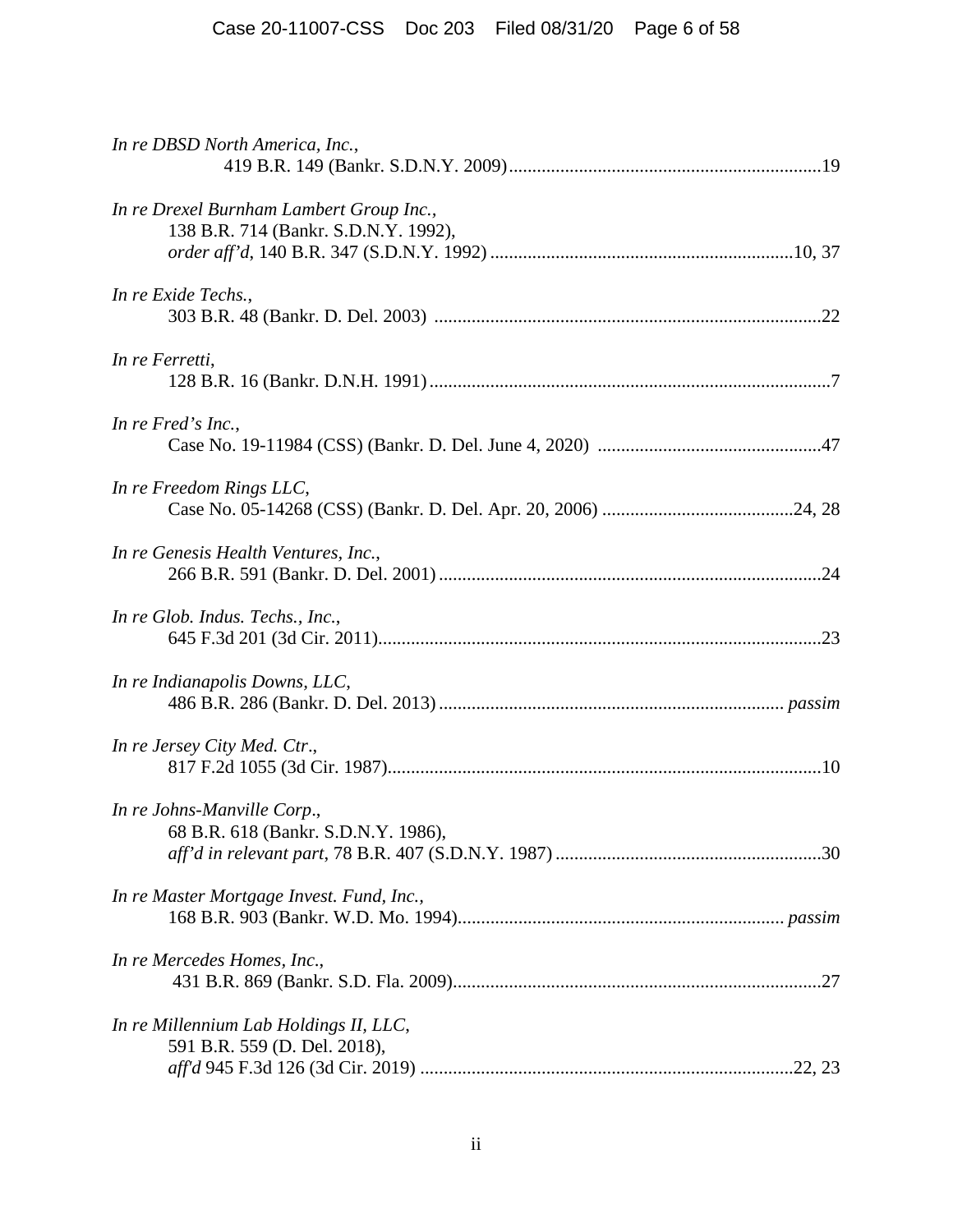| In re DBSD North America, Inc.,                                                  |
|----------------------------------------------------------------------------------|
| In re Drexel Burnham Lambert Group Inc.,<br>138 B.R. 714 (Bankr. S.D.N.Y. 1992), |
| In re Exide Techs.,                                                              |
| In re Ferretti,                                                                  |
| In re Fred's Inc.,                                                               |
| In re Freedom Rings LLC,                                                         |
| In re Genesis Health Ventures, Inc.,                                             |
| In re Glob. Indus. Techs., Inc.,                                                 |
| In re Indianapolis Downs, LLC,                                                   |
| In re Jersey City Med. Ctr.,                                                     |
| In re Johns-Manville Corp.,<br>68 B.R. 618 (Bankr. S.D.N.Y. 1986),               |
| In re Master Mortgage Invest. Fund, Inc.,                                        |
| In re Mercedes Homes, Inc.,                                                      |
| In re Millennium Lab Holdings II, LLC,<br>591 B.R. 559 (D. Del. 2018),           |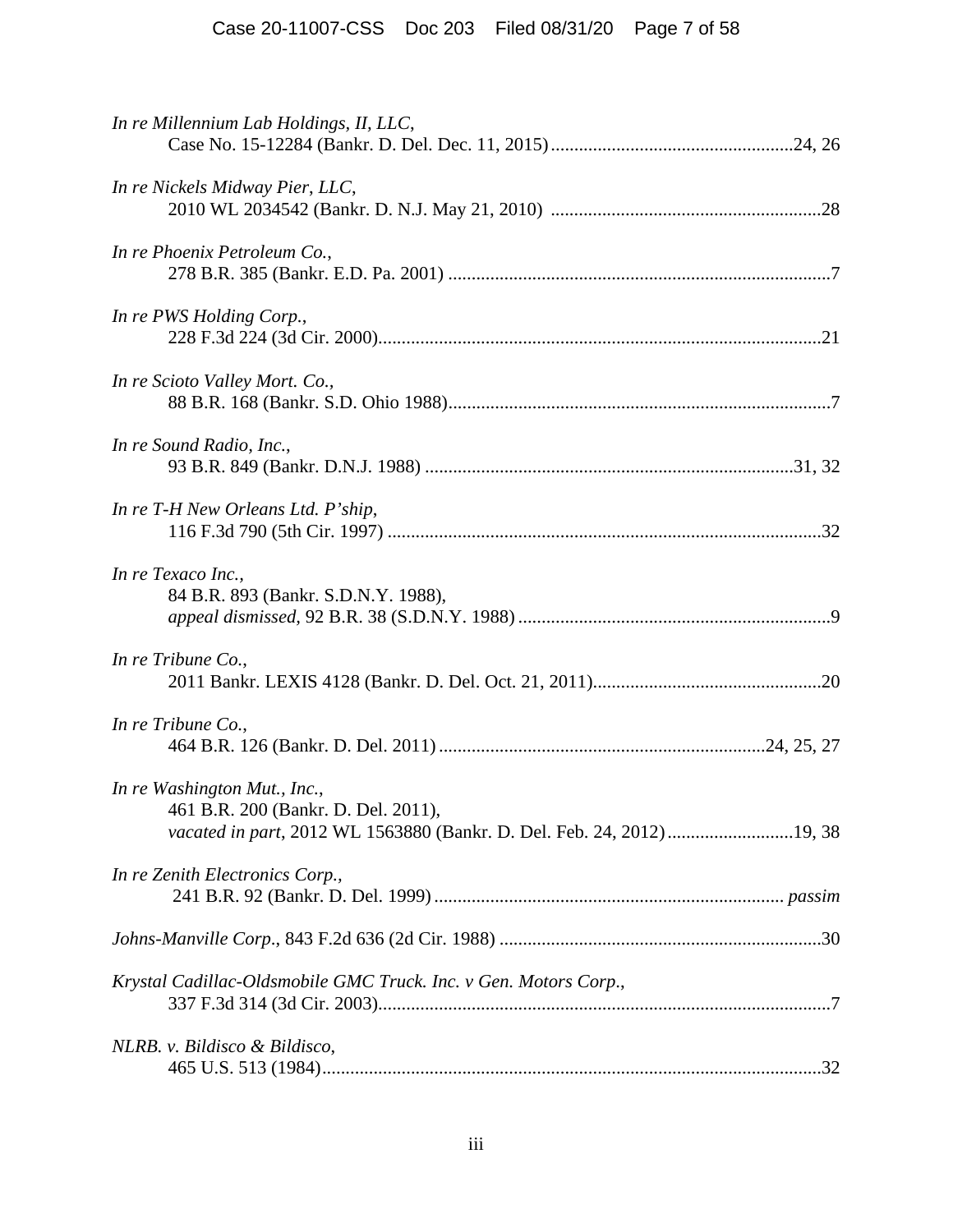| In re Millennium Lab Holdings, II, LLC,                             |
|---------------------------------------------------------------------|
| In re Nickels Midway Pier, LLC,                                     |
| In re Phoenix Petroleum Co.,                                        |
| In re PWS Holding Corp.,                                            |
| In re Scioto Valley Mort. Co.,                                      |
| In re Sound Radio, Inc.,                                            |
| In re T-H New Orleans Ltd. P'ship,                                  |
| In re Texaco Inc.,<br>84 B.R. 893 (Bankr. S.D.N.Y. 1988),           |
| In re Tribune Co.,                                                  |
| In re Tribune Co.,                                                  |
| In re Washington Mut., Inc.,<br>461 B.R. 200 (Bankr. D. Del. 2011), |
| In re Zenith Electronics Corp.,                                     |
|                                                                     |
| Krystal Cadillac-Oldsmobile GMC Truck. Inc. v Gen. Motors Corp.,    |
| NLRB. v. Bildisco & Bildisco,                                       |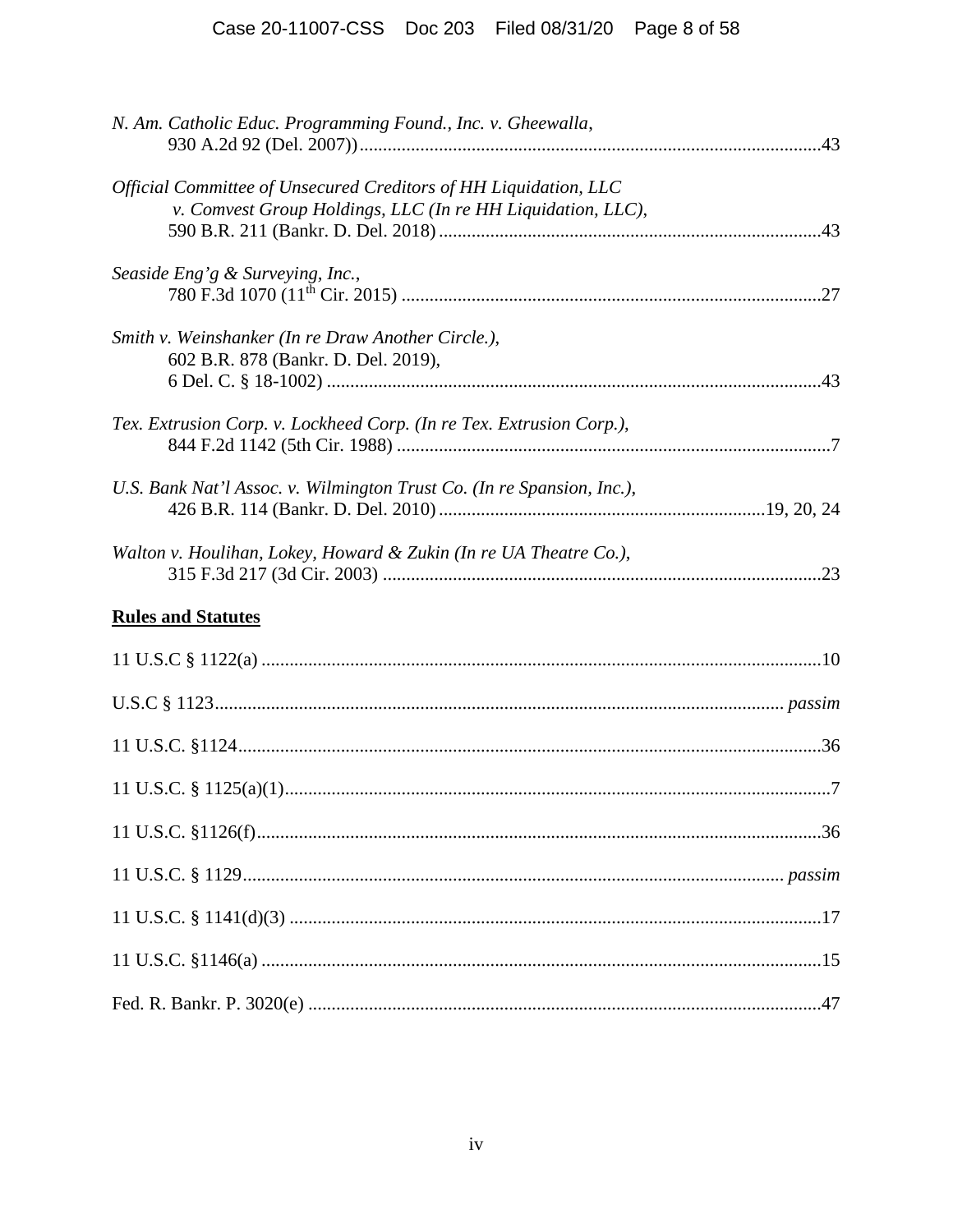| N. Am. Catholic Educ. Programming Found., Inc. v. Gheewalla,                                                                    |  |
|---------------------------------------------------------------------------------------------------------------------------------|--|
| Official Committee of Unsecured Creditors of HH Liquidation, LLC<br>v. Comvest Group Holdings, LLC (In re HH Liquidation, LLC), |  |
| Seaside Eng'g & Surveying, Inc.,                                                                                                |  |
| Smith v. Weinshanker (In re Draw Another Circle.),<br>602 B.R. 878 (Bankr. D. Del. 2019),                                       |  |
| Tex. Extrusion Corp. v. Lockheed Corp. (In re Tex. Extrusion Corp.),                                                            |  |
| U.S. Bank Nat'l Assoc. v. Wilmington Trust Co. (In re Spansion, Inc.),                                                          |  |
| Walton v. Houlihan, Lokey, Howard & Zukin (In re UA Theatre Co.),                                                               |  |
| <b>Rules and Statutes</b>                                                                                                       |  |
|                                                                                                                                 |  |
|                                                                                                                                 |  |
|                                                                                                                                 |  |
|                                                                                                                                 |  |
|                                                                                                                                 |  |
|                                                                                                                                 |  |
|                                                                                                                                 |  |
|                                                                                                                                 |  |
|                                                                                                                                 |  |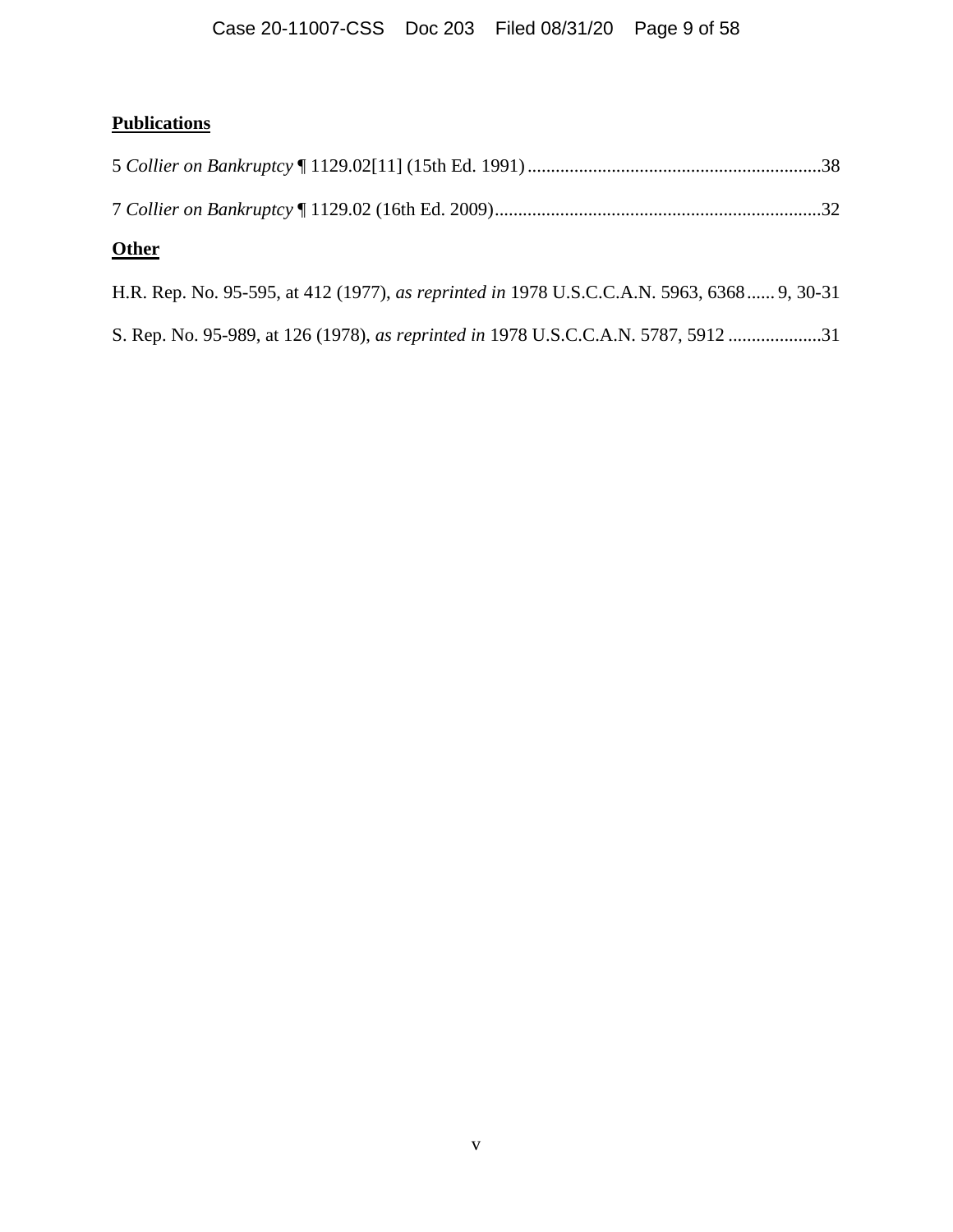# Case 20-11007-CSS Doc 203 Filed 08/31/20 Page 9 of 58

# **Publications**

| <b>Other</b> |  |
|--------------|--|

H.R. Rep. No. 95-595, at 412 (1977), *as reprinted in* 1978 U.S.C.C.A.N. 5963, 6368 ...... 9, 30-31

S. Rep. No. 95-989, at 126 (1978), *as reprinted in* 1978 U.S.C.C.A.N. 5787, 5912 ....................31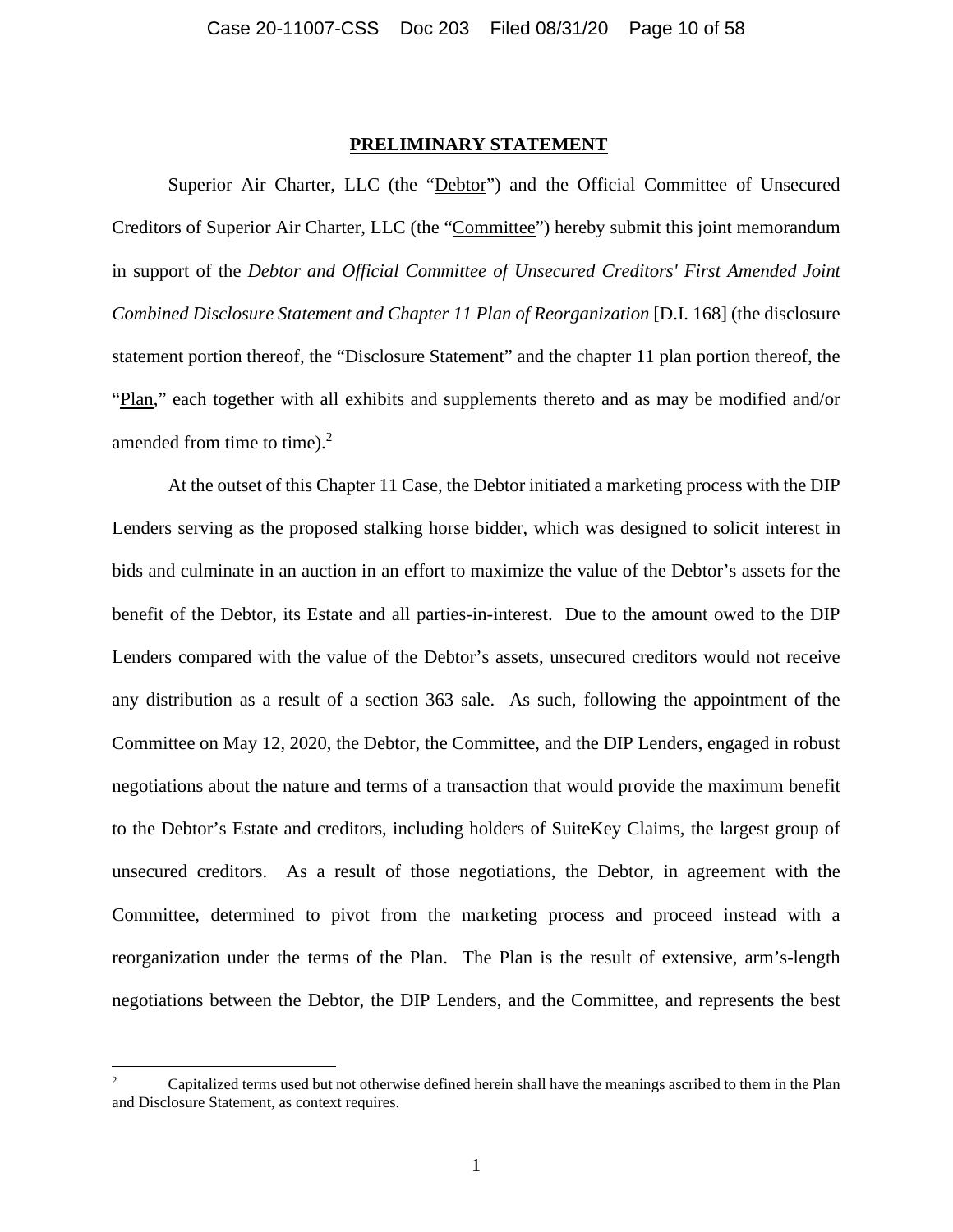#### **PRELIMINARY STATEMENT**

Superior Air Charter, LLC (the "Debtor") and the Official Committee of Unsecured Creditors of Superior Air Charter, LLC (the "Committee") hereby submit this joint memorandum in support of the *Debtor and Official Committee of Unsecured Creditors' First Amended Joint Combined Disclosure Statement and Chapter 11 Plan of Reorganization* [D.I. 168] (the disclosure statement portion thereof, the "Disclosure Statement" and the chapter 11 plan portion thereof, the "Plan," each together with all exhibits and supplements thereto and as may be modified and/or amended from time to time). $2$ 

At the outset of this Chapter 11 Case, the Debtor initiated a marketing process with the DIP Lenders serving as the proposed stalking horse bidder, which was designed to solicit interest in bids and culminate in an auction in an effort to maximize the value of the Debtor's assets for the benefit of the Debtor, its Estate and all parties-in-interest. Due to the amount owed to the DIP Lenders compared with the value of the Debtor's assets, unsecured creditors would not receive any distribution as a result of a section 363 sale. As such, following the appointment of the Committee on May 12, 2020, the Debtor, the Committee, and the DIP Lenders, engaged in robust negotiations about the nature and terms of a transaction that would provide the maximum benefit to the Debtor's Estate and creditors, including holders of SuiteKey Claims, the largest group of unsecured creditors. As a result of those negotiations, the Debtor, in agreement with the Committee, determined to pivot from the marketing process and proceed instead with a reorganization under the terms of the Plan. The Plan is the result of extensive, arm's-length negotiations between the Debtor, the DIP Lenders, and the Committee, and represents the best

<sup>2</sup> Capitalized terms used but not otherwise defined herein shall have the meanings ascribed to them in the Plan and Disclosure Statement, as context requires.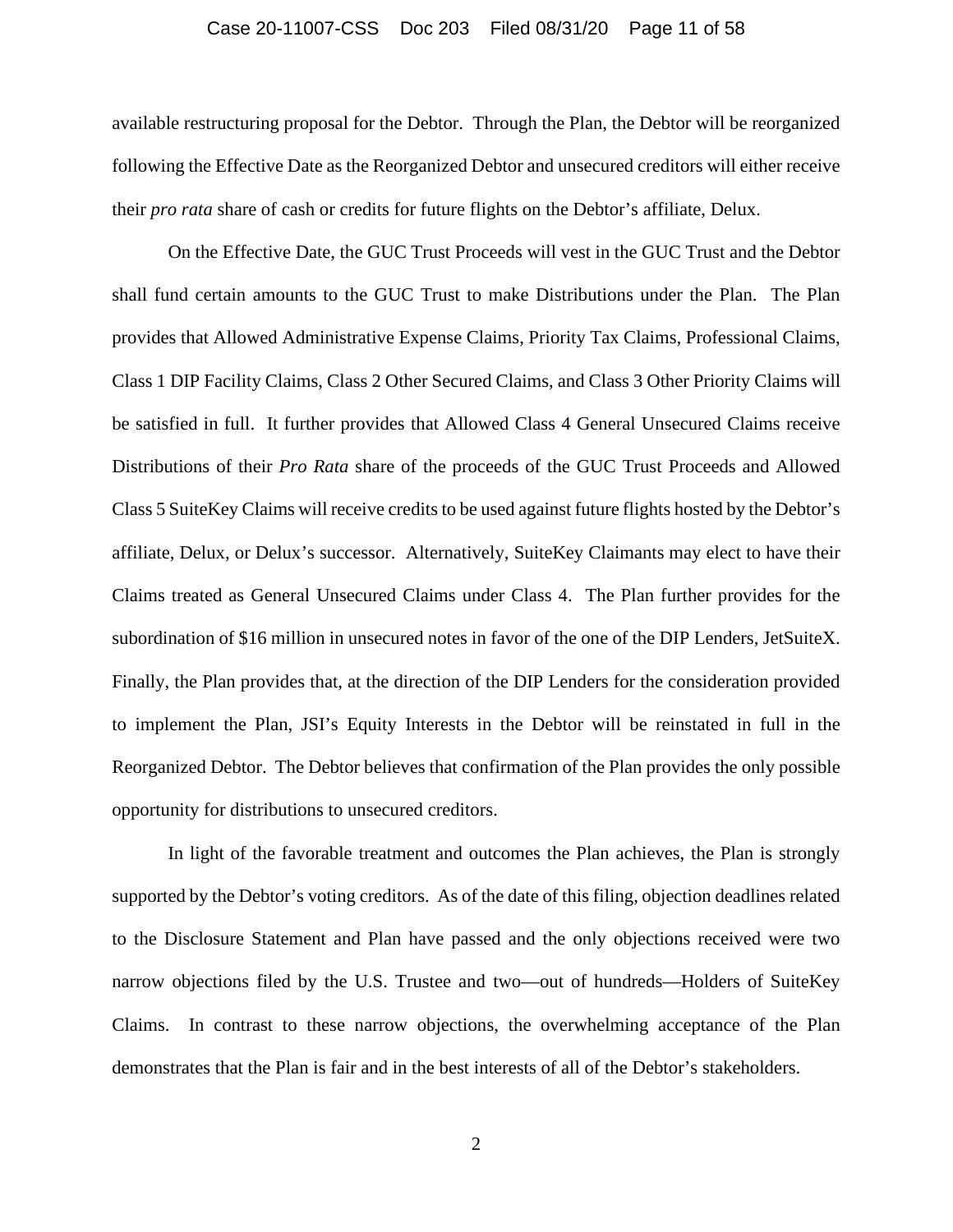#### Case 20-11007-CSS Doc 203 Filed 08/31/20 Page 11 of 58

available restructuring proposal for the Debtor. Through the Plan, the Debtor will be reorganized following the Effective Date as the Reorganized Debtor and unsecured creditors will either receive their *pro rata* share of cash or credits for future flights on the Debtor's affiliate, Delux.

On the Effective Date, the GUC Trust Proceeds will vest in the GUC Trust and the Debtor shall fund certain amounts to the GUC Trust to make Distributions under the Plan. The Plan provides that Allowed Administrative Expense Claims, Priority Tax Claims, Professional Claims, Class 1 DIP Facility Claims, Class 2 Other Secured Claims, and Class 3 Other Priority Claims will be satisfied in full. It further provides that Allowed Class 4 General Unsecured Claims receive Distributions of their *Pro Rata* share of the proceeds of the GUC Trust Proceeds and Allowed Class 5 SuiteKey Claims will receive credits to be used against future flights hosted by the Debtor's affiliate, Delux, or Delux's successor. Alternatively, SuiteKey Claimants may elect to have their Claims treated as General Unsecured Claims under Class 4. The Plan further provides for the subordination of \$16 million in unsecured notes in favor of the one of the DIP Lenders, JetSuiteX. Finally, the Plan provides that, at the direction of the DIP Lenders for the consideration provided to implement the Plan, JSI's Equity Interests in the Debtor will be reinstated in full in the Reorganized Debtor. The Debtor believes that confirmation of the Plan provides the only possible opportunity for distributions to unsecured creditors.

In light of the favorable treatment and outcomes the Plan achieves, the Plan is strongly supported by the Debtor's voting creditors. As of the date of this filing, objection deadlines related to the Disclosure Statement and Plan have passed and the only objections received were two narrow objections filed by the U.S. Trustee and two—out of hundreds—Holders of SuiteKey Claims. In contrast to these narrow objections, the overwhelming acceptance of the Plan demonstrates that the Plan is fair and in the best interests of all of the Debtor's stakeholders.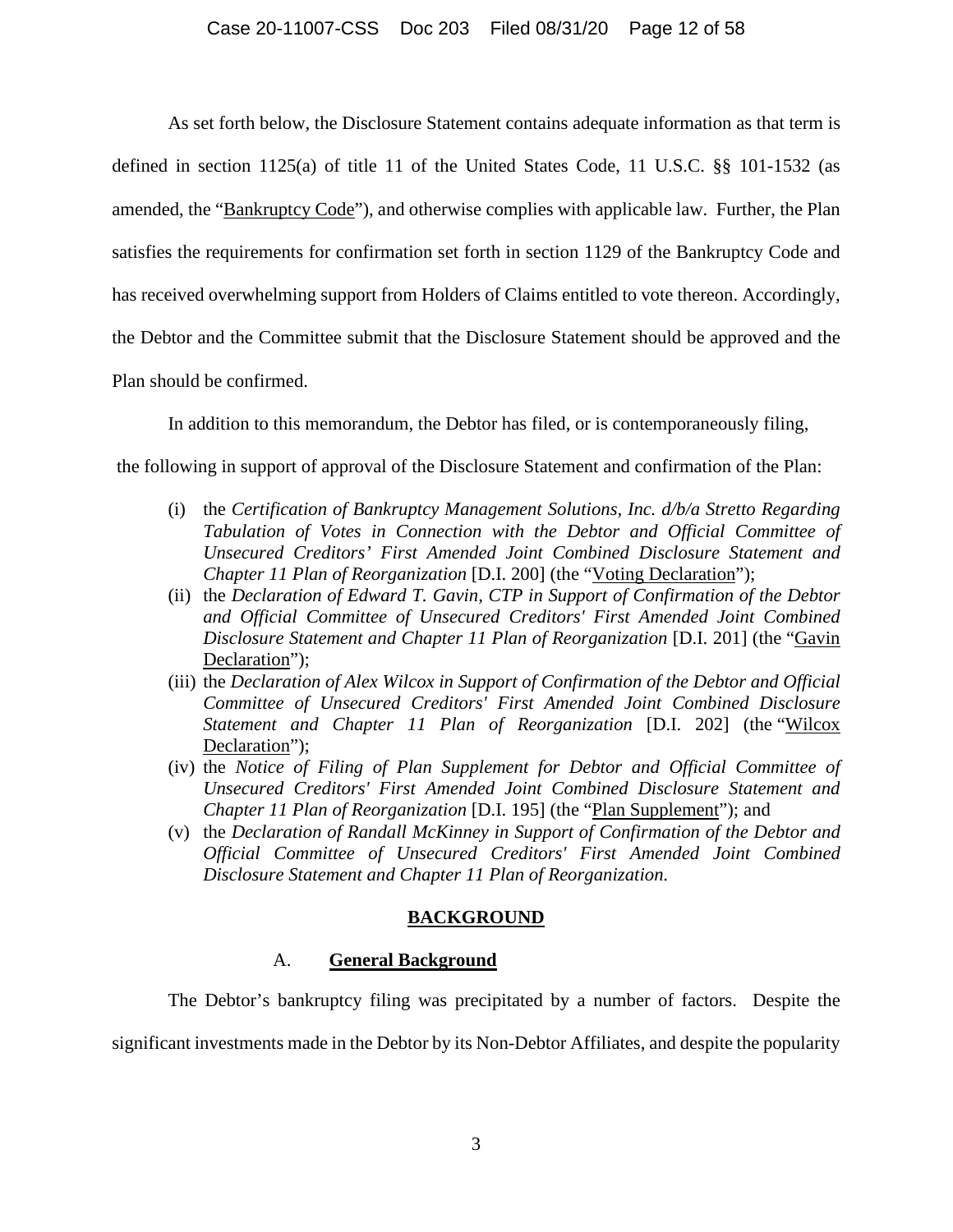#### Case 20-11007-CSS Doc 203 Filed 08/31/20 Page 12 of 58

As set forth below, the Disclosure Statement contains adequate information as that term is defined in section 1125(a) of title 11 of the United States Code, 11 U.S.C.  $\S$  101-1532 (as amended, the "Bankruptcy Code"), and otherwise complies with applicable law. Further, the Plan satisfies the requirements for confirmation set forth in section 1129 of the Bankruptcy Code and has received overwhelming support from Holders of Claims entitled to vote thereon. Accordingly, the Debtor and the Committee submit that the Disclosure Statement should be approved and the Plan should be confirmed.

In addition to this memorandum, the Debtor has filed, or is contemporaneously filing,

the following in support of approval of the Disclosure Statement and confirmation of the Plan:

- (i) the *Certification of Bankruptcy Management Solutions, Inc. d/b/a Stretto Regarding Tabulation of Votes in Connection with the Debtor and Official Committee of Unsecured Creditors' First Amended Joint Combined Disclosure Statement and Chapter 11 Plan of Reorganization* [D.I. 200] (the "Voting Declaration");
- (ii) the *Declaration of Edward T. Gavin, CTP in Support of Confirmation of the Debtor and Official Committee of Unsecured Creditors' First Amended Joint Combined Disclosure Statement and Chapter 11 Plan of Reorganization* [D.I. 201] (the "Gavin Declaration");
- (iii) the *Declaration of Alex Wilcox in Support of Confirmation of the Debtor and Official Committee of Unsecured Creditors' First Amended Joint Combined Disclosure Statement and Chapter 11 Plan of Reorganization* [D.I. 202] (the "Wilcox Declaration");
- (iv) the *Notice of Filing of Plan Supplement for Debtor and Official Committee of Unsecured Creditors' First Amended Joint Combined Disclosure Statement and Chapter 11 Plan of Reorganization* [D.I. 195] (the "Plan Supplement"); and
- (v) the *Declaration of Randall McKinney in Support of Confirmation of the Debtor and Official Committee of Unsecured Creditors' First Amended Joint Combined Disclosure Statement and Chapter 11 Plan of Reorganization*.

#### **BACKGROUND**

### A. **General Background**

The Debtor's bankruptcy filing was precipitated by a number of factors. Despite the significant investments made in the Debtor by its Non-Debtor Affiliates, and despite the popularity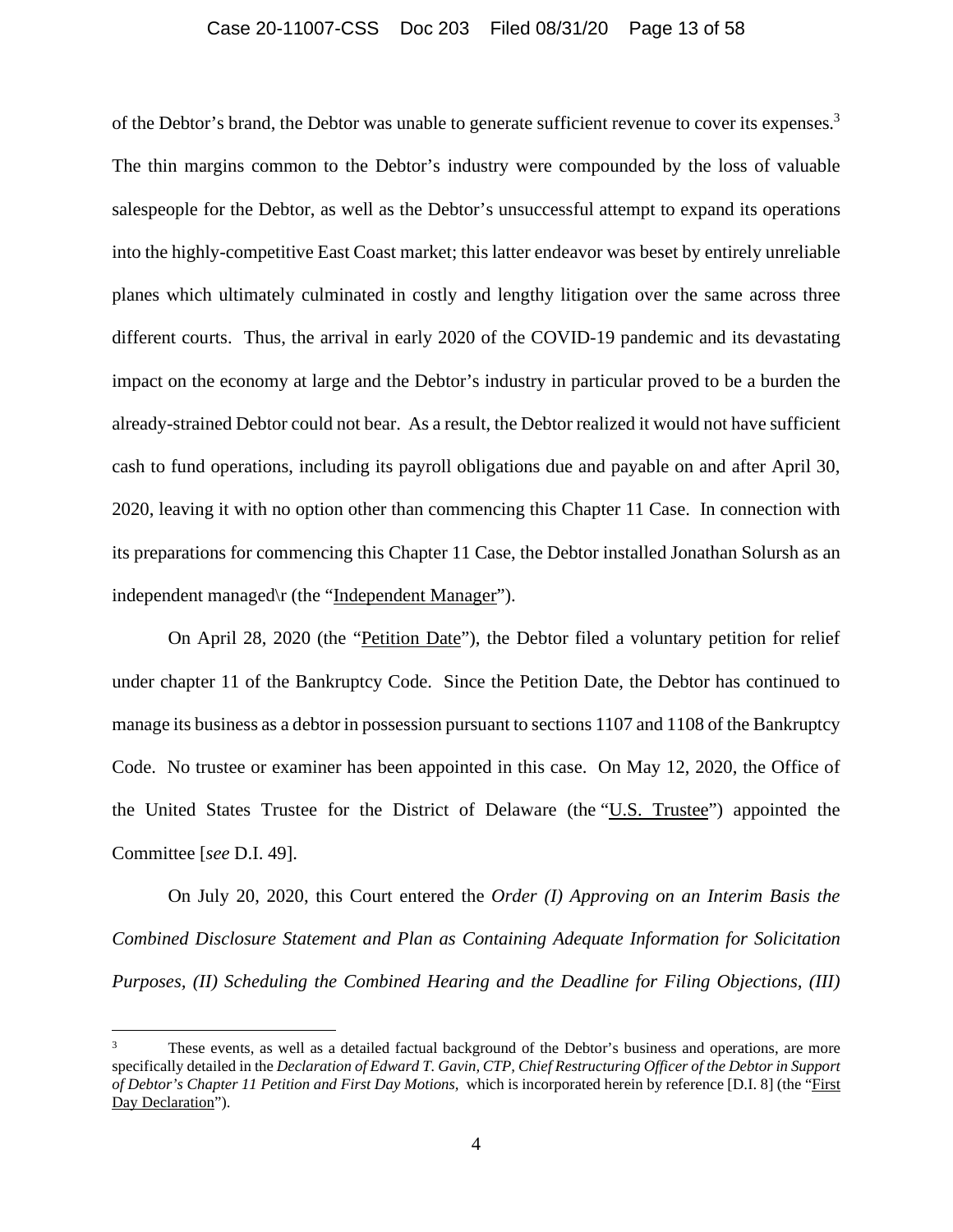### Case 20-11007-CSS Doc 203 Filed 08/31/20 Page 13 of 58

of the Debtor's brand, the Debtor was unable to generate sufficient revenue to cover its expenses.<sup>3</sup> The thin margins common to the Debtor's industry were compounded by the loss of valuable salespeople for the Debtor, as well as the Debtor's unsuccessful attempt to expand its operations into the highly-competitive East Coast market; this latter endeavor was beset by entirely unreliable planes which ultimately culminated in costly and lengthy litigation over the same across three different courts. Thus, the arrival in early 2020 of the COVID-19 pandemic and its devastating impact on the economy at large and the Debtor's industry in particular proved to be a burden the already-strained Debtor could not bear. As a result, the Debtor realized it would not have sufficient cash to fund operations, including its payroll obligations due and payable on and after April 30, 2020, leaving it with no option other than commencing this Chapter 11 Case. In connection with its preparations for commencing this Chapter 11 Case, the Debtor installed Jonathan Solursh as an independent managed\r (the "Independent Manager").

On April 28, 2020 (the "Petition Date"), the Debtor filed a voluntary petition for relief under chapter 11 of the Bankruptcy Code. Since the Petition Date, the Debtor has continued to manage its business as a debtor in possession pursuant to sections 1107 and 1108 of the Bankruptcy Code. No trustee or examiner has been appointed in this case. On May 12, 2020, the Office of the United States Trustee for the District of Delaware (the "U.S. Trustee") appointed the Committee [*see* D.I. 49].

On July 20, 2020, this Court entered the *Order (I) Approving on an Interim Basis the Combined Disclosure Statement and Plan as Containing Adequate Information for Solicitation Purposes, (II) Scheduling the Combined Hearing and the Deadline for Filing Objections, (III)* 

These events, as well as a detailed factual background of the Debtor's business and operations, are more specifically detailed in the *Declaration of Edward T. Gavin, CTP, Chief Restructuring Officer of the Debtor in Support of Debtor's Chapter 11 Petition and First Day Motions,* which is incorporated herein by reference [D.I. 8] (the "First Day Declaration").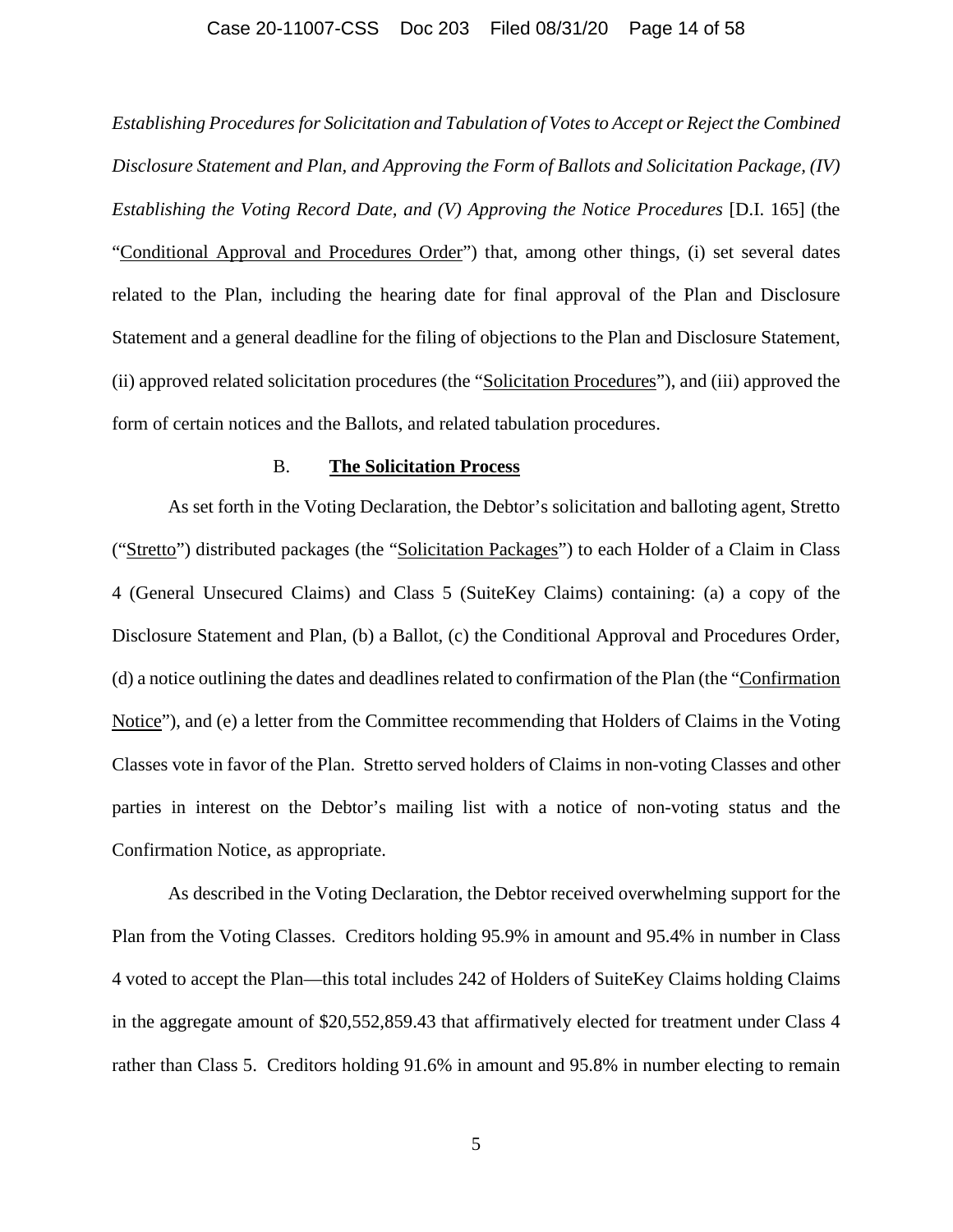#### Case 20-11007-CSS Doc 203 Filed 08/31/20 Page 14 of 58

*Establishing Procedures for Solicitation and Tabulation of Votes to Accept or Reject the Combined Disclosure Statement and Plan, and Approving the Form of Ballots and Solicitation Package, (IV) Establishing the Voting Record Date, and (V) Approving the Notice Procedures* [D.I. 165] (the "Conditional Approval and Procedures Order") that, among other things, (i) set several dates related to the Plan, including the hearing date for final approval of the Plan and Disclosure Statement and a general deadline for the filing of objections to the Plan and Disclosure Statement, (ii) approved related solicitation procedures (the "Solicitation Procedures"), and (iii) approved the form of certain notices and the Ballots, and related tabulation procedures.

#### B. **The Solicitation Process**

As set forth in the Voting Declaration, the Debtor's solicitation and balloting agent, Stretto ("Stretto") distributed packages (the "Solicitation Packages") to each Holder of a Claim in Class 4 (General Unsecured Claims) and Class 5 (SuiteKey Claims) containing: (a) a copy of the Disclosure Statement and Plan, (b) a Ballot, (c) the Conditional Approval and Procedures Order, (d) a notice outlining the dates and deadlines related to confirmation of the Plan (the "Confirmation Notice"), and (e) a letter from the Committee recommending that Holders of Claims in the Voting Classes vote in favor of the Plan. Stretto served holders of Claims in non-voting Classes and other parties in interest on the Debtor's mailing list with a notice of non-voting status and the Confirmation Notice, as appropriate.

As described in the Voting Declaration, the Debtor received overwhelming support for the Plan from the Voting Classes. Creditors holding 95.9% in amount and 95.4% in number in Class 4 voted to accept the Plan—this total includes 242 of Holders of SuiteKey Claims holding Claims in the aggregate amount of \$20,552,859.43 that affirmatively elected for treatment under Class 4 rather than Class 5. Creditors holding 91.6% in amount and 95.8% in number electing to remain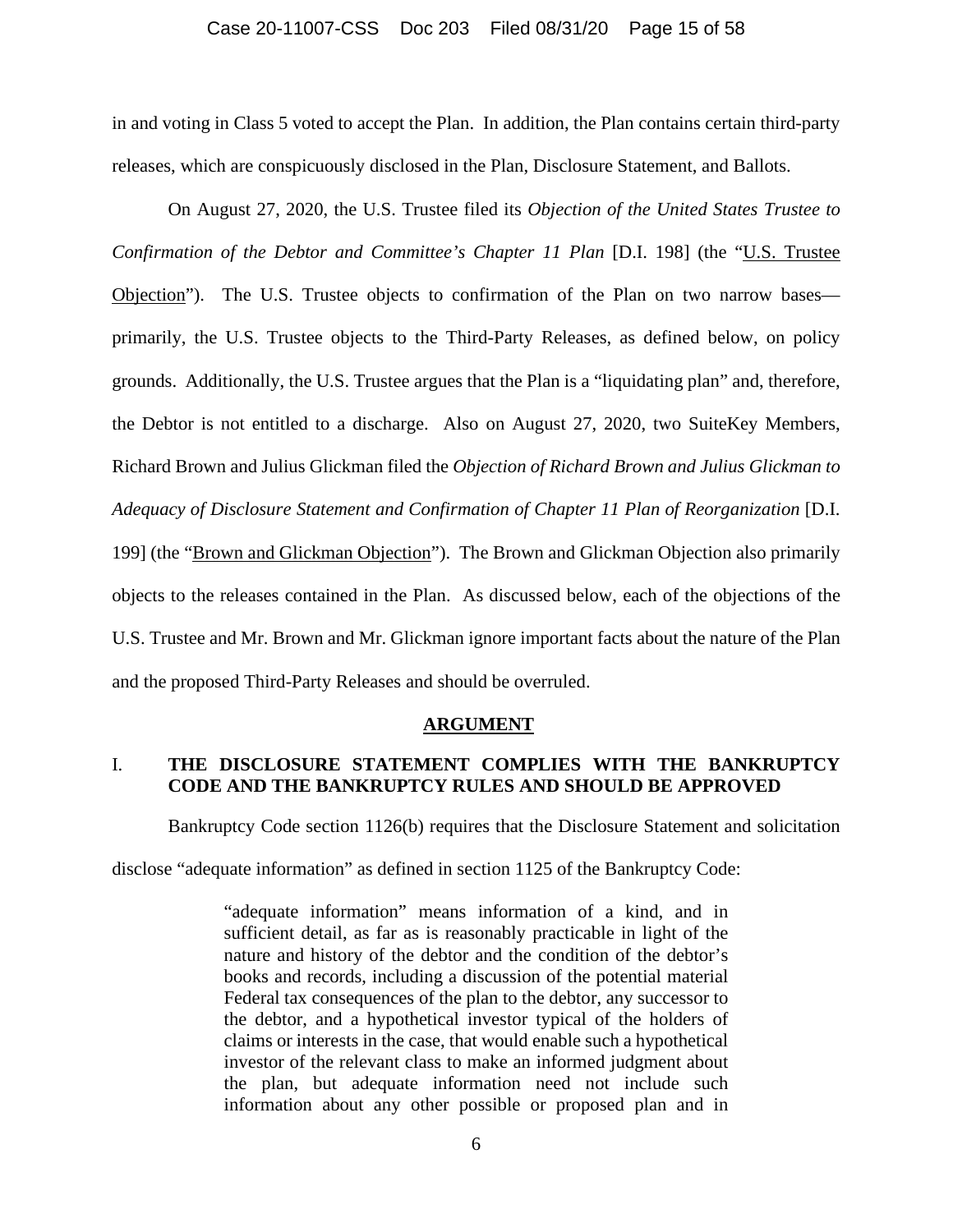#### Case 20-11007-CSS Doc 203 Filed 08/31/20 Page 15 of 58

in and voting in Class 5 voted to accept the Plan. In addition, the Plan contains certain third-party releases, which are conspicuously disclosed in the Plan, Disclosure Statement, and Ballots.

On August 27, 2020, the U.S. Trustee filed its *Objection of the United States Trustee to Confirmation of the Debtor and Committee's Chapter 11 Plan [D.I. 198] (the "U.S. Trustee* Objection"). The U.S. Trustee objects to confirmation of the Plan on two narrow bases primarily, the U.S. Trustee objects to the Third-Party Releases, as defined below, on policy grounds. Additionally, the U.S. Trustee argues that the Plan is a "liquidating plan" and, therefore, the Debtor is not entitled to a discharge. Also on August 27, 2020, two SuiteKey Members, Richard Brown and Julius Glickman filed the *Objection of Richard Brown and Julius Glickman to Adequacy of Disclosure Statement and Confirmation of Chapter 11 Plan of Reorganization* [D.I. 199] (the "Brown and Glickman Objection"). The Brown and Glickman Objection also primarily objects to the releases contained in the Plan.As discussed below, each of the objections of the U.S. Trustee and Mr. Brown and Mr. Glickman ignore important facts about the nature of the Plan and the proposed Third-Party Releases and should be overruled.

#### **ARGUMENT**

# I. **THE DISCLOSURE STATEMENT COMPLIES WITH THE BANKRUPTCY CODE AND THE BANKRUPTCY RULES AND SHOULD BE APPROVED**

Bankruptcy Code section 1126(b) requires that the Disclosure Statement and solicitation

disclose "adequate information" as defined in section 1125 of the Bankruptcy Code:

"adequate information" means information of a kind, and in sufficient detail, as far as is reasonably practicable in light of the nature and history of the debtor and the condition of the debtor's books and records, including a discussion of the potential material Federal tax consequences of the plan to the debtor, any successor to the debtor, and a hypothetical investor typical of the holders of claims or interests in the case, that would enable such a hypothetical investor of the relevant class to make an informed judgment about the plan, but adequate information need not include such information about any other possible or proposed plan and in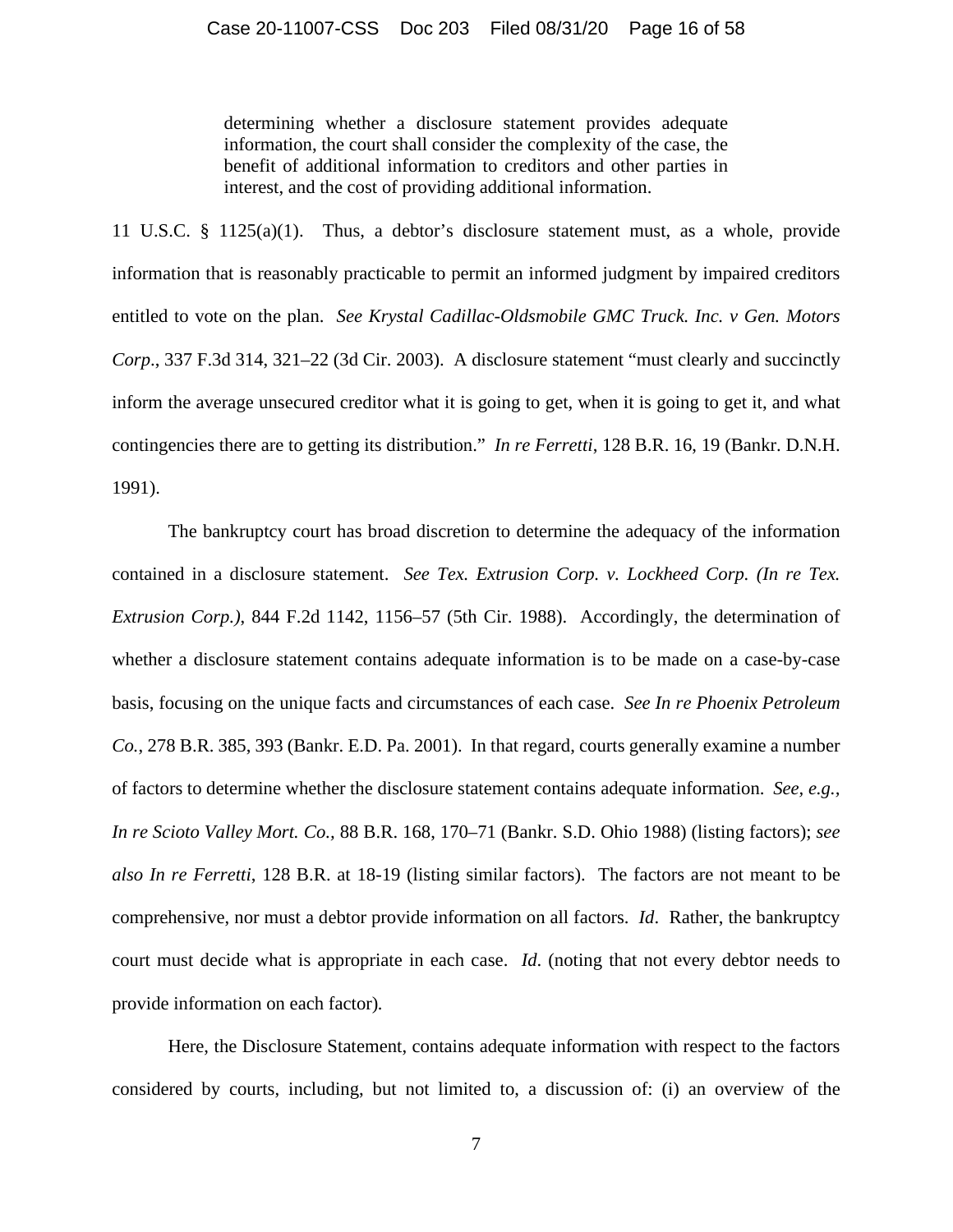determining whether a disclosure statement provides adequate information, the court shall consider the complexity of the case, the benefit of additional information to creditors and other parties in interest, and the cost of providing additional information.

11 U.S.C. § 1125(a)(1). Thus, a debtor's disclosure statement must, as a whole, provide information that is reasonably practicable to permit an informed judgment by impaired creditors entitled to vote on the plan. *See Krystal Cadillac-Oldsmobile GMC Truck. Inc. v Gen. Motors Corp*., 337 F.3d 314, 321–22 (3d Cir. 2003). A disclosure statement "must clearly and succinctly inform the average unsecured creditor what it is going to get, when it is going to get it, and what contingencies there are to getting its distribution." *In re Ferretti*, 128 B.R. 16, 19 (Bankr. D.N.H. 1991).

The bankruptcy court has broad discretion to determine the adequacy of the information contained in a disclosure statement. *See Tex. Extrusion Corp. v. Lockheed Corp. (In re Tex. Extrusion Corp.)*, 844 F.2d 1142, 1156–57 (5th Cir. 1988). Accordingly, the determination of whether a disclosure statement contains adequate information is to be made on a case-by-case basis, focusing on the unique facts and circumstances of each case. *See In re Phoenix Petroleum Co.*, 278 B.R. 385, 393 (Bankr. E.D. Pa. 2001). In that regard, courts generally examine a number of factors to determine whether the disclosure statement contains adequate information. *See, e.g., In re Scioto Valley Mort. Co.,* 88 B.R. 168, 170–71 (Bankr. S.D. Ohio 1988) (listing factors); *see also In re Ferretti*, 128 B.R. at 18-19 (listing similar factors). The factors are not meant to be comprehensive, nor must a debtor provide information on all factors. *Id*. Rather, the bankruptcy court must decide what is appropriate in each case. *Id*. (noting that not every debtor needs to provide information on each factor)*.*

Here, the Disclosure Statement, contains adequate information with respect to the factors considered by courts, including, but not limited to, a discussion of: (i) an overview of the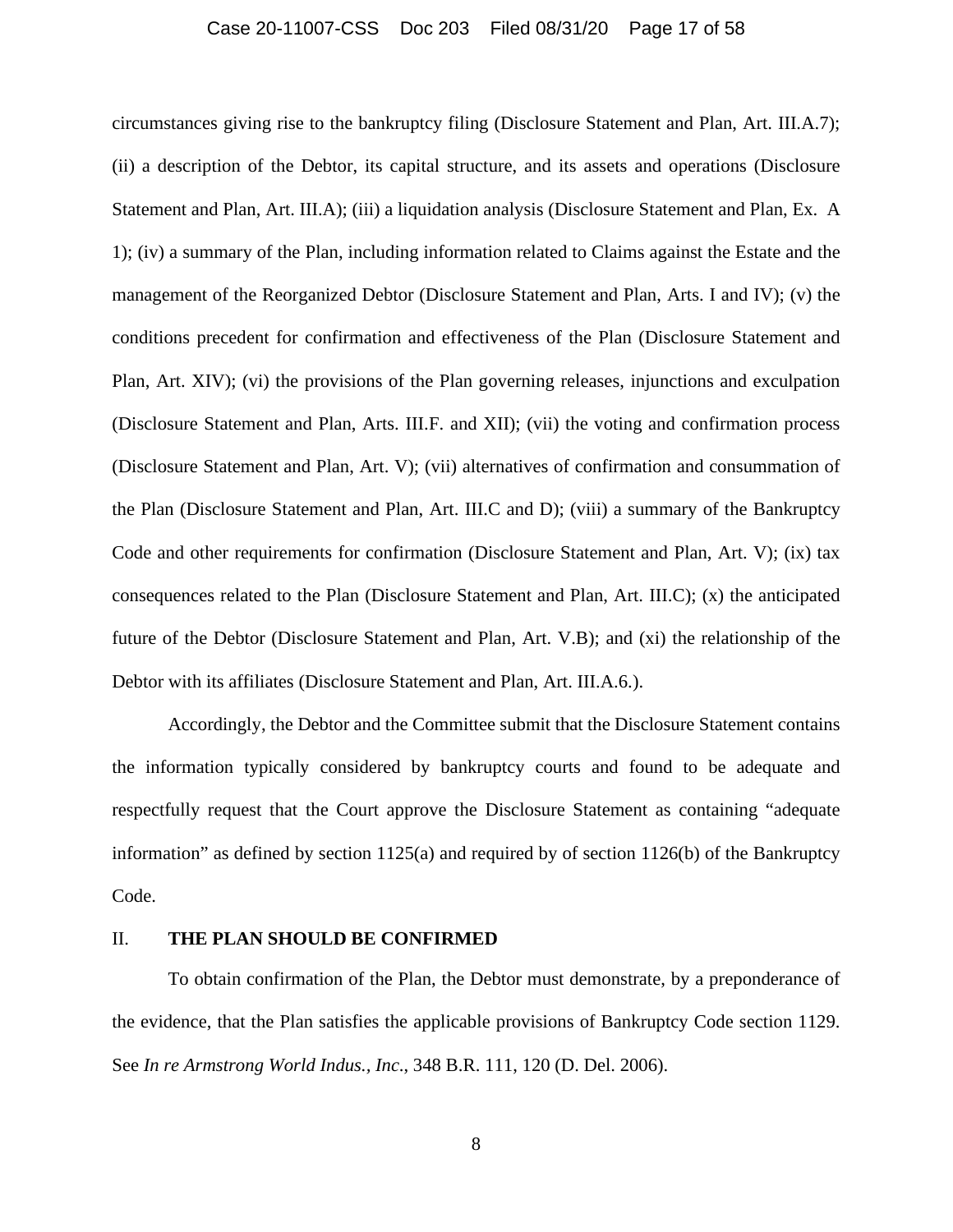### Case 20-11007-CSS Doc 203 Filed 08/31/20 Page 17 of 58

circumstances giving rise to the bankruptcy filing (Disclosure Statement and Plan, Art. III.A.7); (ii) a description of the Debtor, its capital structure, and its assets and operations (Disclosure Statement and Plan, Art. III.A); (iii) a liquidation analysis (Disclosure Statement and Plan, Ex. A 1); (iv) a summary of the Plan, including information related to Claims against the Estate and the management of the Reorganized Debtor (Disclosure Statement and Plan, Arts. I and IV); (v) the conditions precedent for confirmation and effectiveness of the Plan (Disclosure Statement and Plan, Art. XIV); (vi) the provisions of the Plan governing releases, injunctions and exculpation (Disclosure Statement and Plan, Arts. III.F. and XII); (vii) the voting and confirmation process (Disclosure Statement and Plan, Art. V); (vii) alternatives of confirmation and consummation of the Plan (Disclosure Statement and Plan, Art. III.C and D); (viii) a summary of the Bankruptcy Code and other requirements for confirmation (Disclosure Statement and Plan, Art. V); (ix) tax consequences related to the Plan (Disclosure Statement and Plan, Art. III.C); (x) the anticipated future of the Debtor (Disclosure Statement and Plan, Art. V.B); and (xi) the relationship of the Debtor with its affiliates (Disclosure Statement and Plan, Art. III.A.6.).

Accordingly, the Debtor and the Committee submit that the Disclosure Statement contains the information typically considered by bankruptcy courts and found to be adequate and respectfully request that the Court approve the Disclosure Statement as containing "adequate information" as defined by section 1125(a) and required by of section 1126(b) of the Bankruptcy Code.

#### II. **THE PLAN SHOULD BE CONFIRMED**

To obtain confirmation of the Plan, the Debtor must demonstrate, by a preponderance of the evidence, that the Plan satisfies the applicable provisions of Bankruptcy Code section 1129. See *In re Armstrong World Indus., Inc*., 348 B.R. 111, 120 (D. Del. 2006).

8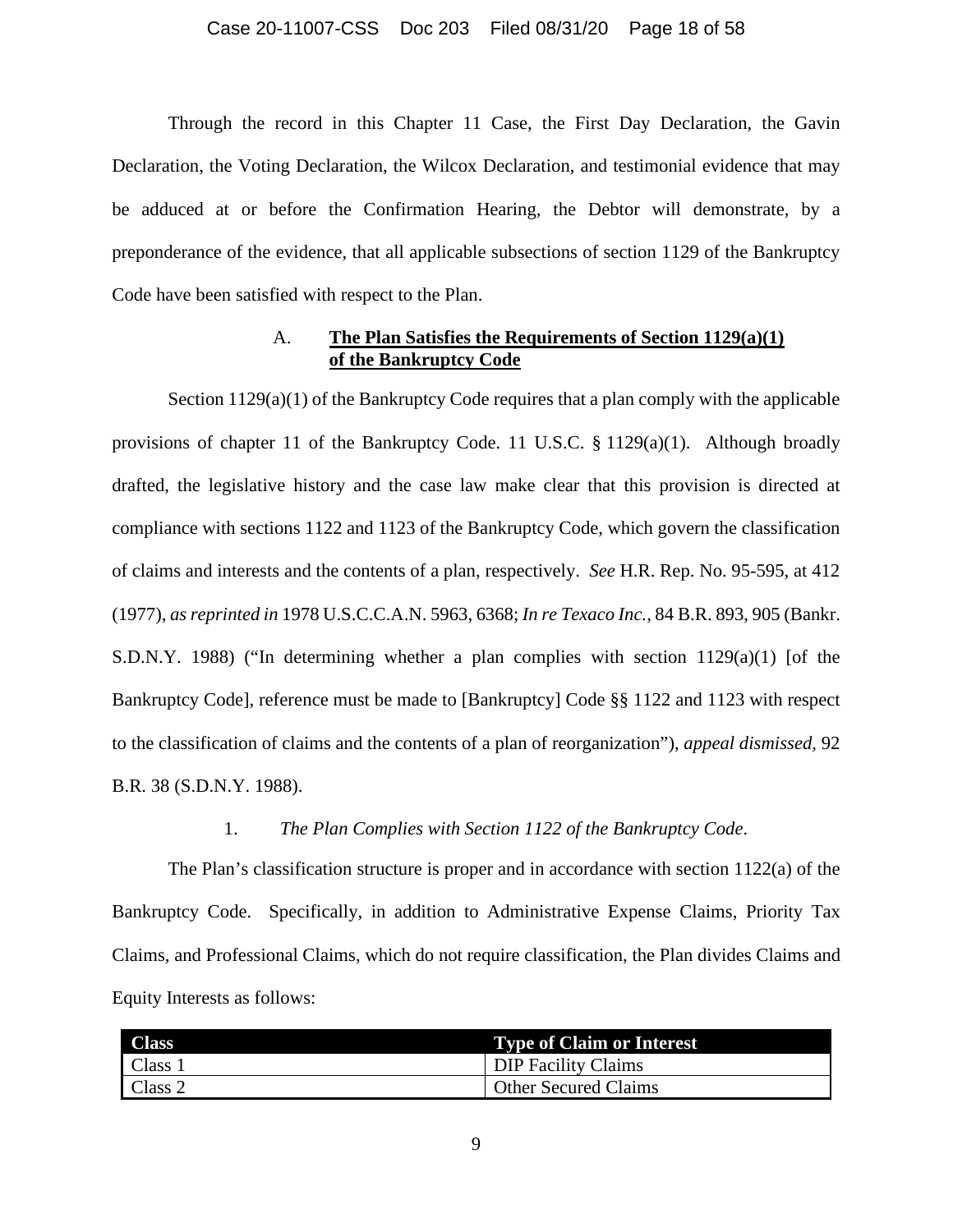#### Case 20-11007-CSS Doc 203 Filed 08/31/20 Page 18 of 58

Through the record in this Chapter 11 Case, the First Day Declaration, the Gavin Declaration, the Voting Declaration, the Wilcox Declaration, and testimonial evidence that may be adduced at or before the Confirmation Hearing, the Debtor will demonstrate, by a preponderance of the evidence, that all applicable subsections of section 1129 of the Bankruptcy Code have been satisfied with respect to the Plan.

# A. **The Plan Satisfies the Requirements of Section 1129(a)(1) of the Bankruptcy Code**

Section  $1129(a)(1)$  of the Bankruptcy Code requires that a plan comply with the applicable provisions of chapter 11 of the Bankruptcy Code. 11 U.S.C. § 1129(a)(1). Although broadly drafted, the legislative history and the case law make clear that this provision is directed at compliance with sections 1122 and 1123 of the Bankruptcy Code, which govern the classification of claims and interests and the contents of a plan, respectively. *See* H.R. Rep. No. 95-595, at 412 (1977), *as reprinted in* 1978 U.S.C.C.A.N. 5963, 6368; *In re Texaco Inc.,* 84 B.R. 893, 905 (Bankr. S.D.N.Y. 1988) ("In determining whether a plan complies with section  $1129(a)(1)$  [of the Bankruptcy Code], reference must be made to [Bankruptcy] Code §§ 1122 and 1123 with respect to the classification of claims and the contents of a plan of reorganization"), *appeal dismissed,* 92 B.R. 38 (S.D.N.Y. 1988).

### 1. *The Plan Complies with Section 1122 of the Bankruptcy Code*.

The Plan's classification structure is proper and in accordance with section 1122(a) of the Bankruptcy Code. Specifically, in addition to Administrative Expense Claims, Priority Tax Claims, and Professional Claims, which do not require classification, the Plan divides Claims and Equity Interests as follows:

| <b>Class</b> | <b>Type of Claim or Interest</b> |
|--------------|----------------------------------|
| Class 1      | <b>DIP Facility Claims</b>       |
| Class 2      | <b>Other Secured Claims</b>      |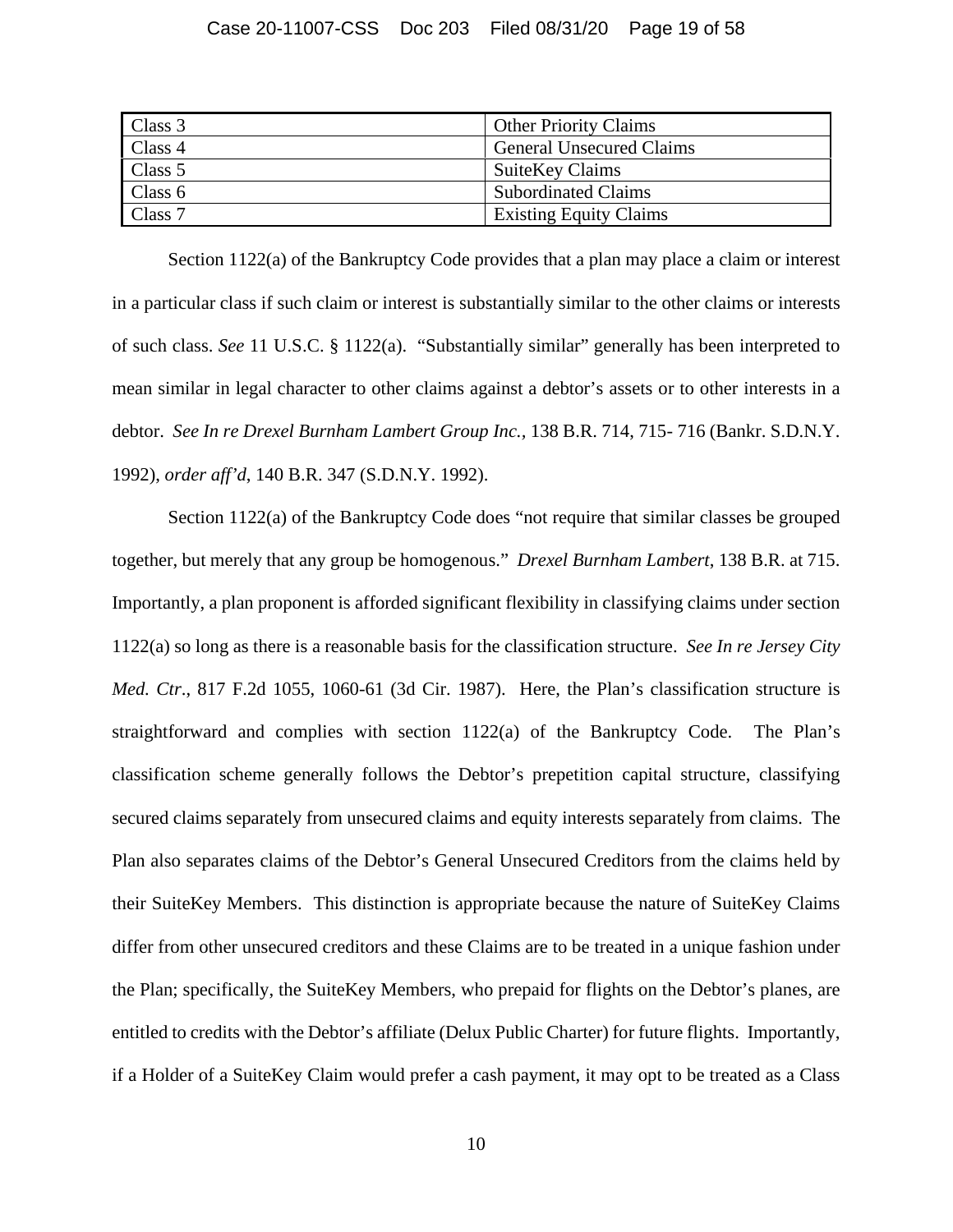| Class 3 | <b>Other Priority Claims</b>    |
|---------|---------------------------------|
| Class 4 | <b>General Unsecured Claims</b> |
| Class 5 | <b>SuiteKey Claims</b>          |
| Class 6 | <b>Subordinated Claims</b>      |
| Class 7 | <b>Existing Equity Claims</b>   |

Section 1122(a) of the Bankruptcy Code provides that a plan may place a claim or interest in a particular class if such claim or interest is substantially similar to the other claims or interests of such class. *See* 11 U.S.C. § 1122(a). "Substantially similar" generally has been interpreted to mean similar in legal character to other claims against a debtor's assets or to other interests in a debtor. *See In re Drexel Burnham Lambert Group Inc.,* 138 B.R. 714, 715- 716 (Bankr. S.D.N.Y. 1992), *order aff'd*, 140 B.R. 347 (S.D.N.Y. 1992).

Section 1122(a) of the Bankruptcy Code does "not require that similar classes be grouped together, but merely that any group be homogenous." *Drexel Burnham Lambert*, 138 B.R. at 715. Importantly, a plan proponent is afforded significant flexibility in classifying claims under section 1122(a) so long as there is a reasonable basis for the classification structure. *See In re Jersey City Med. Ctr*., 817 F.2d 1055, 1060-61 (3d Cir. 1987). Here, the Plan's classification structure is straightforward and complies with section 1122(a) of the Bankruptcy Code. The Plan's classification scheme generally follows the Debtor's prepetition capital structure, classifying secured claims separately from unsecured claims and equity interests separately from claims. The Plan also separates claims of the Debtor's General Unsecured Creditors from the claims held by their SuiteKey Members. This distinction is appropriate because the nature of SuiteKey Claims differ from other unsecured creditors and these Claims are to be treated in a unique fashion under the Plan; specifically, the SuiteKey Members, who prepaid for flights on the Debtor's planes, are entitled to credits with the Debtor's affiliate (Delux Public Charter) for future flights. Importantly, if a Holder of a SuiteKey Claim would prefer a cash payment, it may opt to be treated as a Class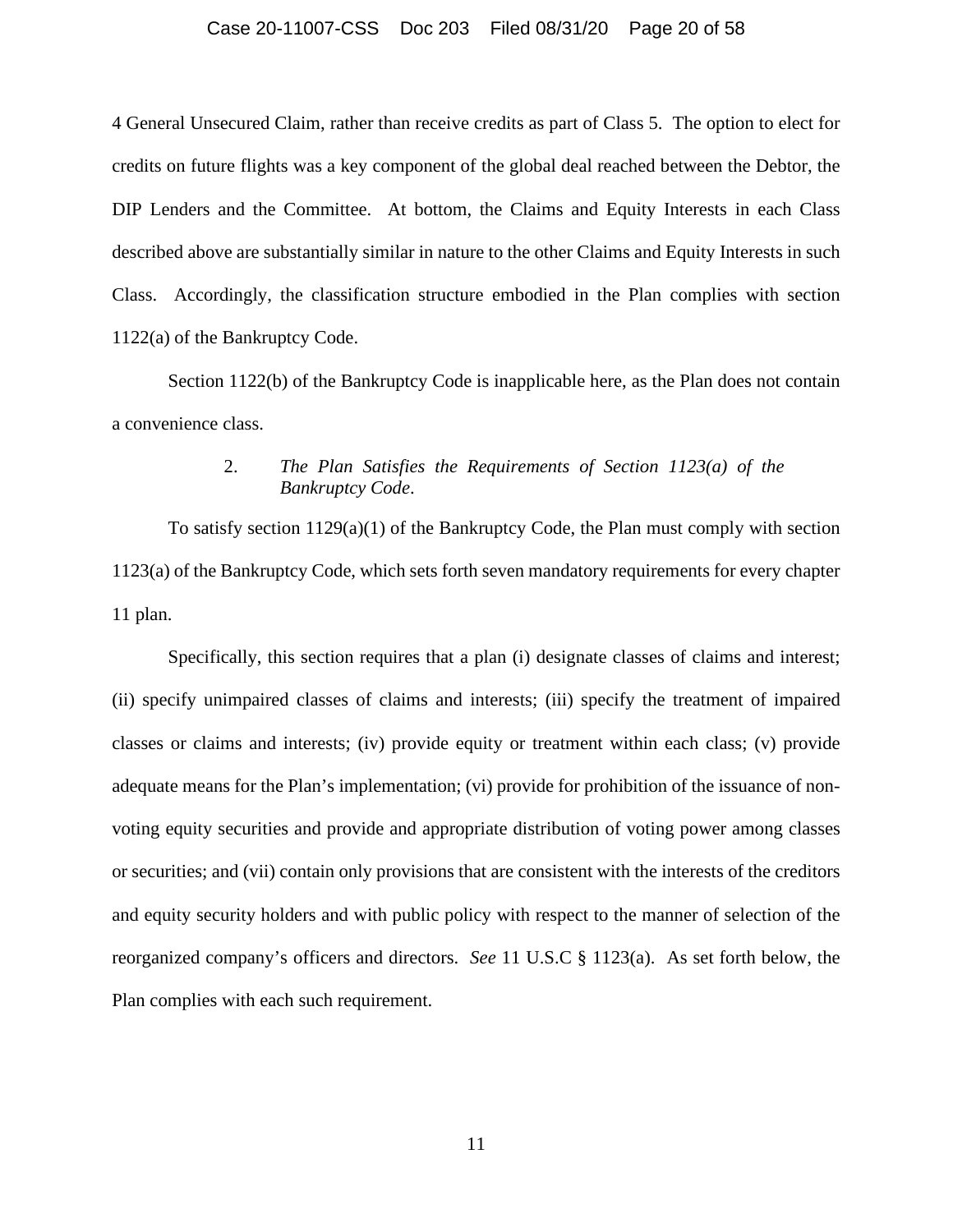#### Case 20-11007-CSS Doc 203 Filed 08/31/20 Page 20 of 58

4 General Unsecured Claim, rather than receive credits as part of Class 5. The option to elect for credits on future flights was a key component of the global deal reached between the Debtor, the DIP Lenders and the Committee. At bottom, the Claims and Equity Interests in each Class described above are substantially similar in nature to the other Claims and Equity Interests in such Class. Accordingly, the classification structure embodied in the Plan complies with section 1122(a) of the Bankruptcy Code.

Section 1122(b) of the Bankruptcy Code is inapplicable here, as the Plan does not contain a convenience class.

# 2. *The Plan Satisfies the Requirements of Section 1123(a) of the Bankruptcy Code*.

To satisfy section 1129(a)(1) of the Bankruptcy Code, the Plan must comply with section 1123(a) of the Bankruptcy Code, which sets forth seven mandatory requirements for every chapter 11 plan.

Specifically, this section requires that a plan (i) designate classes of claims and interest; (ii) specify unimpaired classes of claims and interests; (iii) specify the treatment of impaired classes or claims and interests; (iv) provide equity or treatment within each class; (v) provide adequate means for the Plan's implementation; (vi) provide for prohibition of the issuance of nonvoting equity securities and provide and appropriate distribution of voting power among classes or securities; and (vii) contain only provisions that are consistent with the interests of the creditors and equity security holders and with public policy with respect to the manner of selection of the reorganized company's officers and directors. *See* 11 U.S.C § 1123(a). As set forth below, the Plan complies with each such requirement.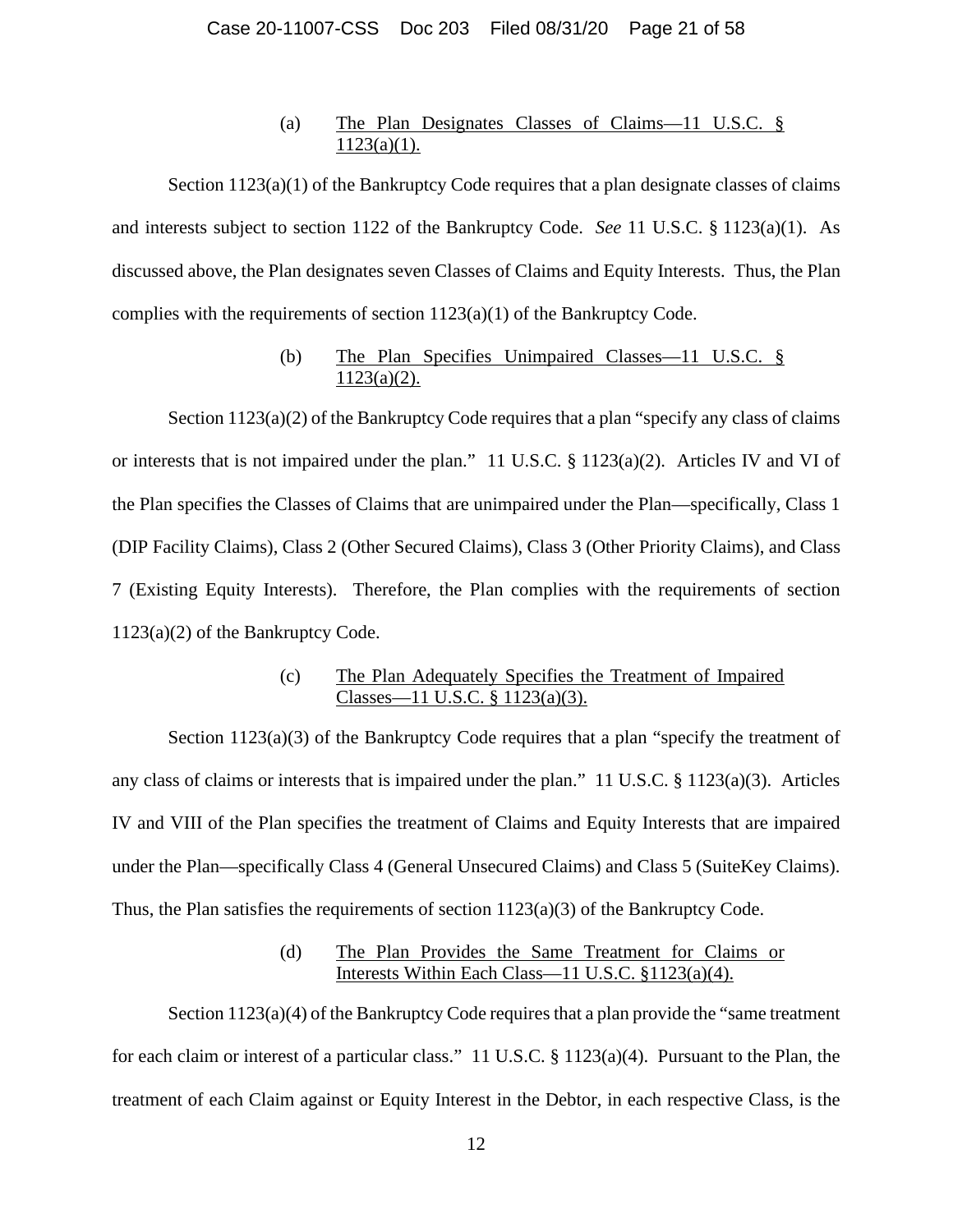### (a) The Plan Designates Classes of Claims—11 U.S.C. §  $1123(a)(1)$ .

Section  $1123(a)(1)$  of the Bankruptcy Code requires that a plan designate classes of claims and interests subject to section 1122 of the Bankruptcy Code. *See* 11 U.S.C. § 1123(a)(1). As discussed above, the Plan designates seven Classes of Claims and Equity Interests. Thus, the Plan complies with the requirements of section  $1123(a)(1)$  of the Bankruptcy Code.

# (b) The Plan Specifies Unimpaired Classes—11 U.S.C. §  $1123(a)(2)$ .

Section 1123(a)(2) of the Bankruptcy Code requires that a plan "specify any class of claims or interests that is not impaired under the plan." 11 U.S.C. § 1123(a)(2). Articles IV and VI of the Plan specifies the Classes of Claims that are unimpaired under the Plan—specifically, Class 1 (DIP Facility Claims), Class 2 (Other Secured Claims), Class 3 (Other Priority Claims), and Class 7 (Existing Equity Interests). Therefore, the Plan complies with the requirements of section 1123(a)(2) of the Bankruptcy Code.

# (c) The Plan Adequately Specifies the Treatment of Impaired Classes—11 U.S.C. § 1123(a)(3).

Section 1123(a)(3) of the Bankruptcy Code requires that a plan "specify the treatment of any class of claims or interests that is impaired under the plan." 11 U.S.C. § 1123(a)(3). Articles IV and VIII of the Plan specifies the treatment of Claims and Equity Interests that are impaired under the Plan—specifically Class 4 (General Unsecured Claims) and Class 5 (SuiteKey Claims). Thus, the Plan satisfies the requirements of section 1123(a)(3) of the Bankruptcy Code.

# (d) The Plan Provides the Same Treatment for Claims or Interests Within Each Class—11 U.S.C. §1123(a)(4).

Section  $1123(a)(4)$  of the Bankruptcy Code requires that a plan provide the "same treatment" for each claim or interest of a particular class." 11 U.S.C. § 1123(a)(4). Pursuant to the Plan, the treatment of each Claim against or Equity Interest in the Debtor, in each respective Class, is the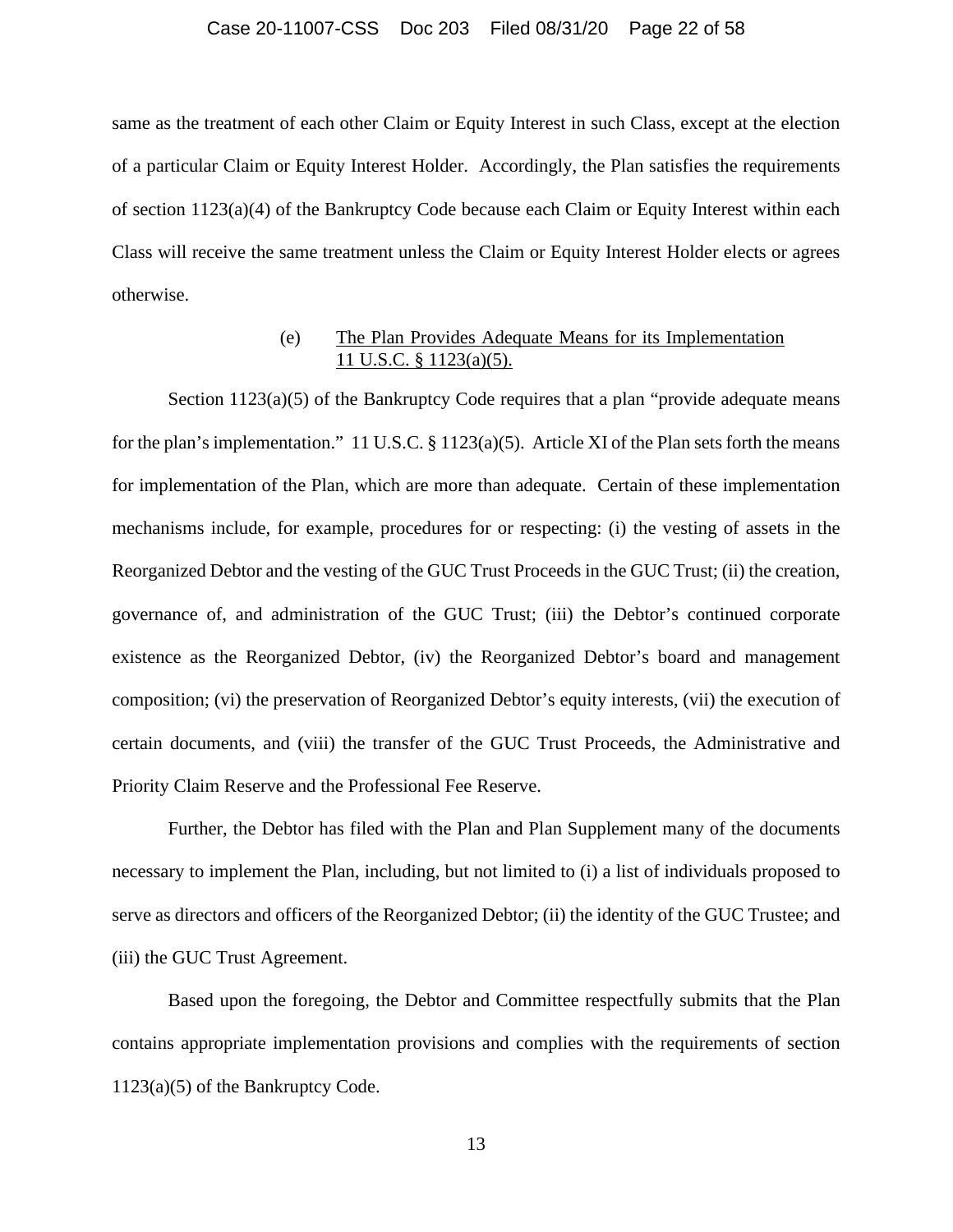#### Case 20-11007-CSS Doc 203 Filed 08/31/20 Page 22 of 58

same as the treatment of each other Claim or Equity Interest in such Class, except at the election of a particular Claim or Equity Interest Holder. Accordingly, the Plan satisfies the requirements of section 1123(a)(4) of the Bankruptcy Code because each Claim or Equity Interest within each Class will receive the same treatment unless the Claim or Equity Interest Holder elects or agrees otherwise.

# (e) The Plan Provides Adequate Means for its Implementation 11 U.S.C. § 1123(a)(5).

Section 1123(a)(5) of the Bankruptcy Code requires that a plan "provide adequate means for the plan's implementation." 11 U.S.C. § 1123(a)(5). Article XI of the Plan sets forth the means for implementation of the Plan, which are more than adequate. Certain of these implementation mechanisms include, for example, procedures for or respecting: (i) the vesting of assets in the Reorganized Debtor and the vesting of the GUC Trust Proceeds in the GUC Trust; (ii) the creation, governance of, and administration of the GUC Trust; (iii) the Debtor's continued corporate existence as the Reorganized Debtor, (iv) the Reorganized Debtor's board and management composition; (vi) the preservation of Reorganized Debtor's equity interests, (vii) the execution of certain documents, and (viii) the transfer of the GUC Trust Proceeds, the Administrative and Priority Claim Reserve and the Professional Fee Reserve.

Further, the Debtor has filed with the Plan and Plan Supplement many of the documents necessary to implement the Plan, including, but not limited to (i) a list of individuals proposed to serve as directors and officers of the Reorganized Debtor; (ii) the identity of the GUC Trustee; and (iii) the GUC Trust Agreement.

Based upon the foregoing, the Debtor and Committee respectfully submits that the Plan contains appropriate implementation provisions and complies with the requirements of section 1123(a)(5) of the Bankruptcy Code.

13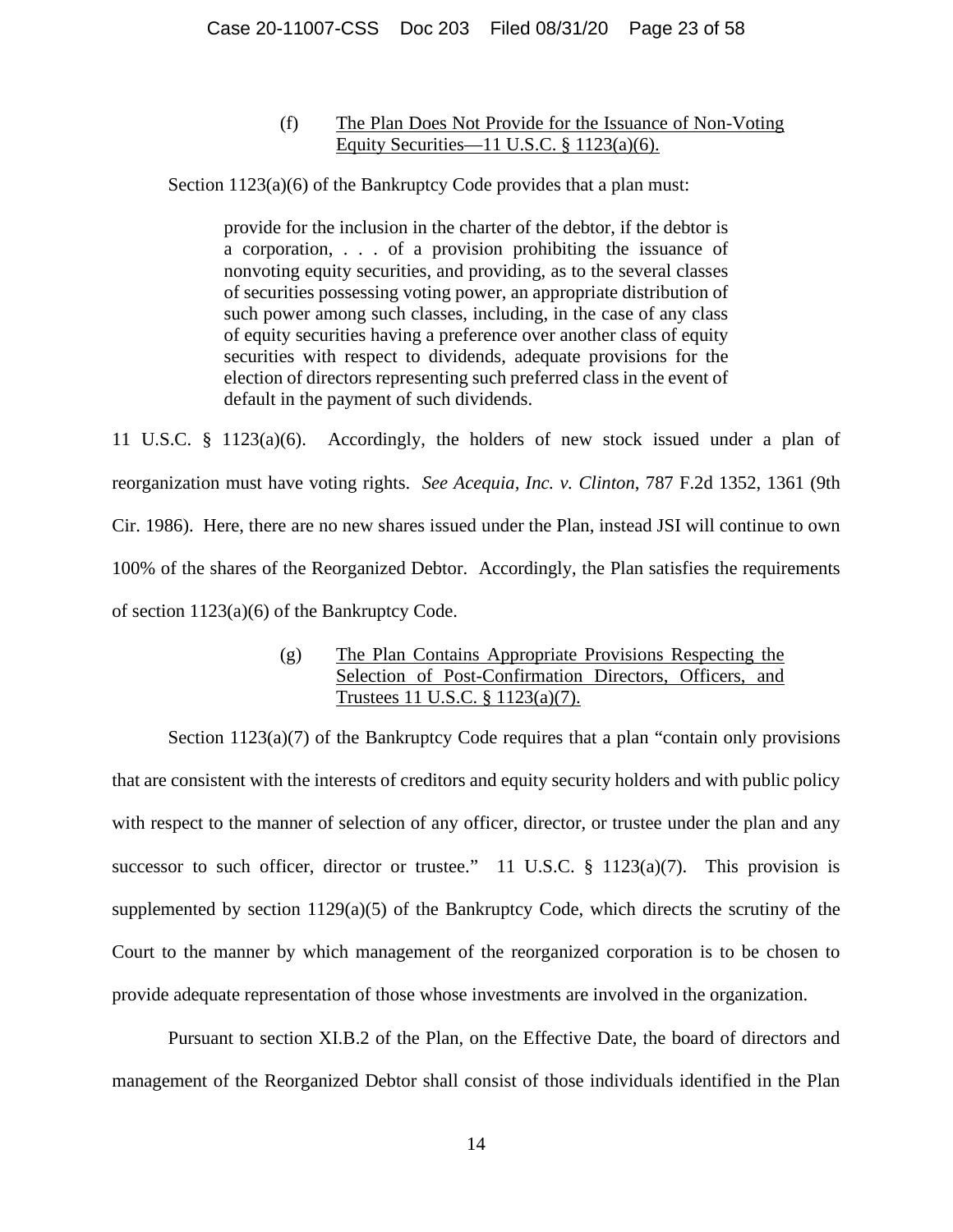# (f) The Plan Does Not Provide for the Issuance of Non-Voting Equity Securities—11 U.S.C. § 1123(a)(6).

Section 1123(a)(6) of the Bankruptcy Code provides that a plan must:

provide for the inclusion in the charter of the debtor, if the debtor is a corporation, . . . of a provision prohibiting the issuance of nonvoting equity securities, and providing, as to the several classes of securities possessing voting power, an appropriate distribution of such power among such classes, including, in the case of any class of equity securities having a preference over another class of equity securities with respect to dividends, adequate provisions for the election of directors representing such preferred class in the event of default in the payment of such dividends.

11 U.S.C. § 1123(a)(6). Accordingly, the holders of new stock issued under a plan of reorganization must have voting rights. *See Acequia, Inc. v. Clinton*, 787 F.2d 1352, 1361 (9th Cir. 1986). Here, there are no new shares issued under the Plan, instead JSI will continue to own 100% of the shares of the Reorganized Debtor. Accordingly, the Plan satisfies the requirements of section 1123(a)(6) of the Bankruptcy Code.

# (g) The Plan Contains Appropriate Provisions Respecting the Selection of Post-Confirmation Directors, Officers, and Trustees 11 U.S.C. § 1123(a)(7).

Section 1123(a)(7) of the Bankruptcy Code requires that a plan "contain only provisions that are consistent with the interests of creditors and equity security holders and with public policy with respect to the manner of selection of any officer, director, or trustee under the plan and any successor to such officer, director or trustee." 11 U.S.C.  $\S$  1123(a)(7). This provision is supplemented by section 1129(a)(5) of the Bankruptcy Code, which directs the scrutiny of the Court to the manner by which management of the reorganized corporation is to be chosen to provide adequate representation of those whose investments are involved in the organization.

Pursuant to section XI.B.2 of the Plan, on the Effective Date, the board of directors and management of the Reorganized Debtor shall consist of those individuals identified in the Plan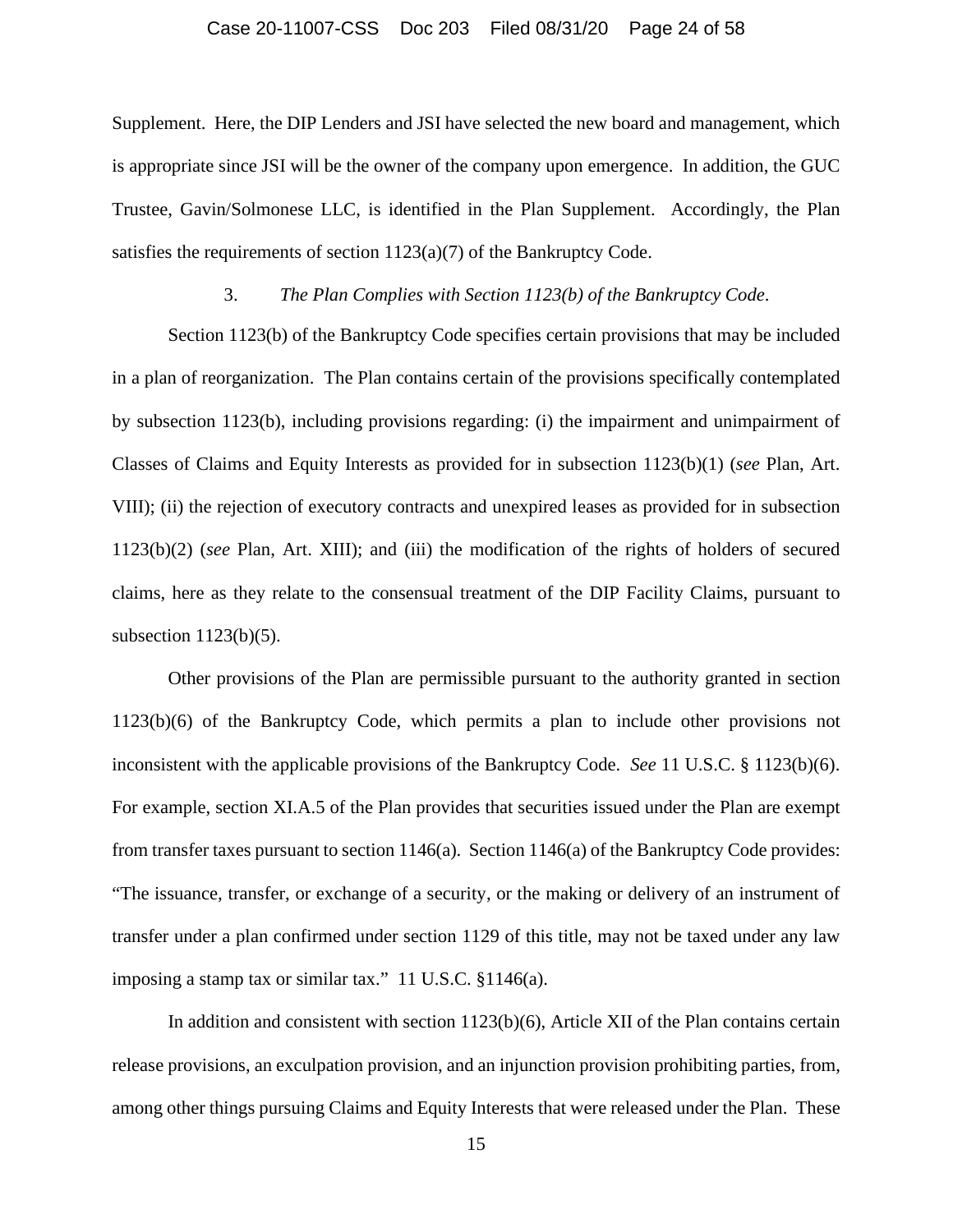### Case 20-11007-CSS Doc 203 Filed 08/31/20 Page 24 of 58

Supplement. Here, the DIP Lenders and JSI have selected the new board and management, which is appropriate since JSI will be the owner of the company upon emergence. In addition, the GUC Trustee, Gavin/Solmonese LLC, is identified in the Plan Supplement. Accordingly, the Plan satisfies the requirements of section 1123(a)(7) of the Bankruptcy Code.

### 3. *The Plan Complies with Section 1123(b) of the Bankruptcy Code*.

Section 1123(b) of the Bankruptcy Code specifies certain provisions that may be included in a plan of reorganization. The Plan contains certain of the provisions specifically contemplated by subsection 1123(b), including provisions regarding: (i) the impairment and unimpairment of Classes of Claims and Equity Interests as provided for in subsection 1123(b)(1) (*see* Plan, Art. VIII); (ii) the rejection of executory contracts and unexpired leases as provided for in subsection 1123(b)(2) (*see* Plan, Art. XIII); and (iii) the modification of the rights of holders of secured claims, here as they relate to the consensual treatment of the DIP Facility Claims, pursuant to subsection 1123(b)(5).

Other provisions of the Plan are permissible pursuant to the authority granted in section 1123(b)(6) of the Bankruptcy Code, which permits a plan to include other provisions not inconsistent with the applicable provisions of the Bankruptcy Code. *See* 11 U.S.C. § 1123(b)(6). For example, section XI.A.5 of the Plan provides that securities issued under the Plan are exempt from transfer taxes pursuant to section 1146(a). Section 1146(a) of the Bankruptcy Code provides: "The issuance, transfer, or exchange of a security, or the making or delivery of an instrument of transfer under a plan confirmed under section 1129 of this title, may not be taxed under any law imposing a stamp tax or similar tax." 11 U.S.C. §1146(a).

In addition and consistent with section 1123(b)(6), Article XII of the Plan contains certain release provisions, an exculpation provision, and an injunction provision prohibiting parties, from, among other things pursuing Claims and Equity Interests that were released under the Plan. These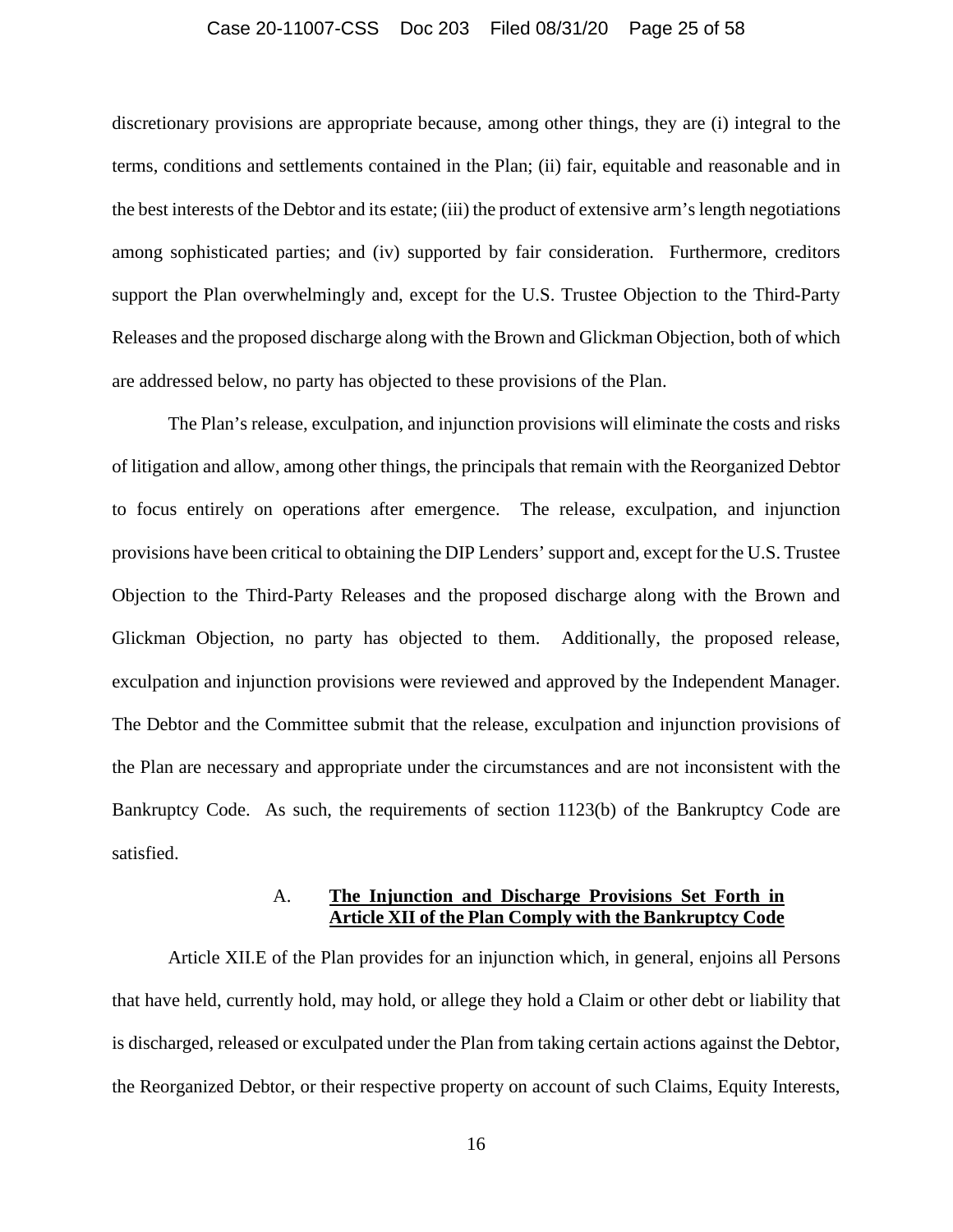#### Case 20-11007-CSS Doc 203 Filed 08/31/20 Page 25 of 58

discretionary provisions are appropriate because, among other things, they are (i) integral to the terms, conditions and settlements contained in the Plan; (ii) fair, equitable and reasonable and in the best interests of the Debtor and its estate; (iii) the product of extensive arm's length negotiations among sophisticated parties; and (iv) supported by fair consideration. Furthermore, creditors support the Plan overwhelmingly and, except for the U.S. Trustee Objection to the Third-Party Releases and the proposed discharge along with the Brown and Glickman Objection, both of which are addressed below, no party has objected to these provisions of the Plan.

The Plan's release, exculpation, and injunction provisions will eliminate the costs and risks of litigation and allow, among other things, the principals that remain with the Reorganized Debtor to focus entirely on operations after emergence. The release, exculpation, and injunction provisions have been critical to obtaining the DIP Lenders' support and, except for the U.S. Trustee Objection to the Third-Party Releases and the proposed discharge along with the Brown and Glickman Objection, no party has objected to them. Additionally, the proposed release, exculpation and injunction provisions were reviewed and approved by the Independent Manager. The Debtor and the Committee submit that the release, exculpation and injunction provisions of the Plan are necessary and appropriate under the circumstances and are not inconsistent with the Bankruptcy Code. As such, the requirements of section 1123(b) of the Bankruptcy Code are satisfied.

### A. **The Injunction and Discharge Provisions Set Forth in Article XII of the Plan Comply with the Bankruptcy Code**

Article XII.E of the Plan provides for an injunction which, in general, enjoins all Persons that have held, currently hold, may hold, or allege they hold a Claim or other debt or liability that is discharged, released or exculpated under the Plan from taking certain actions against the Debtor, the Reorganized Debtor, or their respective property on account of such Claims, Equity Interests,

16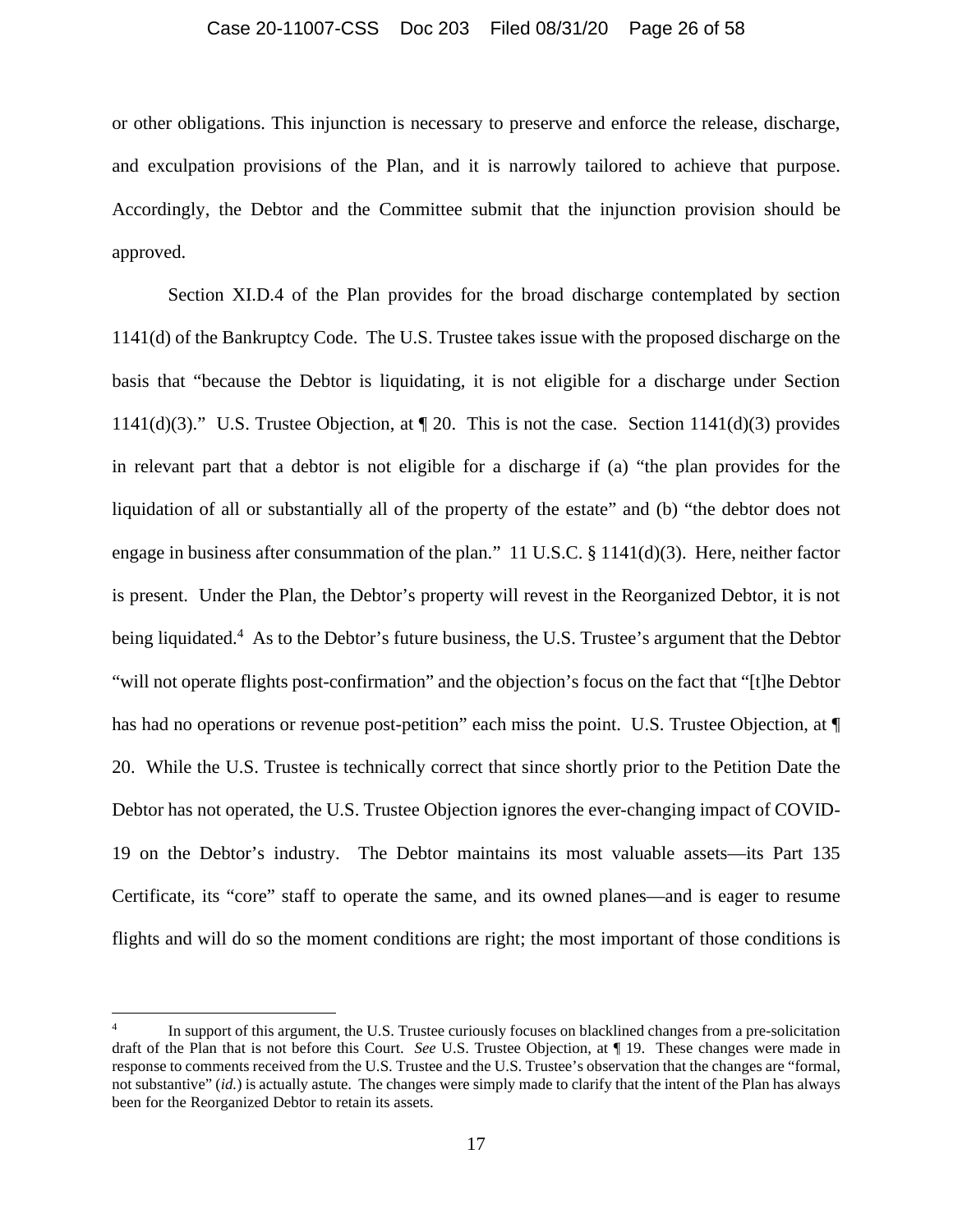# Case 20-11007-CSS Doc 203 Filed 08/31/20 Page 26 of 58

or other obligations. This injunction is necessary to preserve and enforce the release, discharge, and exculpation provisions of the Plan, and it is narrowly tailored to achieve that purpose. Accordingly, the Debtor and the Committee submit that the injunction provision should be approved.

Section XI.D.4 of the Plan provides for the broad discharge contemplated by section 1141(d) of the Bankruptcy Code. The U.S. Trustee takes issue with the proposed discharge on the basis that "because the Debtor is liquidating, it is not eligible for a discharge under Section 1141(d)(3)." U.S. Trustee Objection, at  $\P$  20. This is not the case. Section 1141(d)(3) provides in relevant part that a debtor is not eligible for a discharge if (a) "the plan provides for the liquidation of all or substantially all of the property of the estate" and (b) "the debtor does not engage in business after consummation of the plan." 11 U.S.C. § 1141(d)(3). Here, neither factor is present. Under the Plan, the Debtor's property will revest in the Reorganized Debtor, it is not being liquidated.<sup>4</sup> As to the Debtor's future business, the U.S. Trustee's argument that the Debtor "will not operate flights post-confirmation" and the objection's focus on the fact that "[t]he Debtor has had no operations or revenue post-petition" each miss the point. U.S. Trustee Objection, at  $\P$ 20. While the U.S. Trustee is technically correct that since shortly prior to the Petition Date the Debtor has not operated, the U.S. Trustee Objection ignores the ever-changing impact of COVID-19 on the Debtor's industry. The Debtor maintains its most valuable assets—its Part 135 Certificate, its "core" staff to operate the same, and its owned planes—and is eager to resume flights and will do so the moment conditions are right; the most important of those conditions is

<sup>4</sup> In support of this argument, the U.S. Trustee curiously focuses on blacklined changes from a pre-solicitation draft of the Plan that is not before this Court. *See* U.S. Trustee Objection, at ¶ 19. These changes were made in response to comments received from the U.S. Trustee and the U.S. Trustee's observation that the changes are "formal, not substantive" (*id.*) is actually astute. The changes were simply made to clarify that the intent of the Plan has always been for the Reorganized Debtor to retain its assets.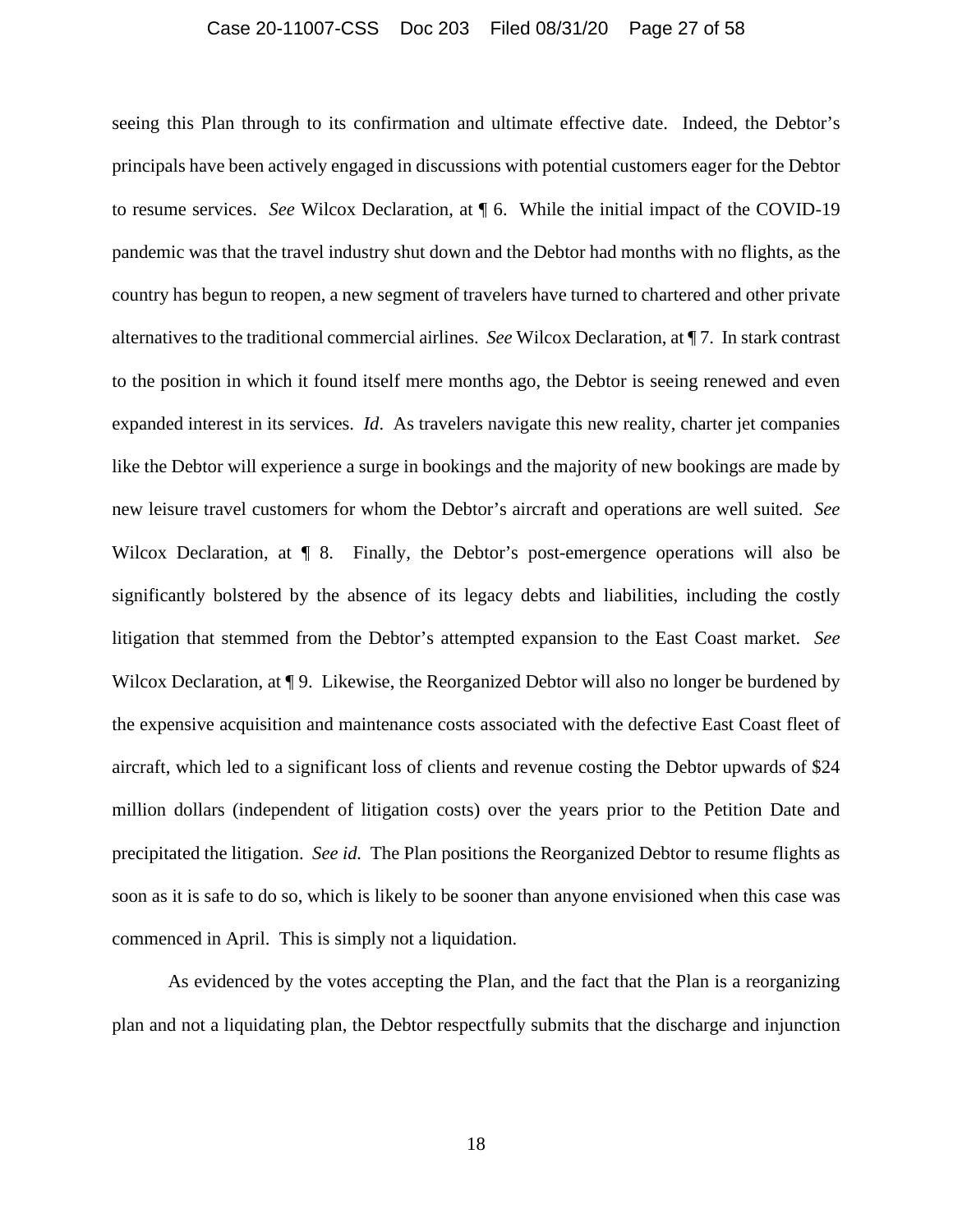### Case 20-11007-CSS Doc 203 Filed 08/31/20 Page 27 of 58

seeing this Plan through to its confirmation and ultimate effective date. Indeed, the Debtor's principals have been actively engaged in discussions with potential customers eager for the Debtor to resume services. *See* Wilcox Declaration, at ¶ 6. While the initial impact of the COVID-19 pandemic was that the travel industry shut down and the Debtor had months with no flights, as the country has begun to reopen, a new segment of travelers have turned to chartered and other private alternatives to the traditional commercial airlines. *See* Wilcox Declaration, at ¶ 7. In stark contrast to the position in which it found itself mere months ago, the Debtor is seeing renewed and even expanded interest in its services. *Id*. As travelers navigate this new reality, charter jet companies like the Debtor will experience a surge in bookings and the majority of new bookings are made by new leisure travel customers for whom the Debtor's aircraft and operations are well suited. *See* Wilcox Declaration, at  $\P$  8. Finally, the Debtor's post-emergence operations will also be significantly bolstered by the absence of its legacy debts and liabilities, including the costly litigation that stemmed from the Debtor's attempted expansion to the East Coast market. *See* Wilcox Declaration, at  $\P$  9. Likewise, the Reorganized Debtor will also no longer be burdened by the expensive acquisition and maintenance costs associated with the defective East Coast fleet of aircraft, which led to a significant loss of clients and revenue costing the Debtor upwards of \$24 million dollars (independent of litigation costs) over the years prior to the Petition Date and precipitated the litigation. *See id.* The Plan positions the Reorganized Debtor to resume flights as soon as it is safe to do so, which is likely to be sooner than anyone envisioned when this case was commenced in April. This is simply not a liquidation.

As evidenced by the votes accepting the Plan, and the fact that the Plan is a reorganizing plan and not a liquidating plan, the Debtor respectfully submits that the discharge and injunction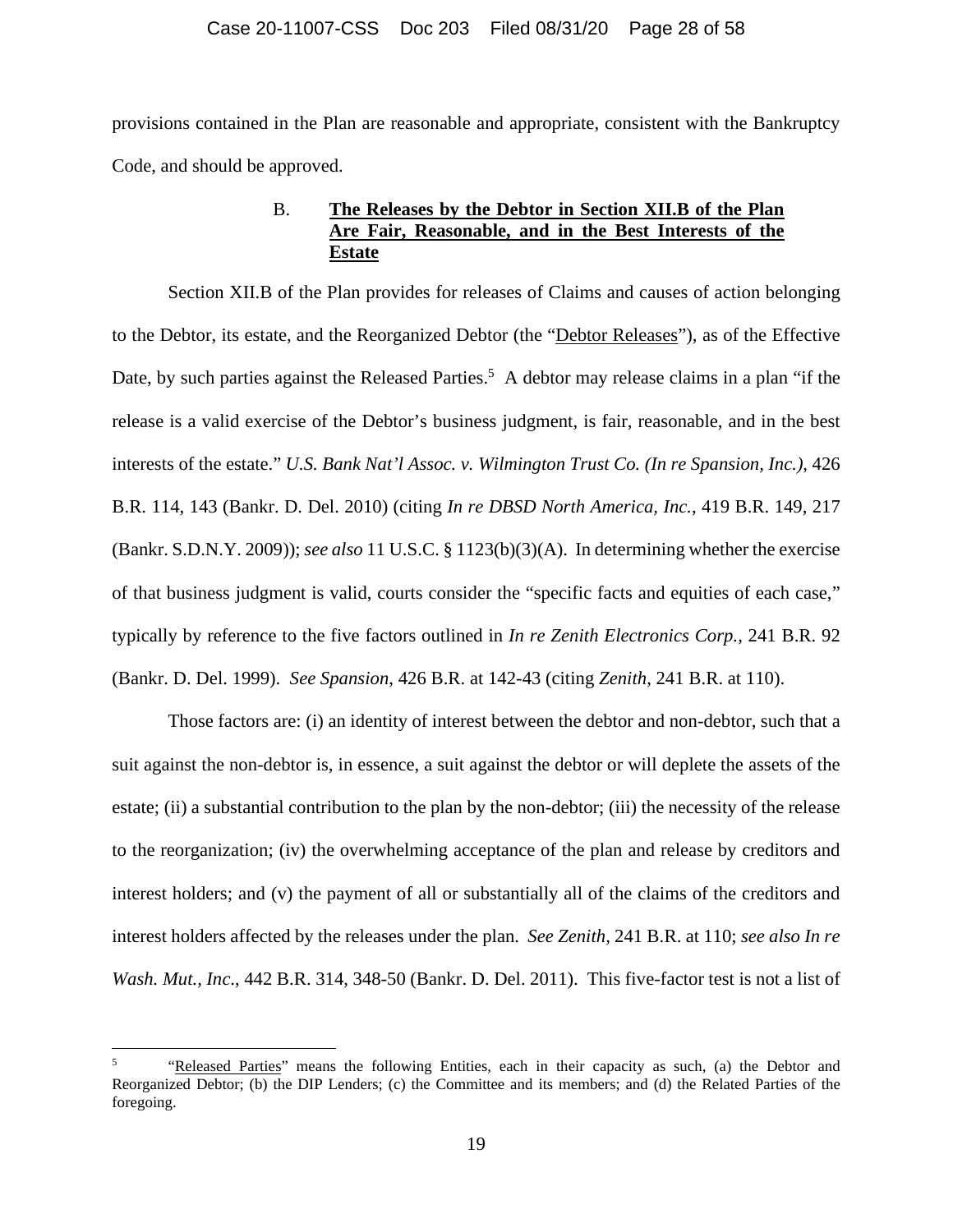provisions contained in the Plan are reasonable and appropriate, consistent with the Bankruptcy Code, and should be approved.

# B. **The Releases by the Debtor in Section XII.B of the Plan Are Fair, Reasonable, and in the Best Interests of the Estate**

Section XII.B of the Plan provides for releases of Claims and causes of action belonging to the Debtor, its estate, and the Reorganized Debtor (the "Debtor Releases"), as of the Effective Date, by such parties against the Released Parties.<sup>5</sup> A debtor may release claims in a plan "if the release is a valid exercise of the Debtor's business judgment, is fair, reasonable, and in the best interests of the estate." *U.S. Bank Nat'l Assoc. v. Wilmington Trust Co. (In re Spansion, Inc.)*, 426 B.R. 114, 143 (Bankr. D. Del. 2010) (citing *In re DBSD North America, Inc.*, 419 B.R. 149, 217 (Bankr. S.D.N.Y. 2009)); *see also* 11 U.S.C. § 1123(b)(3)(A). In determining whether the exercise of that business judgment is valid, courts consider the "specific facts and equities of each case," typically by reference to the five factors outlined in *In re Zenith Electronics Corp.,* 241 B.R. 92 (Bankr. D. Del. 1999). *See Spansion*, 426 B.R. at 142-43 (citing *Zenith*, 241 B.R. at 110).

Those factors are: (i) an identity of interest between the debtor and non-debtor, such that a suit against the non-debtor is, in essence, a suit against the debtor or will deplete the assets of the estate; (ii) a substantial contribution to the plan by the non-debtor; (iii) the necessity of the release to the reorganization; (iv) the overwhelming acceptance of the plan and release by creditors and interest holders; and (v) the payment of all or substantially all of the claims of the creditors and interest holders affected by the releases under the plan. *See Zenith,* 241 B.R. at 110; *see also In re Wash. Mut., Inc*., 442 B.R. 314, 348-50 (Bankr. D. Del. 2011). This five-factor test is not a list of

<sup>5</sup> "Released Parties" means the following Entities, each in their capacity as such, (a) the Debtor and Reorganized Debtor; (b) the DIP Lenders; (c) the Committee and its members; and (d) the Related Parties of the foregoing.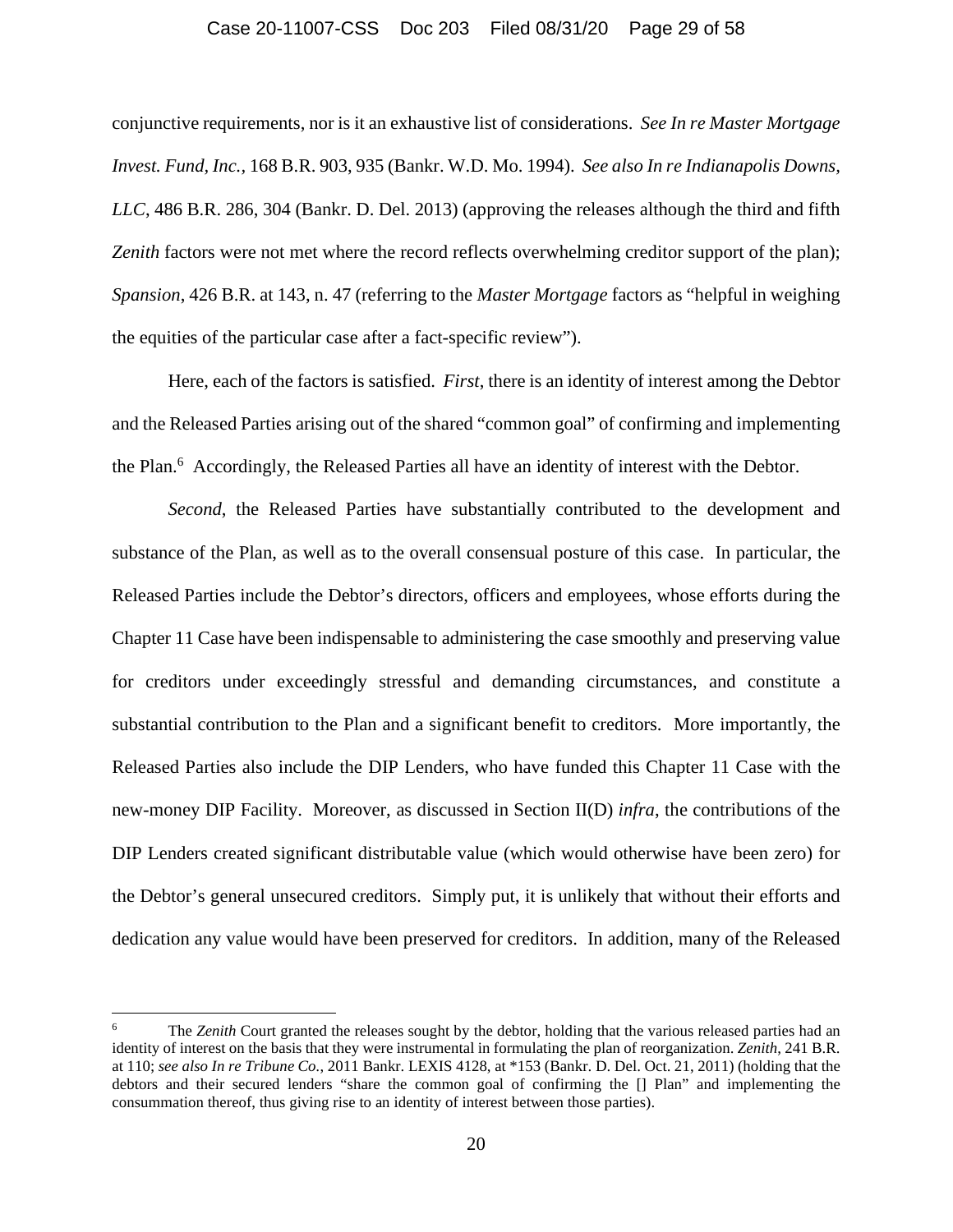#### Case 20-11007-CSS Doc 203 Filed 08/31/20 Page 29 of 58

conjunctive requirements, nor is it an exhaustive list of considerations. *See In re Master Mortgage Invest. Fund, Inc.,* 168 B.R. 903, 935 (Bankr. W.D. Mo. 1994). *See also In re Indianapolis Downs, LLC*, 486 B.R. 286, 304 (Bankr. D. Del. 2013) (approving the releases although the third and fifth Zenith factors were not met where the record reflects overwhelming creditor support of the plan); *Spansion*, 426 B.R. at 143, n. 47 (referring to the *Master Mortgage* factors as "helpful in weighing the equities of the particular case after a fact-specific review").

Here, each of the factors is satisfied. *First*, there is an identity of interest among the Debtor and the Released Parties arising out of the shared "common goal" of confirming and implementing the Plan.<sup>6</sup> Accordingly, the Released Parties all have an identity of interest with the Debtor.

*Second*, the Released Parties have substantially contributed to the development and substance of the Plan, as well as to the overall consensual posture of this case. In particular, the Released Parties include the Debtor's directors, officers and employees, whose efforts during the Chapter 11 Case have been indispensable to administering the case smoothly and preserving value for creditors under exceedingly stressful and demanding circumstances, and constitute a substantial contribution to the Plan and a significant benefit to creditors. More importantly, the Released Parties also include the DIP Lenders, who have funded this Chapter 11 Case with the new-money DIP Facility. Moreover, as discussed in Section II(D) *infra*, the contributions of the DIP Lenders created significant distributable value (which would otherwise have been zero) for the Debtor's general unsecured creditors. Simply put, it is unlikely that without their efforts and dedication any value would have been preserved for creditors. In addition, many of the Released

<sup>6</sup> The *Zenith* Court granted the releases sought by the debtor, holding that the various released parties had an identity of interest on the basis that they were instrumental in formulating the plan of reorganization. *Zenith*, 241 B.R. at 110; *see also In re Tribune Co.*, 2011 Bankr. LEXIS 4128, at \*153 (Bankr. D. Del. Oct. 21, 2011) (holding that the debtors and their secured lenders "share the common goal of confirming the [] Plan" and implementing the consummation thereof, thus giving rise to an identity of interest between those parties).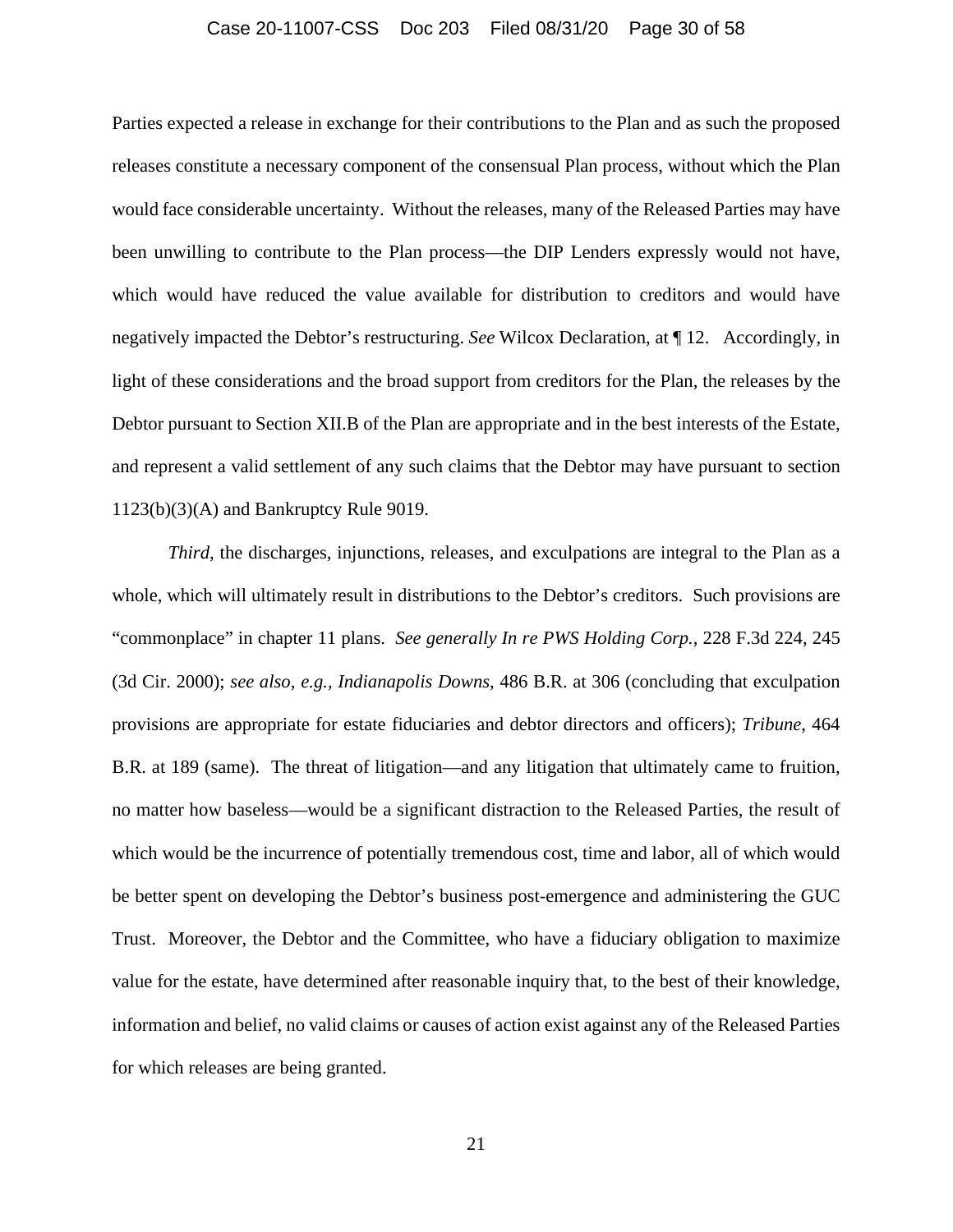#### Case 20-11007-CSS Doc 203 Filed 08/31/20 Page 30 of 58

Parties expected a release in exchange for their contributions to the Plan and as such the proposed releases constitute a necessary component of the consensual Plan process, without which the Plan would face considerable uncertainty. Without the releases, many of the Released Parties may have been unwilling to contribute to the Plan process—the DIP Lenders expressly would not have, which would have reduced the value available for distribution to creditors and would have negatively impacted the Debtor's restructuring. *See* Wilcox Declaration, at ¶ 12. Accordingly, in light of these considerations and the broad support from creditors for the Plan, the releases by the Debtor pursuant to Section XII.B of the Plan are appropriate and in the best interests of the Estate, and represent a valid settlement of any such claims that the Debtor may have pursuant to section 1123(b)(3)(A) and Bankruptcy Rule 9019.

*Third*, the discharges, injunctions, releases, and exculpations are integral to the Plan as a whole, which will ultimately result in distributions to the Debtor's creditors. Such provisions are "commonplace" in chapter 11 plans. *See generally In re PWS Holding Corp.*, 228 F.3d 224, 245 (3d Cir. 2000); *see also, e.g., Indianapolis Downs*, 486 B.R. at 306 (concluding that exculpation provisions are appropriate for estate fiduciaries and debtor directors and officers); *Tribune*, 464 B.R. at 189 (same). The threat of litigation—and any litigation that ultimately came to fruition, no matter how baseless—would be a significant distraction to the Released Parties, the result of which would be the incurrence of potentially tremendous cost, time and labor, all of which would be better spent on developing the Debtor's business post-emergence and administering the GUC Trust. Moreover, the Debtor and the Committee, who have a fiduciary obligation to maximize value for the estate, have determined after reasonable inquiry that, to the best of their knowledge, information and belief, no valid claims or causes of action exist against any of the Released Parties for which releases are being granted.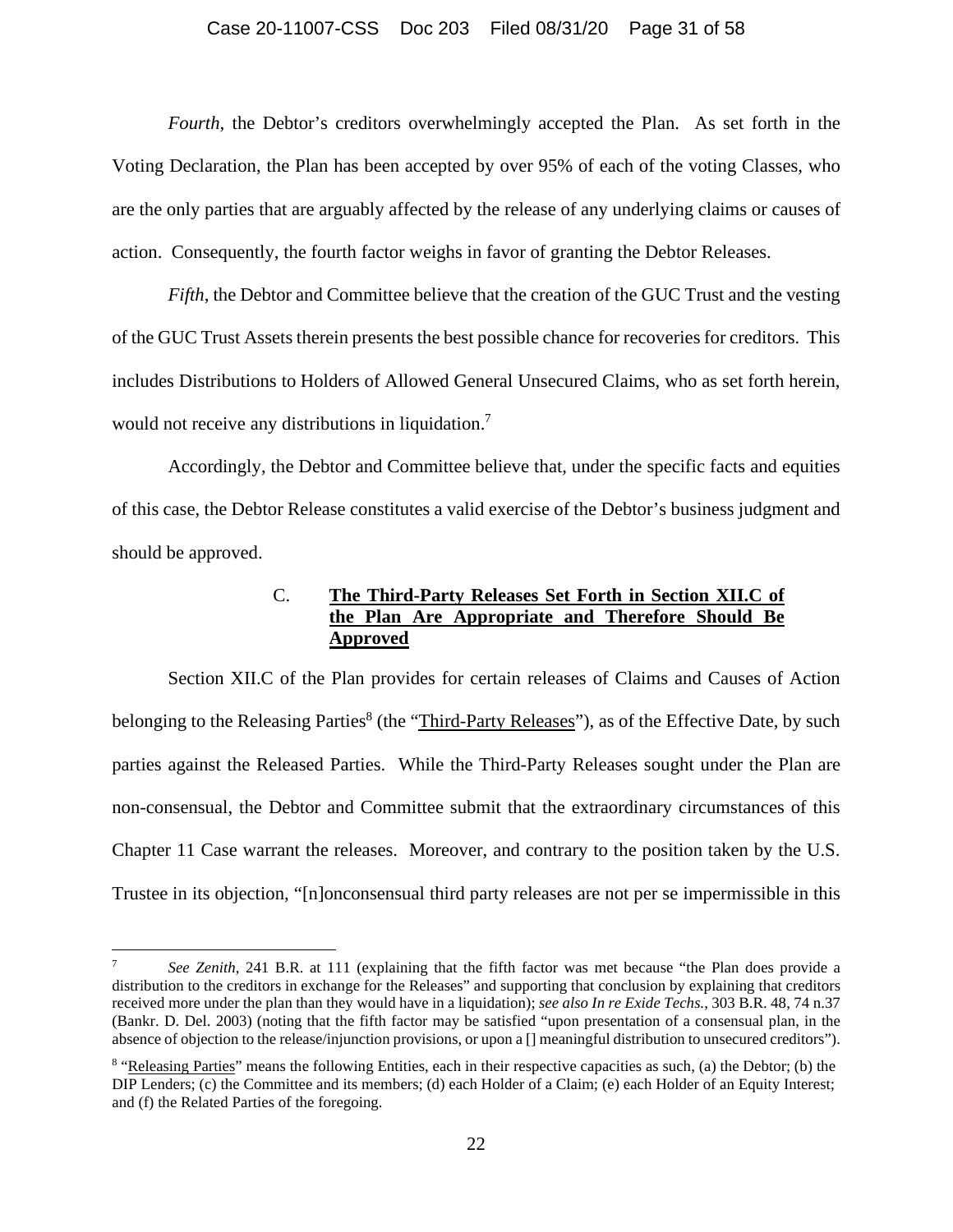#### Case 20-11007-CSS Doc 203 Filed 08/31/20 Page 31 of 58

*Fourth*, the Debtor's creditors overwhelmingly accepted the Plan. As set forth in the Voting Declaration, the Plan has been accepted by over 95% of each of the voting Classes, who are the only parties that are arguably affected by the release of any underlying claims or causes of action. Consequently, the fourth factor weighs in favor of granting the Debtor Releases.

*Fifth*, the Debtor and Committee believe that the creation of the GUC Trust and the vesting of the GUC Trust Assets therein presents the best possible chance for recoveries for creditors. This includes Distributions to Holders of Allowed General Unsecured Claims, who as set forth herein, would not receive any distributions in liquidation.<sup>7</sup>

Accordingly, the Debtor and Committee believe that, under the specific facts and equities of this case, the Debtor Release constitutes a valid exercise of the Debtor's business judgment and should be approved.

# C. **The Third-Party Releases Set Forth in Section XII.C of the Plan Are Appropriate and Therefore Should Be Approved**

Section XII.C of the Plan provides for certain releases of Claims and Causes of Action belonging to the Releasing Parties<sup>8</sup> (the "Third-Party Releases"), as of the Effective Date, by such parties against the Released Parties. While the Third-Party Releases sought under the Plan are non-consensual, the Debtor and Committee submit that the extraordinary circumstances of this Chapter 11 Case warrant the releases. Moreover, and contrary to the position taken by the U.S. Trustee in its objection, "[n]onconsensual third party releases are not per se impermissible in this

<sup>7</sup> *See Zenith*, 241 B.R. at 111 (explaining that the fifth factor was met because "the Plan does provide a distribution to the creditors in exchange for the Releases" and supporting that conclusion by explaining that creditors received more under the plan than they would have in a liquidation); *see also In re Exide Techs.*, 303 B.R. 48, 74 n.37 (Bankr. D. Del. 2003) (noting that the fifth factor may be satisfied "upon presentation of a consensual plan, in the absence of objection to the release/injunction provisions, or upon a [] meaningful distribution to unsecured creditors").

<sup>&</sup>lt;sup>8</sup> "Releasing Parties" means the following Entities, each in their respective capacities as such, (a) the Debtor; (b) the DIP Lenders; (c) the Committee and its members; (d) each Holder of a Claim; (e) each Holder of an Equity Interest; and (f) the Related Parties of the foregoing.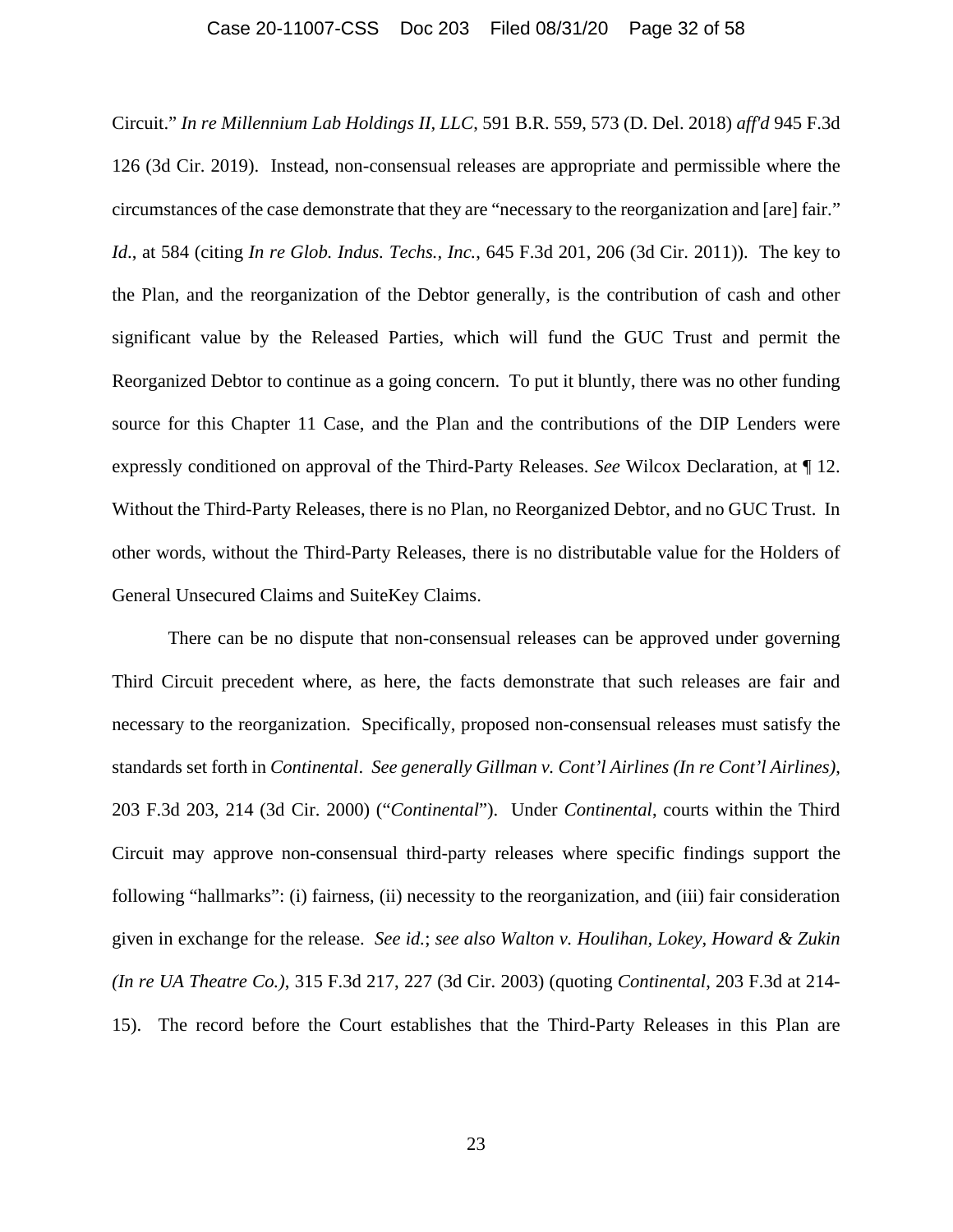### Case 20-11007-CSS Doc 203 Filed 08/31/20 Page 32 of 58

Circuit." *In re Millennium Lab Holdings II, LLC*, 591 B.R. 559, 573 (D. Del. 2018) *aff'd* 945 F.3d 126 (3d Cir. 2019). Instead, non-consensual releases are appropriate and permissible where the circumstances of the case demonstrate that they are "necessary to the reorganization and [are] fair." *Id*., at 584 (citing *In re Glob. Indus. Techs., Inc.*, 645 F.3d 201, 206 (3d Cir. 2011)). The key to the Plan, and the reorganization of the Debtor generally, is the contribution of cash and other significant value by the Released Parties, which will fund the GUC Trust and permit the Reorganized Debtor to continue as a going concern. To put it bluntly, there was no other funding source for this Chapter 11 Case, and the Plan and the contributions of the DIP Lenders were expressly conditioned on approval of the Third-Party Releases. *See* Wilcox Declaration, at ¶ 12. Without the Third-Party Releases, there is no Plan, no Reorganized Debtor, and no GUC Trust. In other words, without the Third-Party Releases, there is no distributable value for the Holders of General Unsecured Claims and SuiteKey Claims.

There can be no dispute that non-consensual releases can be approved under governing Third Circuit precedent where, as here, the facts demonstrate that such releases are fair and necessary to the reorganization. Specifically, proposed non-consensual releases must satisfy the standards set forth in *Continental*. *See generally Gillman v. Cont'l Airlines (In re Cont'l Airlines)*, 203 F.3d 203, 214 (3d Cir. 2000) ("*Continental*"). Under *Continental*, courts within the Third Circuit may approve non-consensual third-party releases where specific findings support the following "hallmarks": (i) fairness, (ii) necessity to the reorganization, and (iii) fair consideration given in exchange for the release. *See id.*; *see also Walton v. Houlihan, Lokey, Howard & Zukin (In re UA Theatre Co.)*, 315 F.3d 217, 227 (3d Cir. 2003) (quoting *Continental*, 203 F.3d at 214- 15). The record before the Court establishes that the Third-Party Releases in this Plan are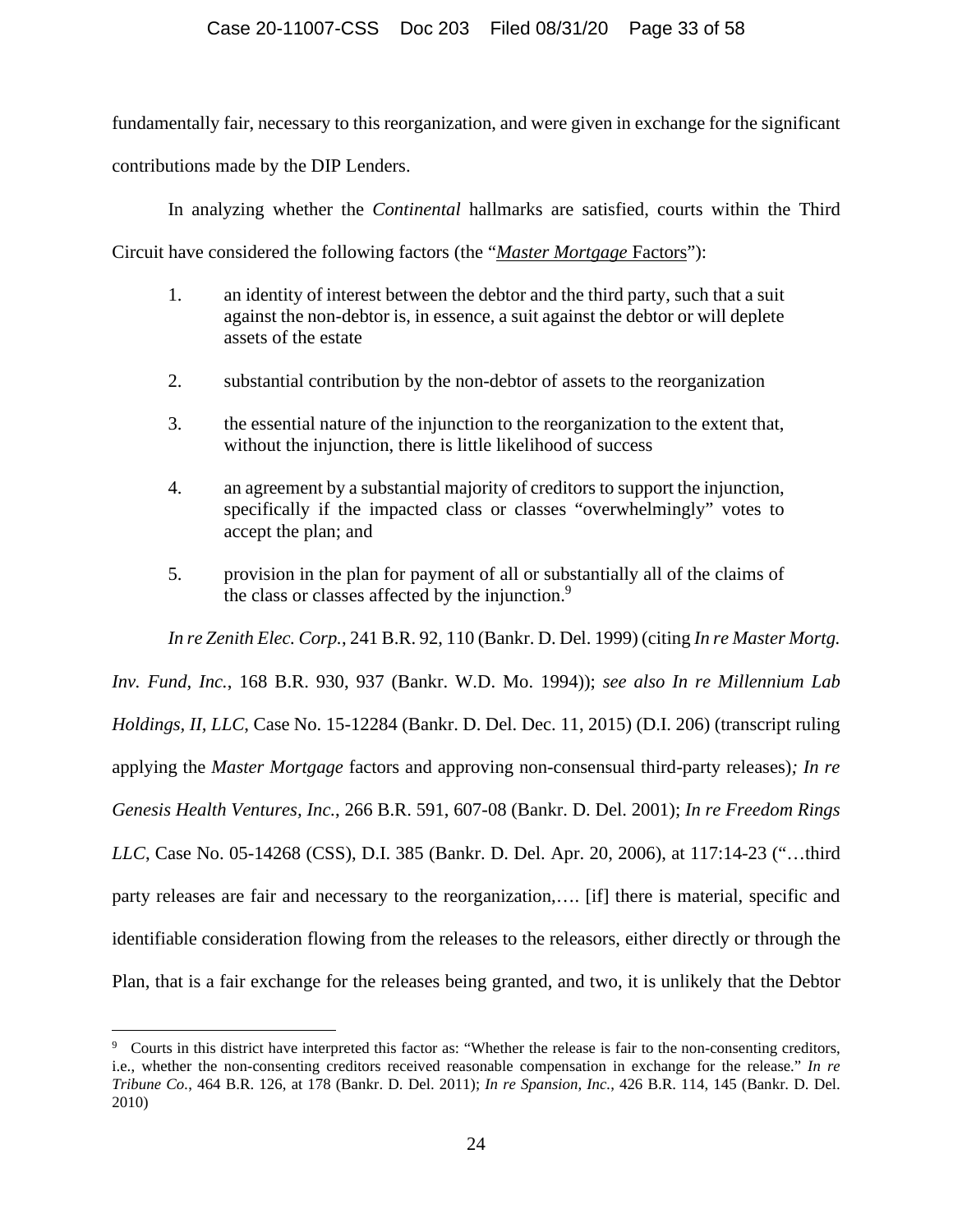### Case 20-11007-CSS Doc 203 Filed 08/31/20 Page 33 of 58

fundamentally fair, necessary to this reorganization, and were given in exchange for the significant contributions made by the DIP Lenders.

In analyzing whether the *Continental* hallmarks are satisfied, courts within the Third

Circuit have considered the following factors (the "*Master Mortgage* Factors"):

- 1. an identity of interest between the debtor and the third party, such that a suit against the non-debtor is, in essence, a suit against the debtor or will deplete assets of the estate
- 2. substantial contribution by the non-debtor of assets to the reorganization
- 3. the essential nature of the injunction to the reorganization to the extent that, without the injunction, there is little likelihood of success
- 4. an agreement by a substantial majority of creditors to support the injunction, specifically if the impacted class or classes "overwhelmingly" votes to accept the plan; and
- 5. provision in the plan for payment of all or substantially all of the claims of the class or classes affected by the injunction.<sup>9</sup>

*In re Zenith Elec. Corp.*, 241 B.R. 92, 110 (Bankr. D. Del. 1999) (citing *In re Master Mortg.* 

*Inv. Fund, Inc.*, 168 B.R. 930, 937 (Bankr. W.D. Mo. 1994)); *see also In re Millennium Lab Holdings, II, LLC*, Case No. 15-12284 (Bankr. D. Del. Dec. 11, 2015) (D.I. 206) (transcript ruling applying the *Master Mortgage* factors and approving non-consensual third-party releases)*; In re Genesis Health Ventures, Inc.*, 266 B.R. 591, 607-08 (Bankr. D. Del. 2001); *In re Freedom Rings LLC*, Case No. 05-14268 (CSS), D.I. 385 (Bankr. D. Del. Apr. 20, 2006), at 117:14-23 ("…third party releases are fair and necessary to the reorganization,…. [if] there is material, specific and identifiable consideration flowing from the releases to the releasors, either directly or through the Plan, that is a fair exchange for the releases being granted, and two, it is unlikely that the Debtor

<sup>&</sup>lt;sup>9</sup> Courts in this district have interpreted this factor as: "Whether the release is fair to the non-consenting creditors, i.e., whether the non-consenting creditors received reasonable compensation in exchange for the release." *In re Tribune Co.*, 464 B.R. 126, at 178 (Bankr. D. Del. 2011); *In re Spansion, Inc.*, 426 B.R. 114, 145 (Bankr. D. Del. 2010)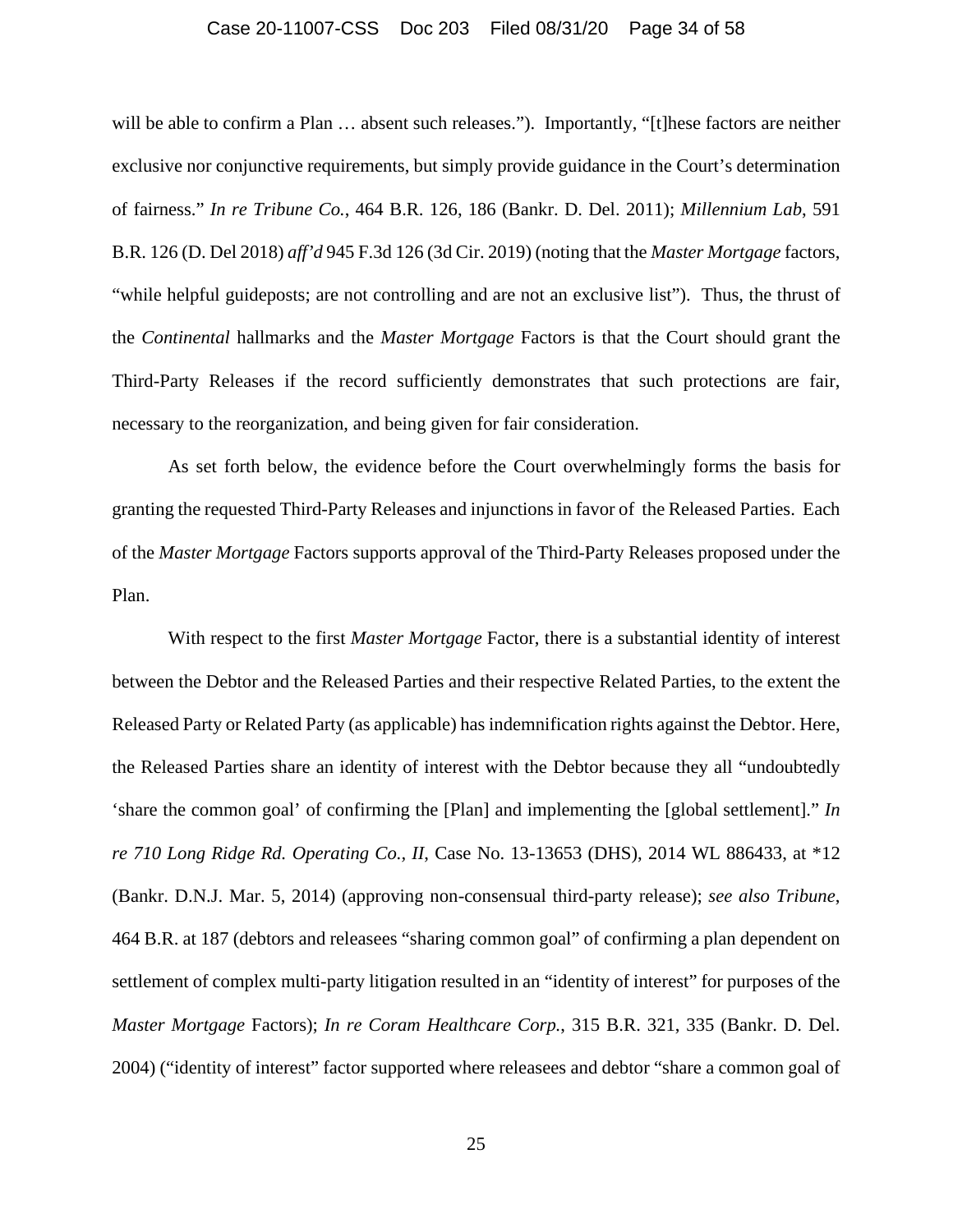#### Case 20-11007-CSS Doc 203 Filed 08/31/20 Page 34 of 58

will be able to confirm a Plan  $\ldots$  absent such releases."). Importantly, "[t]hese factors are neither exclusive nor conjunctive requirements, but simply provide guidance in the Court's determination of fairness." *In re Tribune Co.*, 464 B.R. 126, 186 (Bankr. D. Del. 2011); *Millennium Lab*, 591 B.R. 126 (D. Del 2018) *aff'd* 945 F.3d 126 (3d Cir. 2019) (noting that the *Master Mortgage* factors, "while helpful guideposts; are not controlling and are not an exclusive list"). Thus, the thrust of the *Continental* hallmarks and the *Master Mortgage* Factors is that the Court should grant the Third-Party Releases if the record sufficiently demonstrates that such protections are fair, necessary to the reorganization, and being given for fair consideration.

As set forth below, the evidence before the Court overwhelmingly forms the basis for granting the requested Third-Party Releases and injunctions in favor of the Released Parties. Each of the *Master Mortgage* Factors supports approval of the Third-Party Releases proposed under the Plan.

With respect to the first *Master Mortgage* Factor, there is a substantial identity of interest between the Debtor and the Released Parties and their respective Related Parties, to the extent the Released Party or Related Party (as applicable) has indemnification rights against the Debtor. Here, the Released Parties share an identity of interest with the Debtor because they all "undoubtedly 'share the common goal' of confirming the [Plan] and implementing the [global settlement]." *In re 710 Long Ridge Rd. Operating Co., II*, Case No. 13-13653 (DHS), 2014 WL 886433, at \*12 (Bankr. D.N.J. Mar. 5, 2014) (approving non-consensual third-party release); *see also Tribune*, 464 B.R. at 187 (debtors and releasees "sharing common goal" of confirming a plan dependent on settlement of complex multi-party litigation resulted in an "identity of interest" for purposes of the *Master Mortgage* Factors); *In re Coram Healthcare Corp.*, 315 B.R. 321, 335 (Bankr. D. Del. 2004) ("identity of interest" factor supported where releasees and debtor "share a common goal of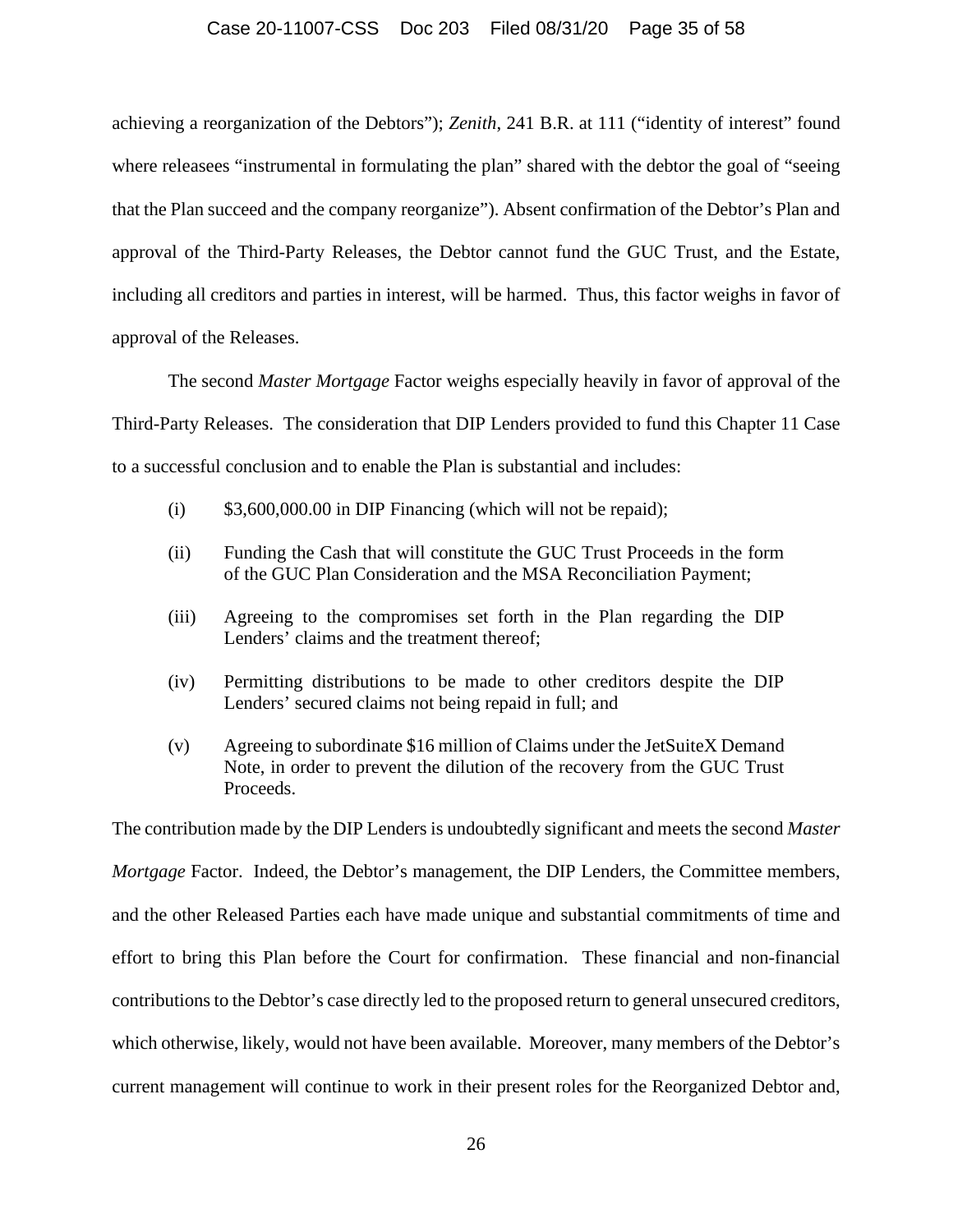#### Case 20-11007-CSS Doc 203 Filed 08/31/20 Page 35 of 58

achieving a reorganization of the Debtors"); *Zenith*, 241 B.R. at 111 ("identity of interest" found where releasees "instrumental in formulating the plan" shared with the debtor the goal of "seeing that the Plan succeed and the company reorganize"). Absent confirmation of the Debtor's Plan and approval of the Third-Party Releases, the Debtor cannot fund the GUC Trust, and the Estate, including all creditors and parties in interest, will be harmed. Thus, this factor weighs in favor of approval of the Releases.

The second *Master Mortgage* Factor weighs especially heavily in favor of approval of the Third-Party Releases. The consideration that DIP Lenders provided to fund this Chapter 11 Case to a successful conclusion and to enable the Plan is substantial and includes:

- (i)  $$3,600,000.00$  in DIP Financing (which will not be repaid);
- (ii) Funding the Cash that will constitute the GUC Trust Proceeds in the form of the GUC Plan Consideration and the MSA Reconciliation Payment;
- (iii) Agreeing to the compromises set forth in the Plan regarding the DIP Lenders' claims and the treatment thereof;
- (iv) Permitting distributions to be made to other creditors despite the DIP Lenders' secured claims not being repaid in full; and
- (v) Agreeing to subordinate \$16 million of Claims under the JetSuiteX Demand Note, in order to prevent the dilution of the recovery from the GUC Trust Proceeds.

The contribution made by the DIP Lenders is undoubtedly significant and meets the second *Master Mortgage* Factor. Indeed, the Debtor's management, the DIP Lenders, the Committee members, and the other Released Parties each have made unique and substantial commitments of time and effort to bring this Plan before the Court for confirmation. These financial and non-financial contributions to the Debtor's case directly led to the proposed return to general unsecured creditors, which otherwise, likely, would not have been available. Moreover, many members of the Debtor's current management will continue to work in their present roles for the Reorganized Debtor and,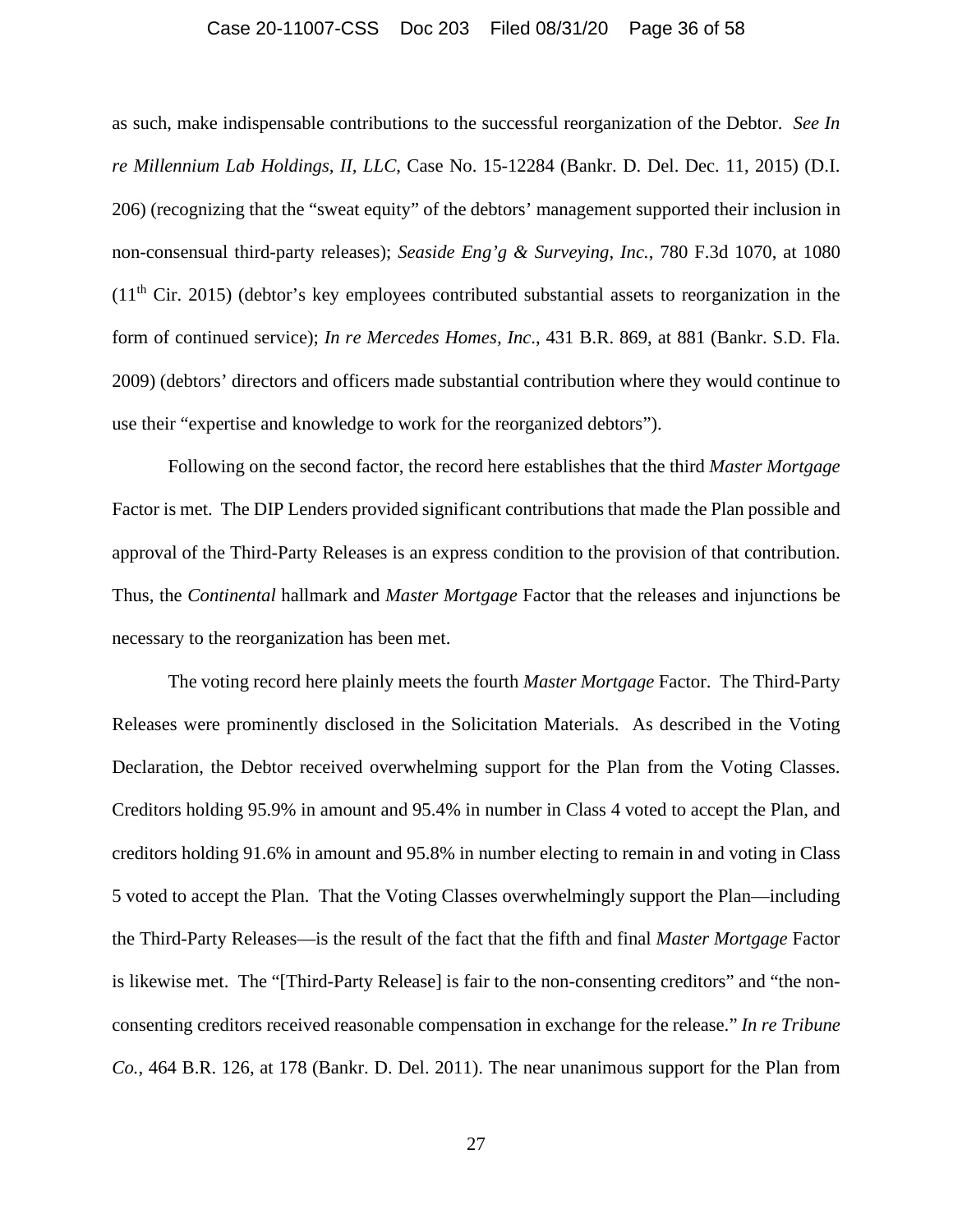### Case 20-11007-CSS Doc 203 Filed 08/31/20 Page 36 of 58

as such, make indispensable contributions to the successful reorganization of the Debtor. *See In re Millennium Lab Holdings, II, LLC*, Case No. 15-12284 (Bankr. D. Del. Dec. 11, 2015) (D.I. 206) (recognizing that the "sweat equity" of the debtors' management supported their inclusion in non-consensual third-party releases); *Seaside Eng'g & Surveying, Inc.*, 780 F.3d 1070, at 1080  $(11<sup>th</sup> Cir. 2015)$  (debtor's key employees contributed substantial assets to reorganization in the form of continued service); *In re Mercedes Homes, Inc*., 431 B.R. 869, at 881 (Bankr. S.D. Fla. 2009) (debtors' directors and officers made substantial contribution where they would continue to use their "expertise and knowledge to work for the reorganized debtors").

Following on the second factor, the record here establishes that the third *Master Mortgage*  Factor is met. The DIP Lenders provided significant contributions that made the Plan possible and approval of the Third-Party Releases is an express condition to the provision of that contribution. Thus, the *Continental* hallmark and *Master Mortgage* Factor that the releases and injunctions be necessary to the reorganization has been met.

The voting record here plainly meets the fourth *Master Mortgage* Factor. The Third-Party Releases were prominently disclosed in the Solicitation Materials. As described in the Voting Declaration, the Debtor received overwhelming support for the Plan from the Voting Classes. Creditors holding 95.9% in amount and 95.4% in number in Class 4 voted to accept the Plan, and creditors holding 91.6% in amount and 95.8% in number electing to remain in and voting in Class 5 voted to accept the Plan. That the Voting Classes overwhelmingly support the Plan—including the Third-Party Releases—is the result of the fact that the fifth and final *Master Mortgage* Factor is likewise met. The "[Third-Party Release] is fair to the non-consenting creditors" and "the nonconsenting creditors received reasonable compensation in exchange for the release." *In re Tribune Co.*, 464 B.R. 126, at 178 (Bankr. D. Del. 2011). The near unanimous support for the Plan from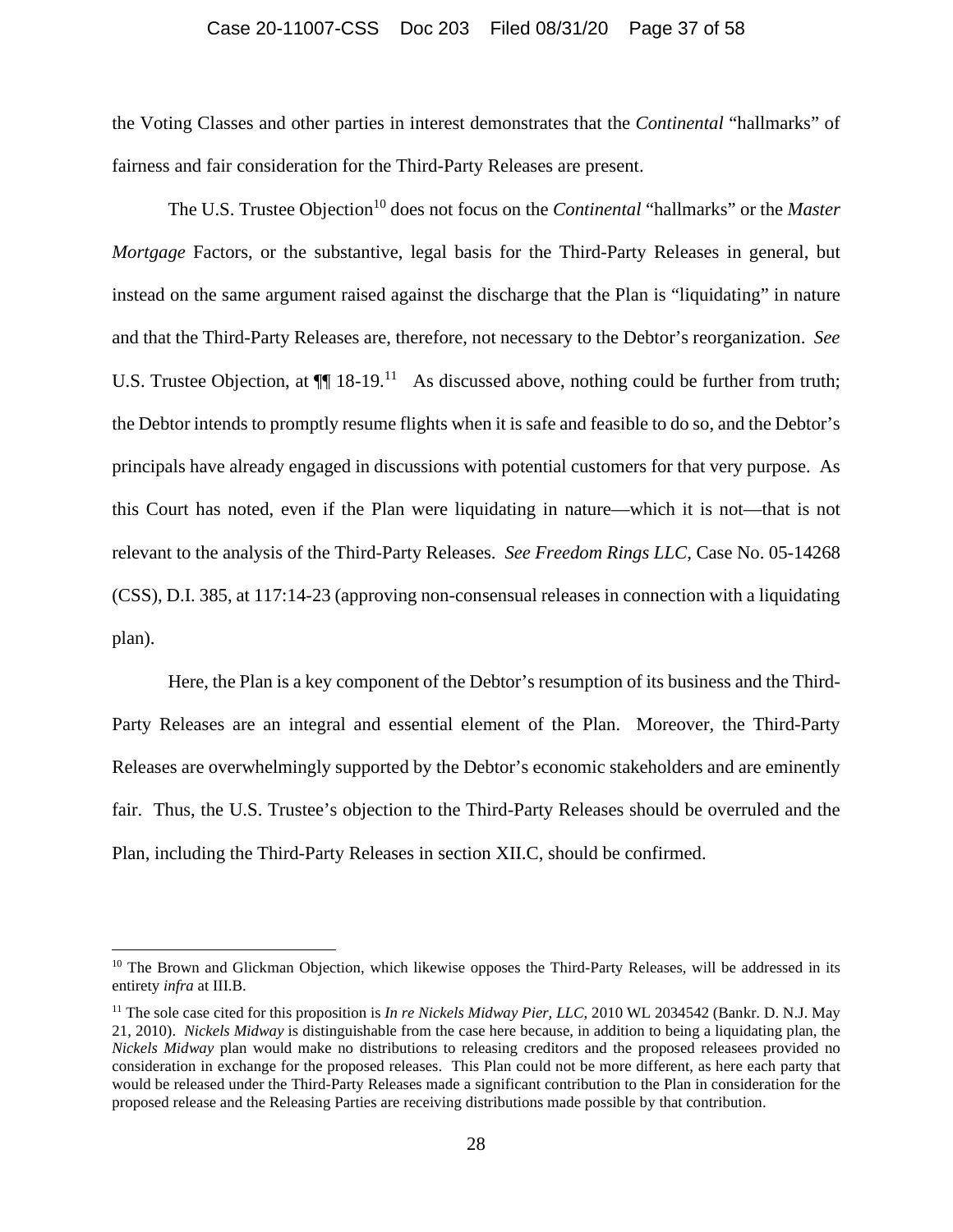#### Case 20-11007-CSS Doc 203 Filed 08/31/20 Page 37 of 58

the Voting Classes and other parties in interest demonstrates that the *Continental* "hallmarks" of fairness and fair consideration for the Third-Party Releases are present.

The U.S. Trustee Objection<sup>10</sup> does not focus on the *Continental* "hallmarks" or the *Master Mortgage* Factors, or the substantive, legal basis for the Third-Party Releases in general, but instead on the same argument raised against the discharge that the Plan is "liquidating" in nature and that the Third-Party Releases are, therefore, not necessary to the Debtor's reorganization. *See*  U.S. Trustee Objection, at  $\P$  18-19.<sup>11</sup> As discussed above, nothing could be further from truth; the Debtor intends to promptly resume flights when it is safe and feasible to do so, and the Debtor's principals have already engaged in discussions with potential customers for that very purpose. As this Court has noted, even if the Plan were liquidating in nature—which it is not—that is not relevant to the analysis of the Third-Party Releases. *See Freedom Rings LLC*, Case No. 05-14268 (CSS), D.I. 385, at 117:14-23 (approving non-consensual releases in connection with a liquidating plan).

Here, the Plan is a key component of the Debtor's resumption of its business and the Third-Party Releases are an integral and essential element of the Plan. Moreover, the Third-Party Releases are overwhelmingly supported by the Debtor's economic stakeholders and are eminently fair. Thus, the U.S. Trustee's objection to the Third-Party Releases should be overruled and the Plan, including the Third-Party Releases in section XII.C, should be confirmed.

<sup>&</sup>lt;sup>10</sup> The Brown and Glickman Objection, which likewise opposes the Third-Party Releases, will be addressed in its entirety *infra* at III.B.

<sup>11</sup> The sole case cited for this proposition is *In re Nickels Midway Pier*, *LLC*, 2010 WL 2034542 (Bankr. D. N.J. May 21, 2010). *Nickels Midway* is distinguishable from the case here because, in addition to being a liquidating plan, the *Nickels Midway* plan would make no distributions to releasing creditors and the proposed releasees provided no consideration in exchange for the proposed releases. This Plan could not be more different, as here each party that would be released under the Third-Party Releases made a significant contribution to the Plan in consideration for the proposed release and the Releasing Parties are receiving distributions made possible by that contribution.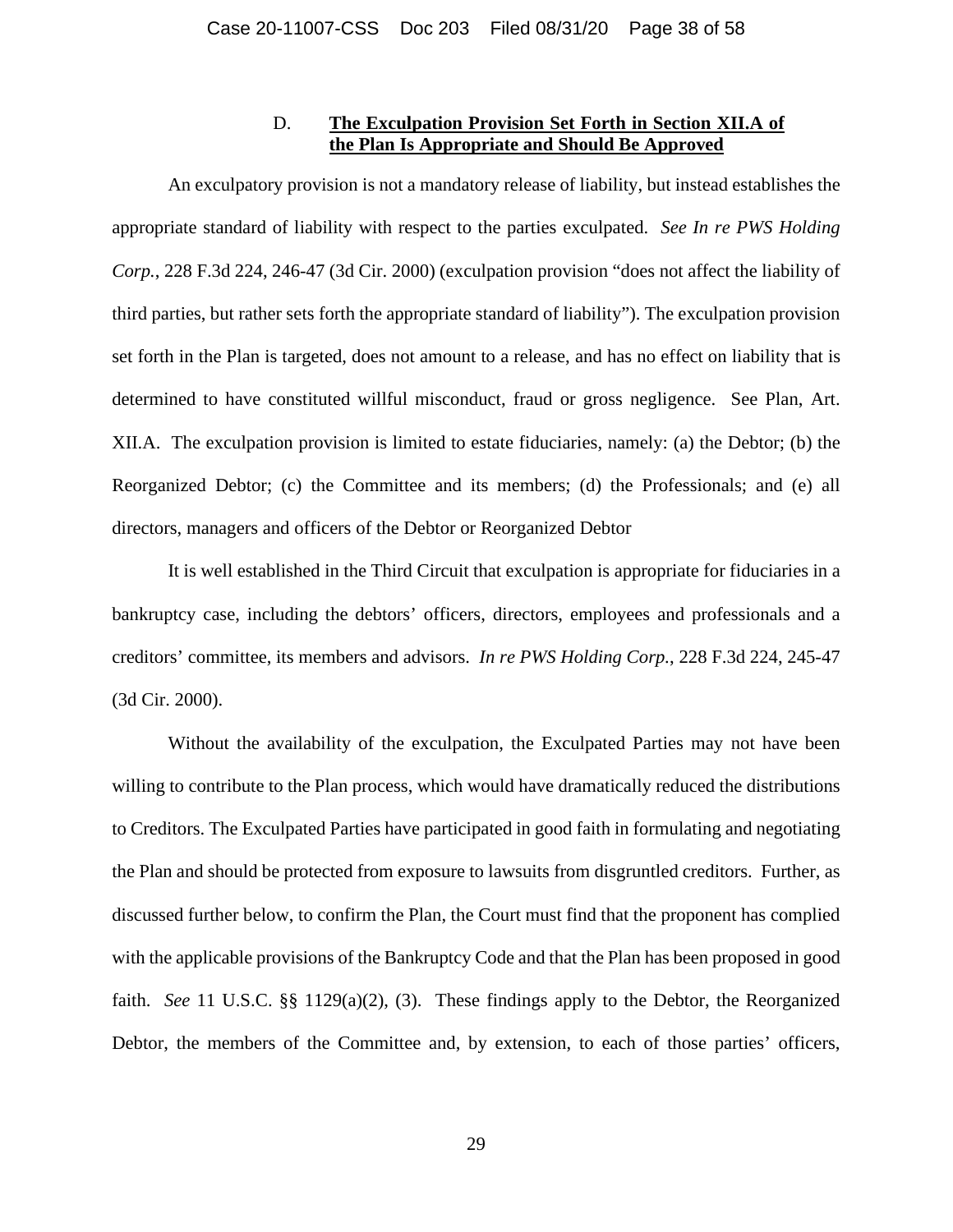# D. **The Exculpation Provision Set Forth in Section XII.A of the Plan Is Appropriate and Should Be Approved**

An exculpatory provision is not a mandatory release of liability, but instead establishes the appropriate standard of liability with respect to the parties exculpated. *See In re PWS Holding Corp.*, 228 F.3d 224, 246-47 (3d Cir. 2000) (exculpation provision "does not affect the liability of third parties, but rather sets forth the appropriate standard of liability"). The exculpation provision set forth in the Plan is targeted, does not amount to a release, and has no effect on liability that is determined to have constituted willful misconduct, fraud or gross negligence. See Plan, Art. XII.A. The exculpation provision is limited to estate fiduciaries, namely: (a) the Debtor; (b) the Reorganized Debtor; (c) the Committee and its members; (d) the Professionals; and (e) all directors, managers and officers of the Debtor or Reorganized Debtor

It is well established in the Third Circuit that exculpation is appropriate for fiduciaries in a bankruptcy case, including the debtors' officers, directors, employees and professionals and a creditors' committee, its members and advisors. *In re PWS Holding Corp.*, 228 F.3d 224, 245-47 (3d Cir. 2000).

Without the availability of the exculpation, the Exculpated Parties may not have been willing to contribute to the Plan process, which would have dramatically reduced the distributions to Creditors. The Exculpated Parties have participated in good faith in formulating and negotiating the Plan and should be protected from exposure to lawsuits from disgruntled creditors. Further, as discussed further below, to confirm the Plan, the Court must find that the proponent has complied with the applicable provisions of the Bankruptcy Code and that the Plan has been proposed in good faith. *See* 11 U.S.C. §§ 1129(a)(2), (3). These findings apply to the Debtor, the Reorganized Debtor, the members of the Committee and, by extension, to each of those parties' officers,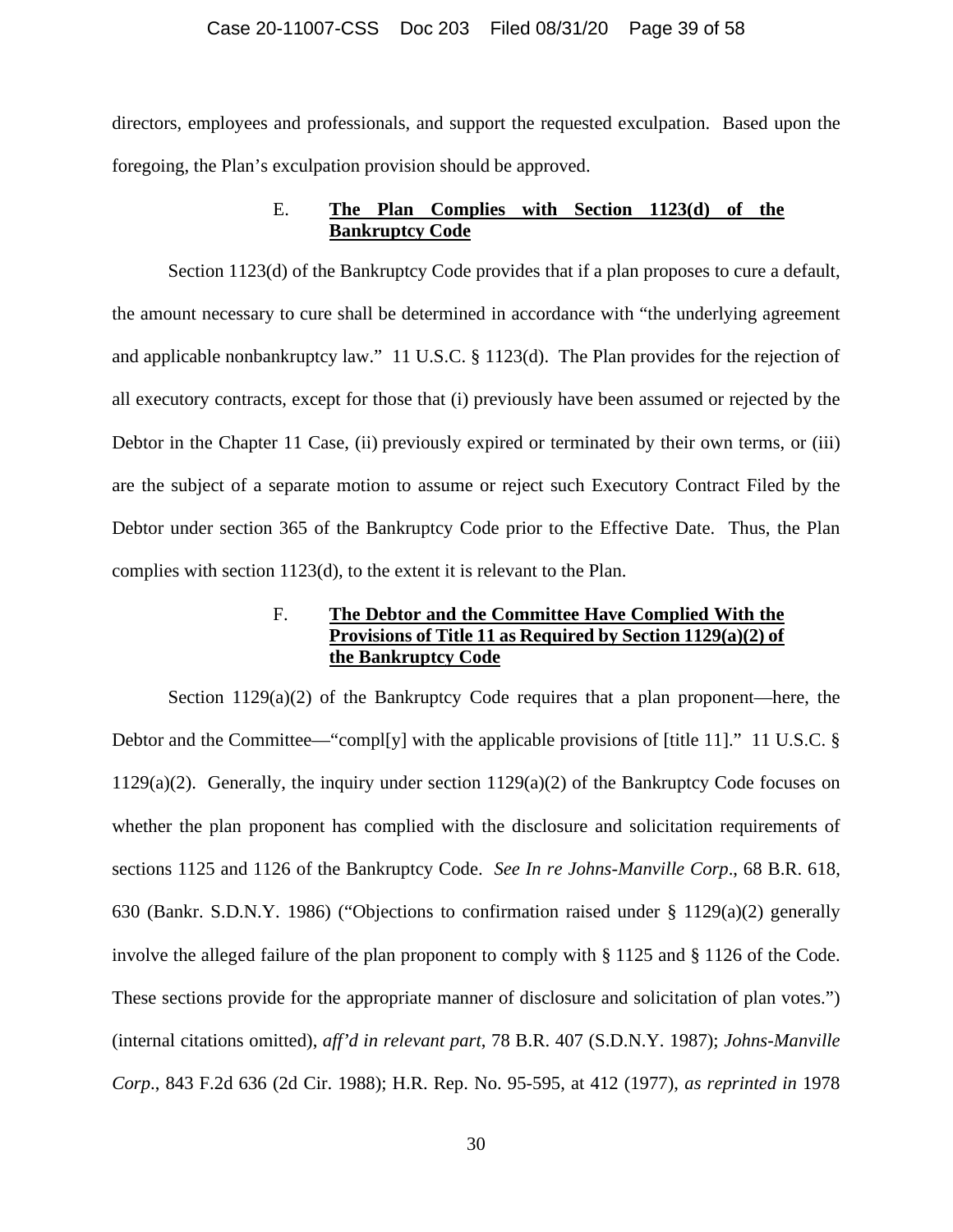### Case 20-11007-CSS Doc 203 Filed 08/31/20 Page 39 of 58

directors, employees and professionals, and support the requested exculpation. Based upon the foregoing, the Plan's exculpation provision should be approved.

# E. **The Plan Complies with Section 1123(d) of the Bankruptcy Code**

Section 1123(d) of the Bankruptcy Code provides that if a plan proposes to cure a default, the amount necessary to cure shall be determined in accordance with "the underlying agreement and applicable nonbankruptcy law." 11 U.S.C. § 1123(d). The Plan provides for the rejection of all executory contracts, except for those that (i) previously have been assumed or rejected by the Debtor in the Chapter 11 Case, (ii) previously expired or terminated by their own terms, or (iii) are the subject of a separate motion to assume or reject such Executory Contract Filed by the Debtor under section 365 of the Bankruptcy Code prior to the Effective Date. Thus, the Plan complies with section 1123(d), to the extent it is relevant to the Plan.

## F. **The Debtor and the Committee Have Complied With the Provisions of Title 11 as Required by Section 1129(a)(2) of the Bankruptcy Code**

Section  $1129(a)(2)$  of the Bankruptcy Code requires that a plan proponent—here, the Debtor and the Committee—"compl[y] with the applicable provisions of [title 11]." 11 U.S.C. § 1129(a)(2). Generally, the inquiry under section  $1129(a)(2)$  of the Bankruptcy Code focuses on whether the plan proponent has complied with the disclosure and solicitation requirements of sections 1125 and 1126 of the Bankruptcy Code. *See In re Johns-Manville Corp*., 68 B.R. 618, 630 (Bankr. S.D.N.Y. 1986) ("Objections to confirmation raised under § 1129(a)(2) generally involve the alleged failure of the plan proponent to comply with § 1125 and § 1126 of the Code. These sections provide for the appropriate manner of disclosure and solicitation of plan votes.") (internal citations omitted), *aff'd in relevant part*, 78 B.R. 407 (S.D.N.Y. 1987); *Johns-Manville Corp*., 843 F.2d 636 (2d Cir. 1988); H.R. Rep. No. 95-595, at 412 (1977), *as reprinted in* 1978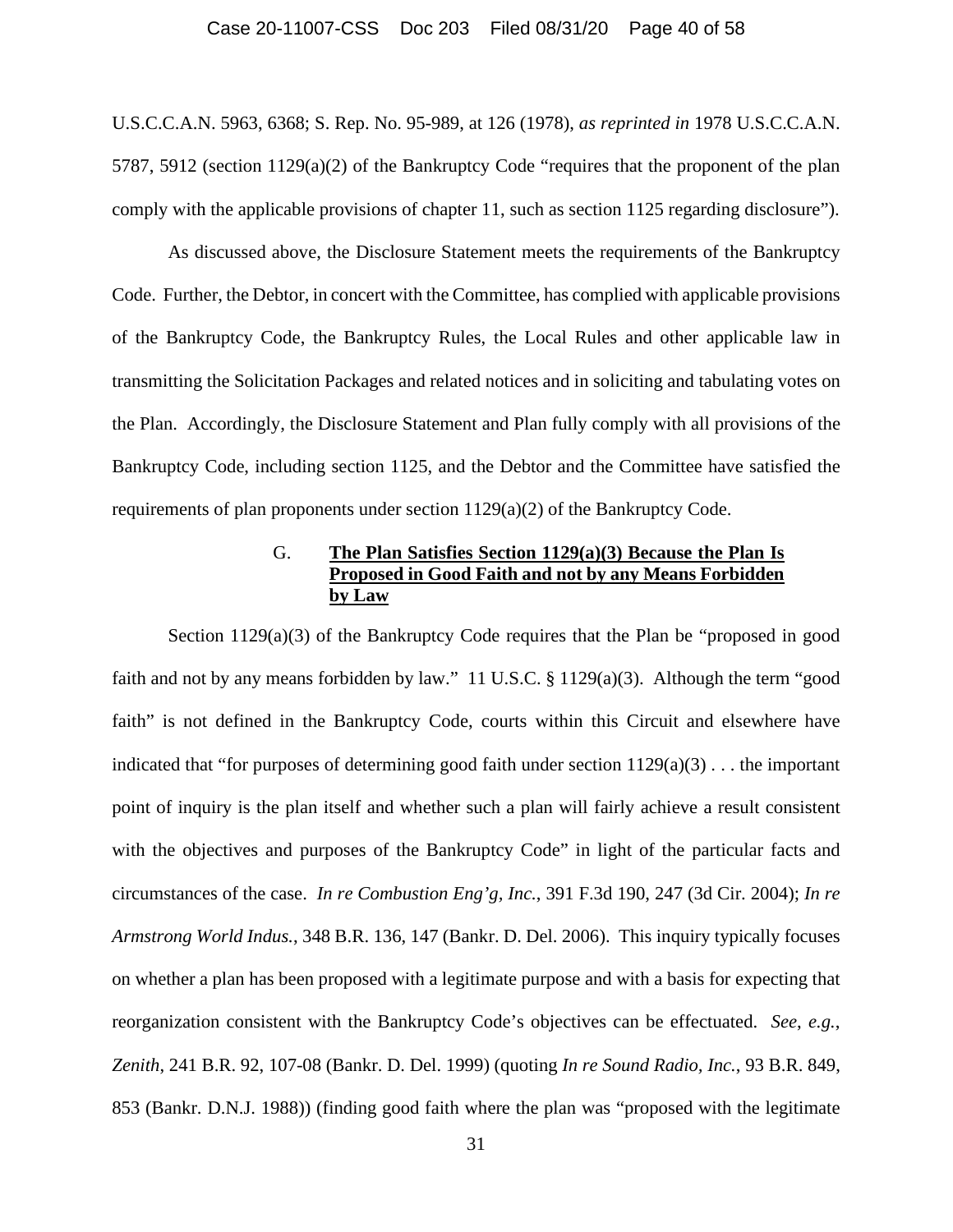#### Case 20-11007-CSS Doc 203 Filed 08/31/20 Page 40 of 58

U.S.C.C.A.N. 5963, 6368; S. Rep. No. 95-989, at 126 (1978), *as reprinted in* 1978 U.S.C.C.A.N. 5787, 5912 (section 1129(a)(2) of the Bankruptcy Code "requires that the proponent of the plan comply with the applicable provisions of chapter 11, such as section 1125 regarding disclosure").

As discussed above, the Disclosure Statement meets the requirements of the Bankruptcy Code. Further, the Debtor, in concert with the Committee, has complied with applicable provisions of the Bankruptcy Code, the Bankruptcy Rules, the Local Rules and other applicable law in transmitting the Solicitation Packages and related notices and in soliciting and tabulating votes on the Plan. Accordingly, the Disclosure Statement and Plan fully comply with all provisions of the Bankruptcy Code, including section 1125, and the Debtor and the Committee have satisfied the requirements of plan proponents under section  $1129(a)(2)$  of the Bankruptcy Code.

# G. **The Plan Satisfies Section 1129(a)(3) Because the Plan Is Proposed in Good Faith and not by any Means Forbidden by Law**

Section 1129(a)(3) of the Bankruptcy Code requires that the Plan be "proposed in good faith and not by any means forbidden by law." 11 U.S.C.  $\S$  1129(a)(3). Although the term "good faith" is not defined in the Bankruptcy Code, courts within this Circuit and elsewhere have indicated that "for purposes of determining good faith under section  $1129(a)(3)$ ... the important point of inquiry is the plan itself and whether such a plan will fairly achieve a result consistent with the objectives and purposes of the Bankruptcy Code" in light of the particular facts and circumstances of the case. *In re Combustion Eng'g, Inc.*, 391 F.3d 190, 247 (3d Cir. 2004); *In re Armstrong World Indus.*, 348 B.R. 136, 147 (Bankr. D. Del. 2006). This inquiry typically focuses on whether a plan has been proposed with a legitimate purpose and with a basis for expecting that reorganization consistent with the Bankruptcy Code's objectives can be effectuated. *See*, *e.g.*, *Zenith*, 241 B.R. 92, 107-08 (Bankr. D. Del. 1999) (quoting *In re Sound Radio, Inc.*, 93 B.R. 849, 853 (Bankr. D.N.J. 1988)) (finding good faith where the plan was "proposed with the legitimate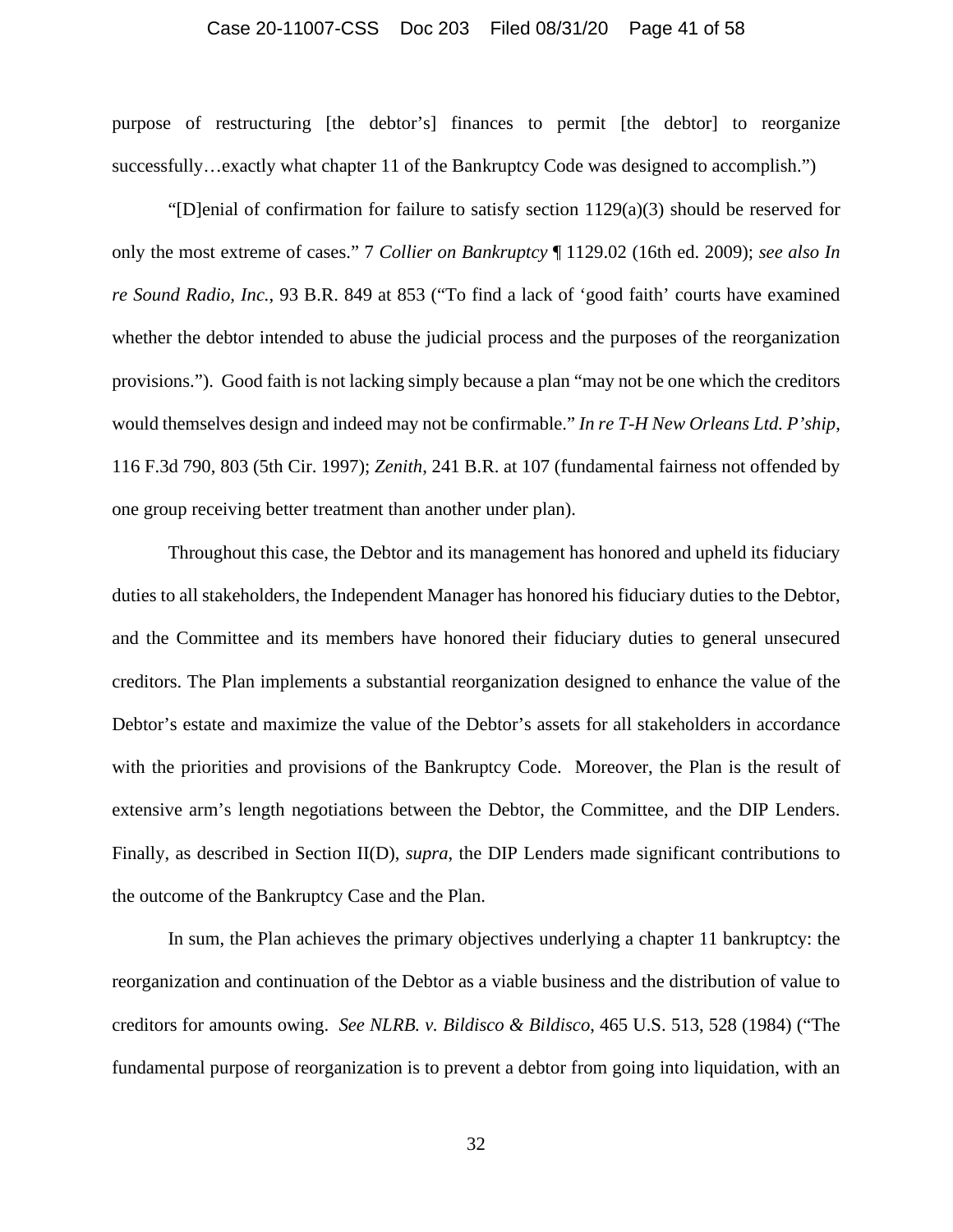#### Case 20-11007-CSS Doc 203 Filed 08/31/20 Page 41 of 58

purpose of restructuring [the debtor's] finances to permit [the debtor] to reorganize successfully…exactly what chapter 11 of the Bankruptcy Code was designed to accomplish.")

"[D]enial of confirmation for failure to satisfy section 1129(a)(3) should be reserved for only the most extreme of cases." 7 *Collier on Bankruptcy* ¶ 1129.02 (16th ed. 2009); *see also In re Sound Radio, Inc.*, 93 B.R. 849 at 853 ("To find a lack of 'good faith' courts have examined whether the debtor intended to abuse the judicial process and the purposes of the reorganization provisions."). Good faith is not lacking simply because a plan "may not be one which the creditors would themselves design and indeed may not be confirmable." *In re T-H New Orleans Ltd. P'ship*, 116 F.3d 790, 803 (5th Cir. 1997); *Zenith*, 241 B.R. at 107 (fundamental fairness not offended by one group receiving better treatment than another under plan).

Throughout this case, the Debtor and its management has honored and upheld its fiduciary duties to all stakeholders, the Independent Manager has honored his fiduciary duties to the Debtor, and the Committee and its members have honored their fiduciary duties to general unsecured creditors. The Plan implements a substantial reorganization designed to enhance the value of the Debtor's estate and maximize the value of the Debtor's assets for all stakeholders in accordance with the priorities and provisions of the Bankruptcy Code. Moreover, the Plan is the result of extensive arm's length negotiations between the Debtor, the Committee, and the DIP Lenders. Finally, as described in Section II(D), *supra*, the DIP Lenders made significant contributions to the outcome of the Bankruptcy Case and the Plan.

In sum, the Plan achieves the primary objectives underlying a chapter 11 bankruptcy: the reorganization and continuation of the Debtor as a viable business and the distribution of value to creditors for amounts owing. *See NLRB. v. Bildisco & Bildisco*, 465 U.S. 513, 528 (1984) ("The fundamental purpose of reorganization is to prevent a debtor from going into liquidation, with an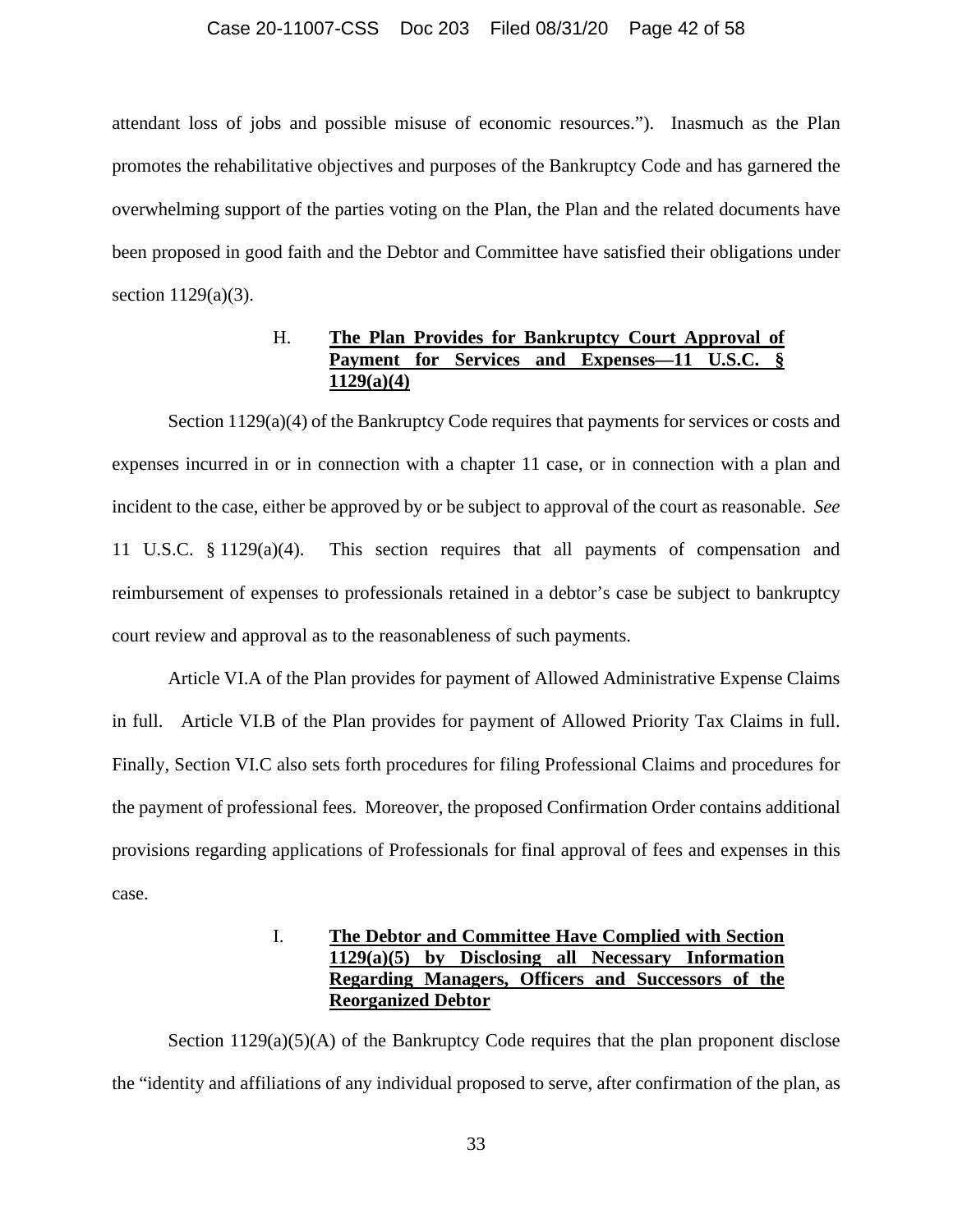#### Case 20-11007-CSS Doc 203 Filed 08/31/20 Page 42 of 58

attendant loss of jobs and possible misuse of economic resources."). Inasmuch as the Plan promotes the rehabilitative objectives and purposes of the Bankruptcy Code and has garnered the overwhelming support of the parties voting on the Plan, the Plan and the related documents have been proposed in good faith and the Debtor and Committee have satisfied their obligations under section 1129(a)(3).

# H. **The Plan Provides for Bankruptcy Court Approval of**  Payment for Services and Expenses—11 U.S.C. **1129(a)(4)**

Section  $1129(a)(4)$  of the Bankruptcy Code requires that payments for services or costs and expenses incurred in or in connection with a chapter 11 case, or in connection with a plan and incident to the case, either be approved by or be subject to approval of the court as reasonable. *See* 11 U.S.C. § 1129(a)(4). This section requires that all payments of compensation and reimbursement of expenses to professionals retained in a debtor's case be subject to bankruptcy court review and approval as to the reasonableness of such payments.

Article VI.A of the Plan provides for payment of Allowed Administrative Expense Claims in full. Article VI.B of the Plan provides for payment of Allowed Priority Tax Claims in full. Finally, Section VI.C also sets forth procedures for filing Professional Claims and procedures for the payment of professional fees. Moreover, the proposed Confirmation Order contains additional provisions regarding applications of Professionals for final approval of fees and expenses in this case.

# I. **The Debtor and Committee Have Complied with Section 1129(a)(5) by Disclosing all Necessary Information Regarding Managers, Officers and Successors of the Reorganized Debtor**

Section  $1129(a)(5)(A)$  of the Bankruptcy Code requires that the plan proponent disclose the "identity and affiliations of any individual proposed to serve, after confirmation of the plan, as

33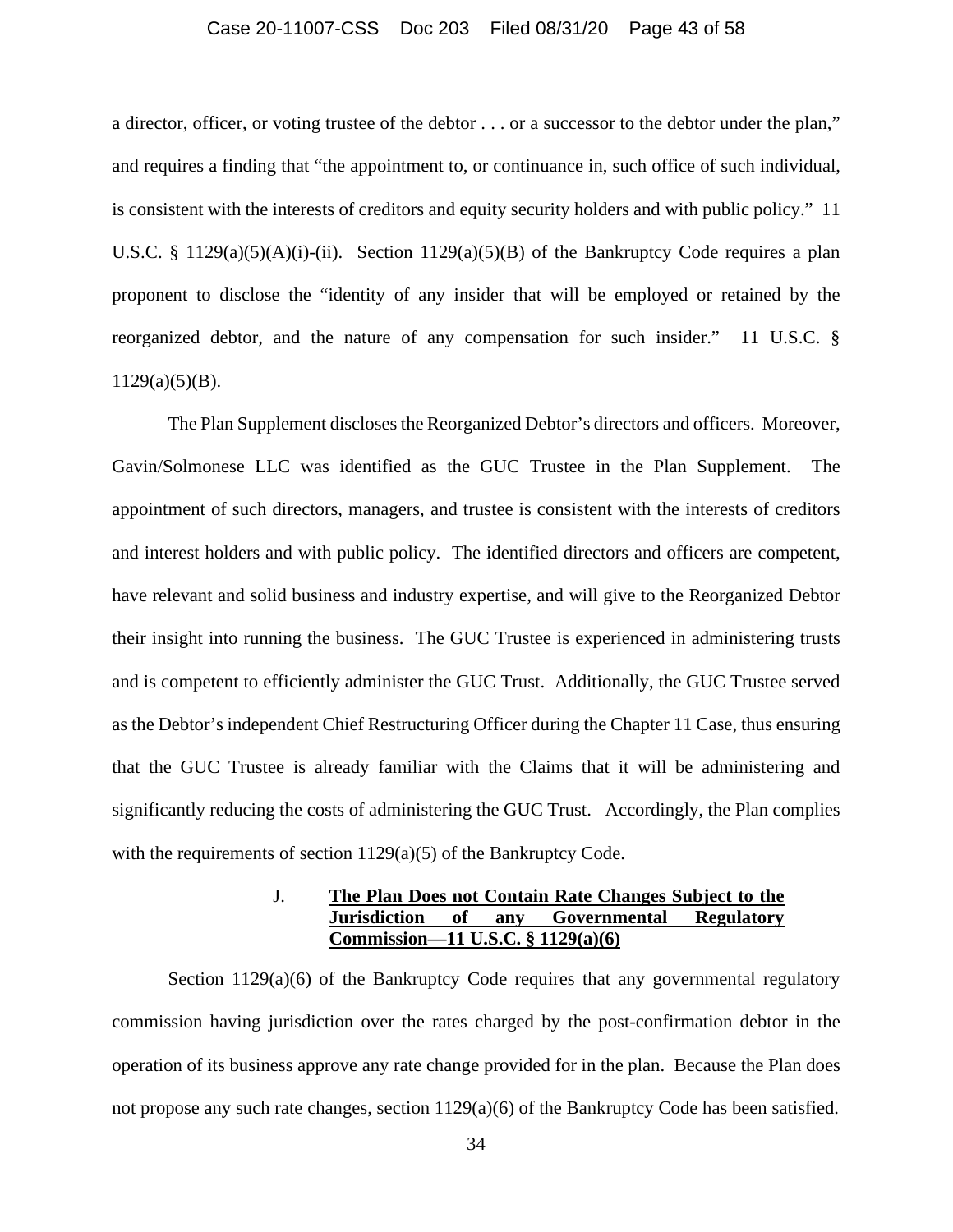### Case 20-11007-CSS Doc 203 Filed 08/31/20 Page 43 of 58

a director, officer, or voting trustee of the debtor . . . or a successor to the debtor under the plan," and requires a finding that "the appointment to, or continuance in, such office of such individual, is consistent with the interests of creditors and equity security holders and with public policy." 11 U.S.C. § 1129(a)(5)(A)(i)-(ii). Section 1129(a)(5)(B) of the Bankruptcy Code requires a plan proponent to disclose the "identity of any insider that will be employed or retained by the reorganized debtor, and the nature of any compensation for such insider." 11 U.S.C. §  $1129(a)(5)(B)$ .

The Plan Supplement discloses the Reorganized Debtor's directors and officers. Moreover, Gavin/Solmonese LLC was identified as the GUC Trustee in the Plan Supplement. The appointment of such directors, managers, and trustee is consistent with the interests of creditors and interest holders and with public policy. The identified directors and officers are competent, have relevant and solid business and industry expertise, and will give to the Reorganized Debtor their insight into running the business. The GUC Trustee is experienced in administering trusts and is competent to efficiently administer the GUC Trust. Additionally, the GUC Trustee served as the Debtor's independent Chief Restructuring Officer during the Chapter 11 Case, thus ensuring that the GUC Trustee is already familiar with the Claims that it will be administering and significantly reducing the costs of administering the GUC Trust. Accordingly, the Plan complies with the requirements of section 1129(a)(5) of the Bankruptcy Code.

# J. **The Plan Does not Contain Rate Changes Subject to the Jurisdiction of any Governmental Regulatory Commission—11 U.S.C. § 1129(a)(6)**

Section  $1129(a)(6)$  of the Bankruptcy Code requires that any governmental regulatory commission having jurisdiction over the rates charged by the post-confirmation debtor in the operation of its business approve any rate change provided for in the plan. Because the Plan does not propose any such rate changes, section  $1129(a)(6)$  of the Bankruptcy Code has been satisfied.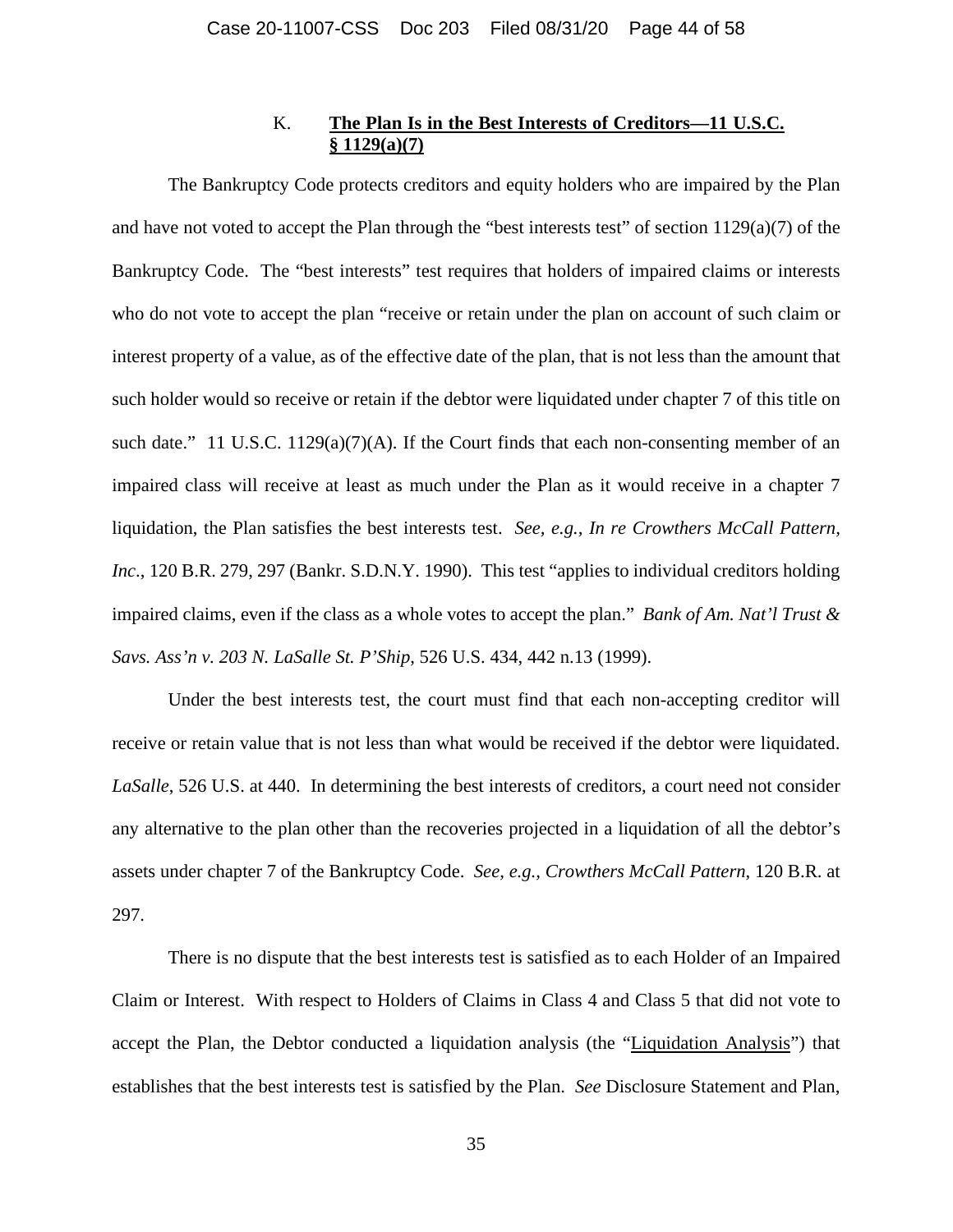# K. **The Plan Is in the Best Interests of Creditors—11 U.S.C. § 1129(a)(7)**

The Bankruptcy Code protects creditors and equity holders who are impaired by the Plan and have not voted to accept the Plan through the "best interests test" of section 1129(a)(7) of the Bankruptcy Code. The "best interests" test requires that holders of impaired claims or interests who do not vote to accept the plan "receive or retain under the plan on account of such claim or interest property of a value, as of the effective date of the plan, that is not less than the amount that such holder would so receive or retain if the debtor were liquidated under chapter 7 of this title on such date." 11 U.S.C. 1129(a)(7)(A). If the Court finds that each non-consenting member of an impaired class will receive at least as much under the Plan as it would receive in a chapter 7 liquidation, the Plan satisfies the best interests test. *See, e.g., In re Crowthers McCall Pattern, Inc*., 120 B.R. 279, 297 (Bankr. S.D.N.Y. 1990). This test "applies to individual creditors holding impaired claims, even if the class as a whole votes to accept the plan." *Bank of Am. Nat'l Trust & Savs. Ass'n v. 203 N. LaSalle St. P'Ship*, 526 U.S. 434, 442 n.13 (1999).

Under the best interests test, the court must find that each non-accepting creditor will receive or retain value that is not less than what would be received if the debtor were liquidated. *LaSalle*, 526 U.S. at 440. In determining the best interests of creditors, a court need not consider any alternative to the plan other than the recoveries projected in a liquidation of all the debtor's assets under chapter 7 of the Bankruptcy Code. *See, e.g., Crowthers McCall Pattern*, 120 B.R. at 297.

There is no dispute that the best interests test is satisfied as to each Holder of an Impaired Claim or Interest. With respect to Holders of Claims in Class 4 and Class 5 that did not vote to accept the Plan, the Debtor conducted a liquidation analysis (the "Liquidation Analysis") that establishes that the best interests test is satisfied by the Plan. *See* Disclosure Statement and Plan,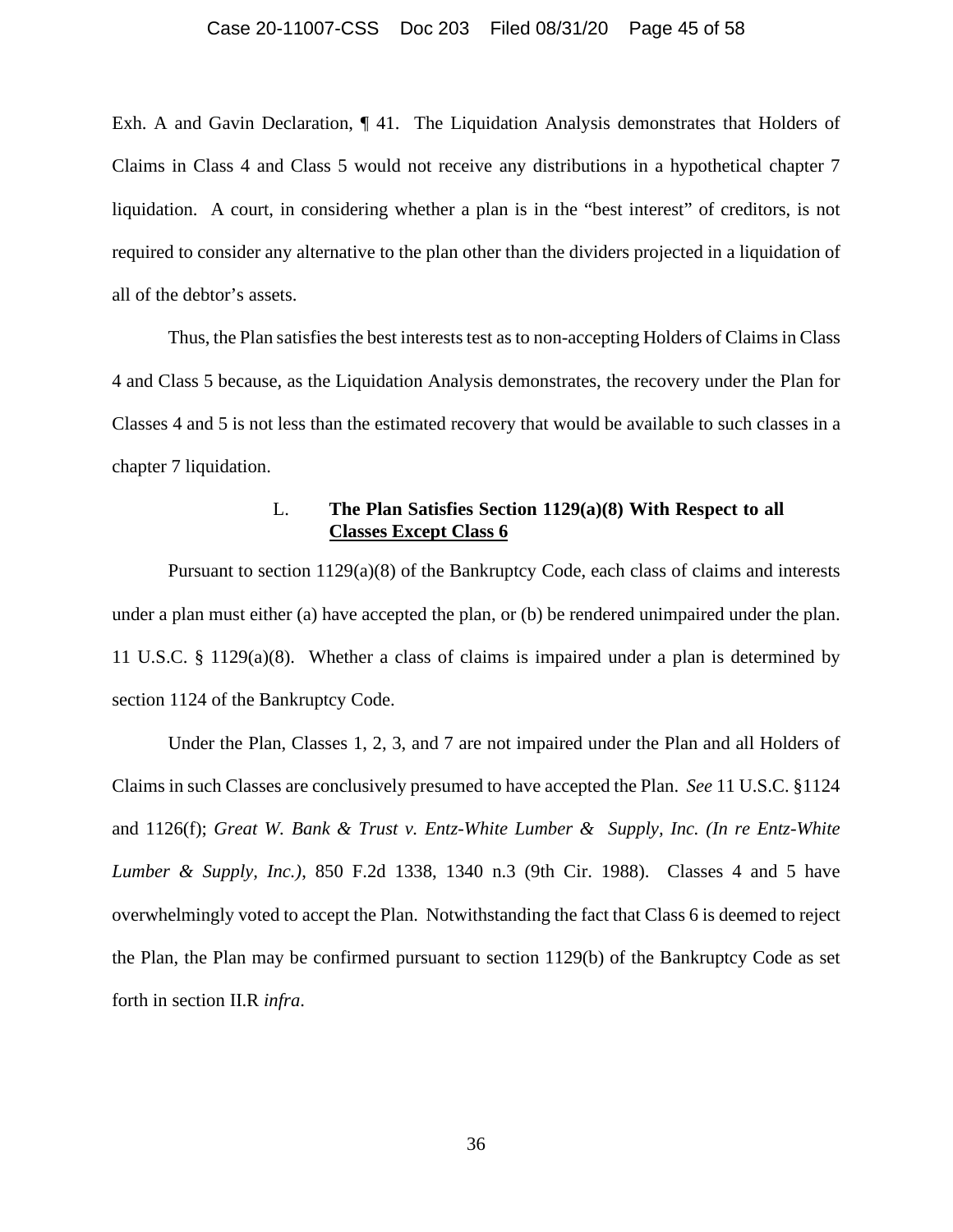#### Case 20-11007-CSS Doc 203 Filed 08/31/20 Page 45 of 58

Exh. A and Gavin Declaration, ¶ 41. The Liquidation Analysis demonstrates that Holders of Claims in Class 4 and Class 5 would not receive any distributions in a hypothetical chapter 7 liquidation. A court, in considering whether a plan is in the "best interest" of creditors, is not required to consider any alternative to the plan other than the dividers projected in a liquidation of all of the debtor's assets.

Thus, the Plan satisfies the best interests test as to non-accepting Holders of Claims in Class 4 and Class 5 because, as the Liquidation Analysis demonstrates, the recovery under the Plan for Classes 4 and 5 is not less than the estimated recovery that would be available to such classes in a chapter 7 liquidation.

# L. **The Plan Satisfies Section 1129(a)(8) With Respect to all Classes Except Class 6**

Pursuant to section 1129(a)(8) of the Bankruptcy Code, each class of claims and interests under a plan must either (a) have accepted the plan, or (b) be rendered unimpaired under the plan. 11 U.S.C. § 1129(a)(8). Whether a class of claims is impaired under a plan is determined by section 1124 of the Bankruptcy Code.

Under the Plan, Classes 1, 2, 3, and 7 are not impaired under the Plan and all Holders of Claims in such Classes are conclusively presumed to have accepted the Plan. *See* 11 U.S.C. §1124 and 1126(f); *Great W. Bank & Trust v. Entz-White Lumber & Supply, Inc. (In re Entz-White Lumber & Supply, Inc.)*, 850 F.2d 1338, 1340 n.3 (9th Cir. 1988). Classes 4 and 5 have overwhelmingly voted to accept the Plan. Notwithstanding the fact that Class 6 is deemed to reject the Plan, the Plan may be confirmed pursuant to section 1129(b) of the Bankruptcy Code as set forth in section II.R *infra*.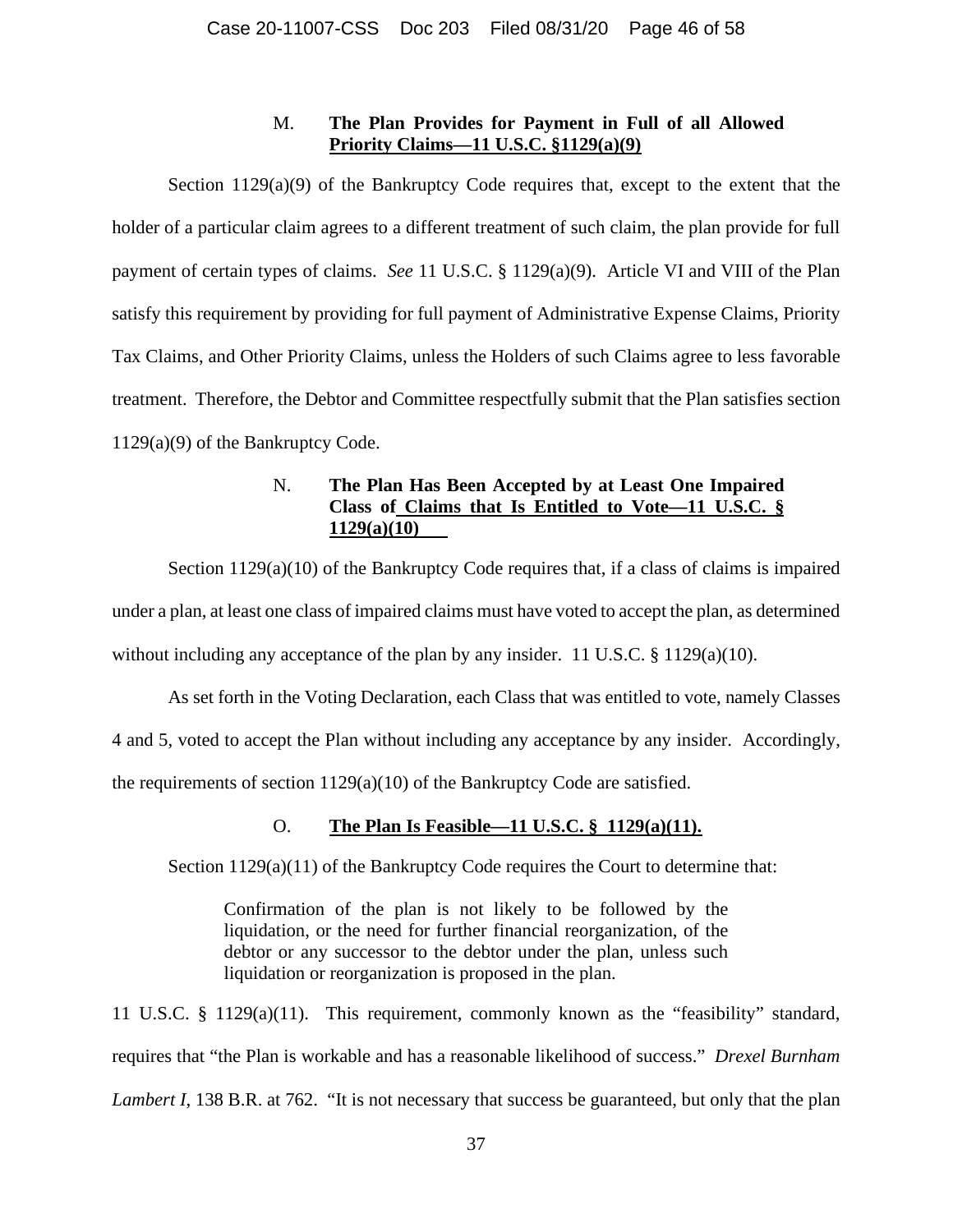# M. **The Plan Provides for Payment in Full of all Allowed Priority Claims—11 U.S.C. §1129(a)(9)**

Section  $1129(a)(9)$  of the Bankruptcy Code requires that, except to the extent that the holder of a particular claim agrees to a different treatment of such claim, the plan provide for full payment of certain types of claims. *See* 11 U.S.C. § 1129(a)(9). Article VI and VIII of the Plan satisfy this requirement by providing for full payment of Administrative Expense Claims, Priority Tax Claims, and Other Priority Claims, unless the Holders of such Claims agree to less favorable treatment. Therefore, the Debtor and Committee respectfully submit that the Plan satisfies section 1129(a)(9) of the Bankruptcy Code.

# N. **The Plan Has Been Accepted by at Least One Impaired Class of Claims that Is Entitled to Vote—11 U.S.C. § 1129(a)(10)**

Section 1129(a)(10) of the Bankruptcy Code requires that, if a class of claims is impaired under a plan, at least one class of impaired claims must have voted to accept the plan, as determined without including any acceptance of the plan by any insider. 11 U.S.C. § 1129(a)(10).

As set forth in the Voting Declaration, each Class that was entitled to vote, namely Classes 4 and 5, voted to accept the Plan without including any acceptance by any insider. Accordingly, the requirements of section 1129(a)(10) of the Bankruptcy Code are satisfied.

# O. **The Plan Is Feasible—11 U.S.C. § 1129(a)(11).**

Section  $1129(a)(11)$  of the Bankruptcy Code requires the Court to determine that:

Confirmation of the plan is not likely to be followed by the liquidation, or the need for further financial reorganization, of the debtor or any successor to the debtor under the plan, unless such liquidation or reorganization is proposed in the plan.

11 U.S.C. § 1129(a)(11). This requirement, commonly known as the "feasibility" standard, requires that "the Plan is workable and has a reasonable likelihood of success." *Drexel Burnham Lambert I*, 138 B.R. at 762. "It is not necessary that success be guaranteed, but only that the plan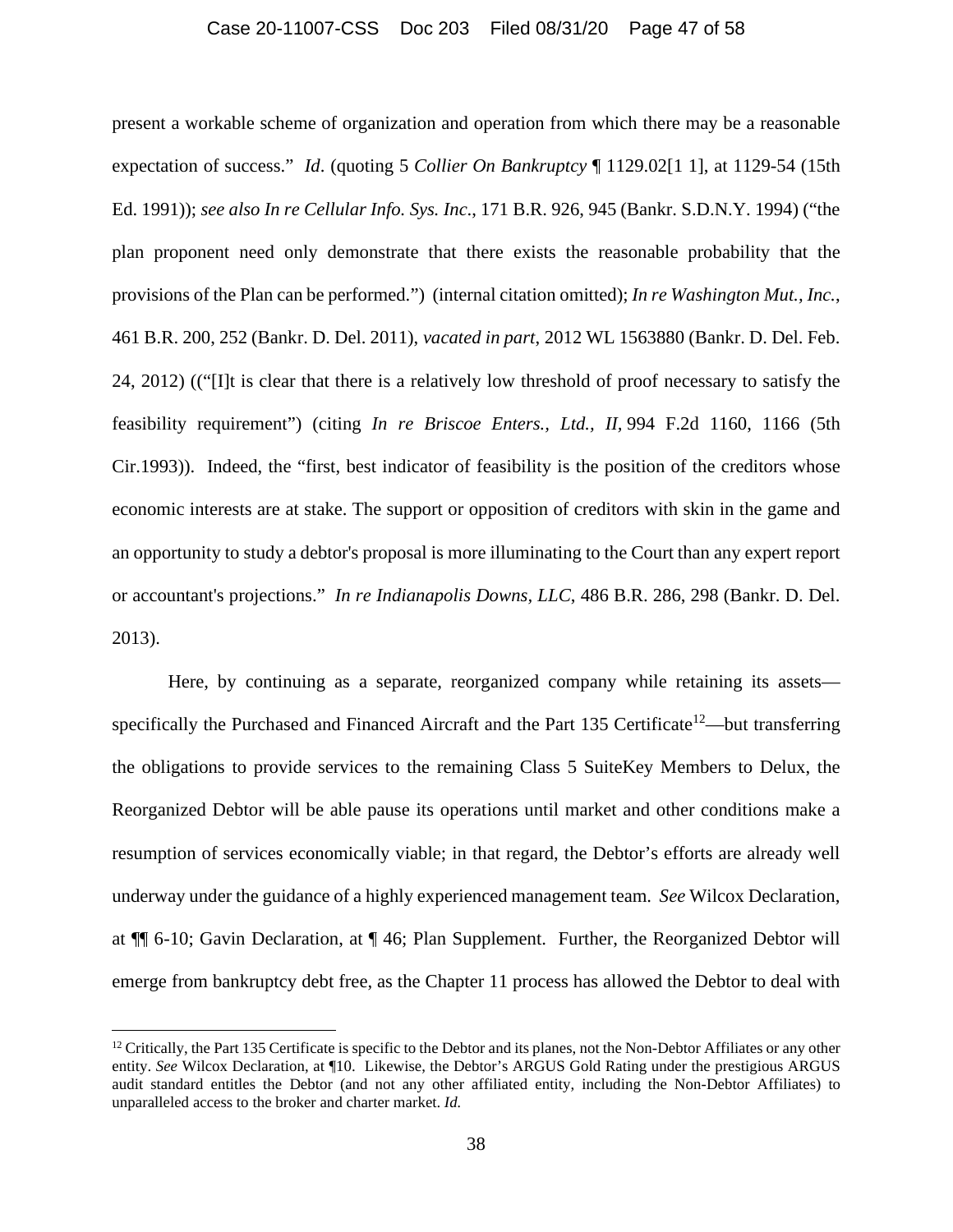#### Case 20-11007-CSS Doc 203 Filed 08/31/20 Page 47 of 58

present a workable scheme of organization and operation from which there may be a reasonable expectation of success." *Id*. (quoting 5 *Collier On Bankruptcy* ¶ 1129.02[1 1], at 1129-54 (15th Ed. 1991)); *see also In re Cellular Info. Sys. Inc*., 171 B.R. 926, 945 (Bankr. S.D.N.Y. 1994) ("the plan proponent need only demonstrate that there exists the reasonable probability that the provisions of the Plan can be performed.") (internal citation omitted); *In re Washington Mut., Inc.*, 461 B.R. 200, 252 (Bankr. D. Del. 2011), *vacated in part*, 2012 WL 1563880 (Bankr. D. Del. Feb. 24, 2012) (("[I]t is clear that there is a relatively low threshold of proof necessary to satisfy the feasibility requirement") (citing *In re Briscoe Enters., Ltd., II,* 994 F.2d 1160, 1166 (5th Cir.1993)). Indeed, the "first, best indicator of feasibility is the position of the creditors whose economic interests are at stake. The support or opposition of creditors with skin in the game and an opportunity to study a debtor's proposal is more illuminating to the Court than any expert report or accountant's projections." *In re Indianapolis Downs, LLC*, 486 B.R. 286, 298 (Bankr. D. Del. 2013).

Here, by continuing as a separate, reorganized company while retaining its assets specifically the Purchased and Financed Aircraft and the Part 135 Certificate<sup>12</sup>—but transferring the obligations to provide services to the remaining Class 5 SuiteKey Members to Delux, the Reorganized Debtor will be able pause its operations until market and other conditions make a resumption of services economically viable; in that regard, the Debtor's efforts are already well underway under the guidance of a highly experienced management team. *See* Wilcox Declaration, at ¶¶ 6-10; Gavin Declaration, at ¶ 46; Plan Supplement. Further, the Reorganized Debtor will emerge from bankruptcy debt free, as the Chapter 11 process has allowed the Debtor to deal with

 $12$  Critically, the Part 135 Certificate is specific to the Debtor and its planes, not the Non-Debtor Affiliates or any other entity. *See* Wilcox Declaration, at ¶10. Likewise, the Debtor's ARGUS Gold Rating under the prestigious ARGUS audit standard entitles the Debtor (and not any other affiliated entity, including the Non-Debtor Affiliates) to unparalleled access to the broker and charter market. *Id.*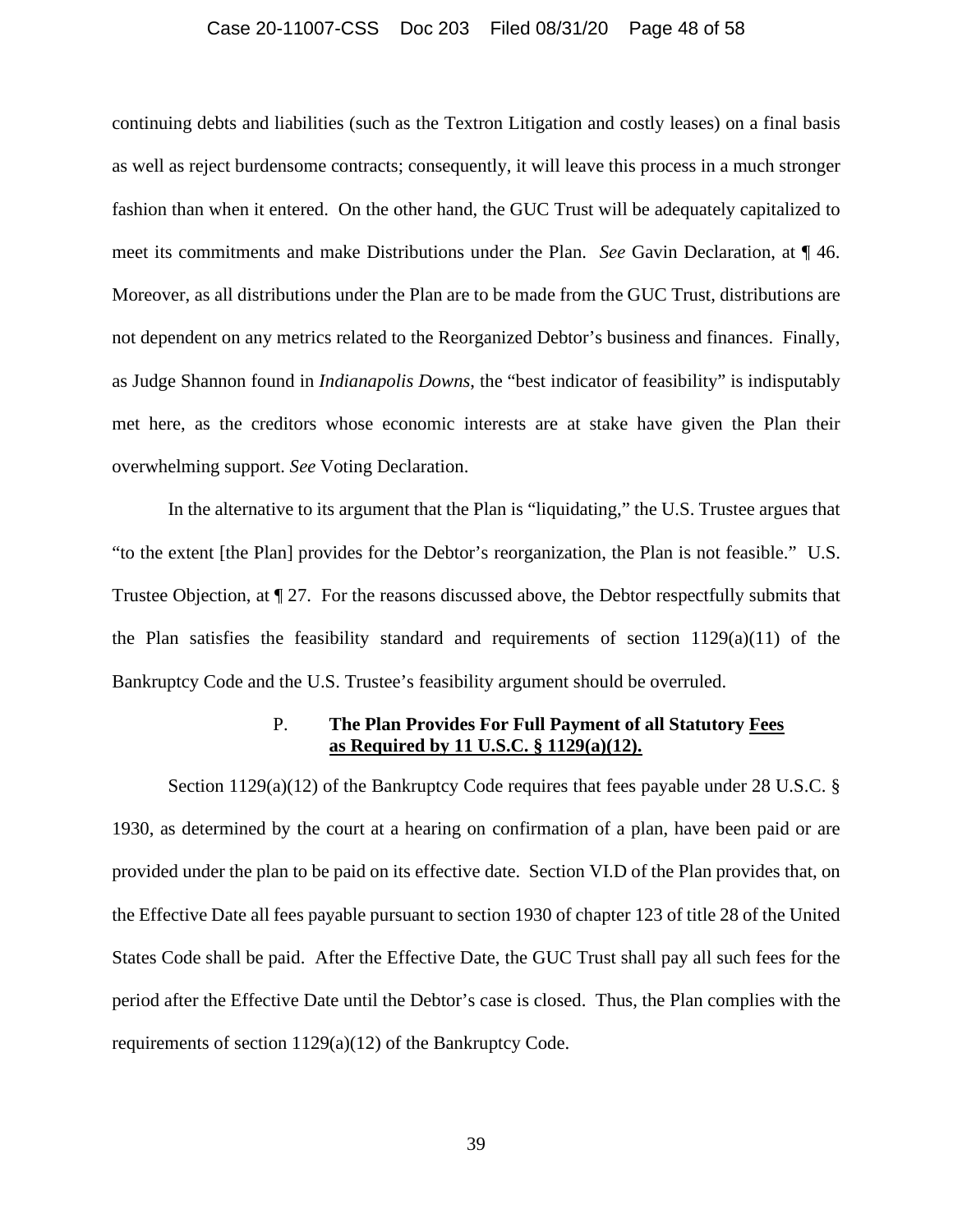#### Case 20-11007-CSS Doc 203 Filed 08/31/20 Page 48 of 58

continuing debts and liabilities (such as the Textron Litigation and costly leases) on a final basis as well as reject burdensome contracts; consequently, it will leave this process in a much stronger fashion than when it entered. On the other hand, the GUC Trust will be adequately capitalized to meet its commitments and make Distributions under the Plan. *See* Gavin Declaration, at ¶ 46. Moreover, as all distributions under the Plan are to be made from the GUC Trust, distributions are not dependent on any metrics related to the Reorganized Debtor's business and finances. Finally, as Judge Shannon found in *Indianapolis Downs*, the "best indicator of feasibility" is indisputably met here, as the creditors whose economic interests are at stake have given the Plan their overwhelming support. *See* Voting Declaration.

In the alternative to its argument that the Plan is "liquidating," the U.S. Trustee argues that "to the extent [the Plan] provides for the Debtor's reorganization, the Plan is not feasible." U.S. Trustee Objection, at ¶ 27. For the reasons discussed above, the Debtor respectfully submits that the Plan satisfies the feasibility standard and requirements of section  $1129(a)(11)$  of the Bankruptcy Code and the U.S. Trustee's feasibility argument should be overruled.

### P. **The Plan Provides For Full Payment of all Statutory Fees as Required by 11 U.S.C. § 1129(a)(12).**

Section 1129(a)(12) of the Bankruptcy Code requires that fees payable under 28 U.S.C. § 1930, as determined by the court at a hearing on confirmation of a plan, have been paid or are provided under the plan to be paid on its effective date. Section VI.D of the Plan provides that, on the Effective Date all fees payable pursuant to section 1930 of chapter 123 of title 28 of the United States Code shall be paid. After the Effective Date, the GUC Trust shall pay all such fees for the period after the Effective Date until the Debtor's case is closed. Thus, the Plan complies with the requirements of section 1129(a)(12) of the Bankruptcy Code.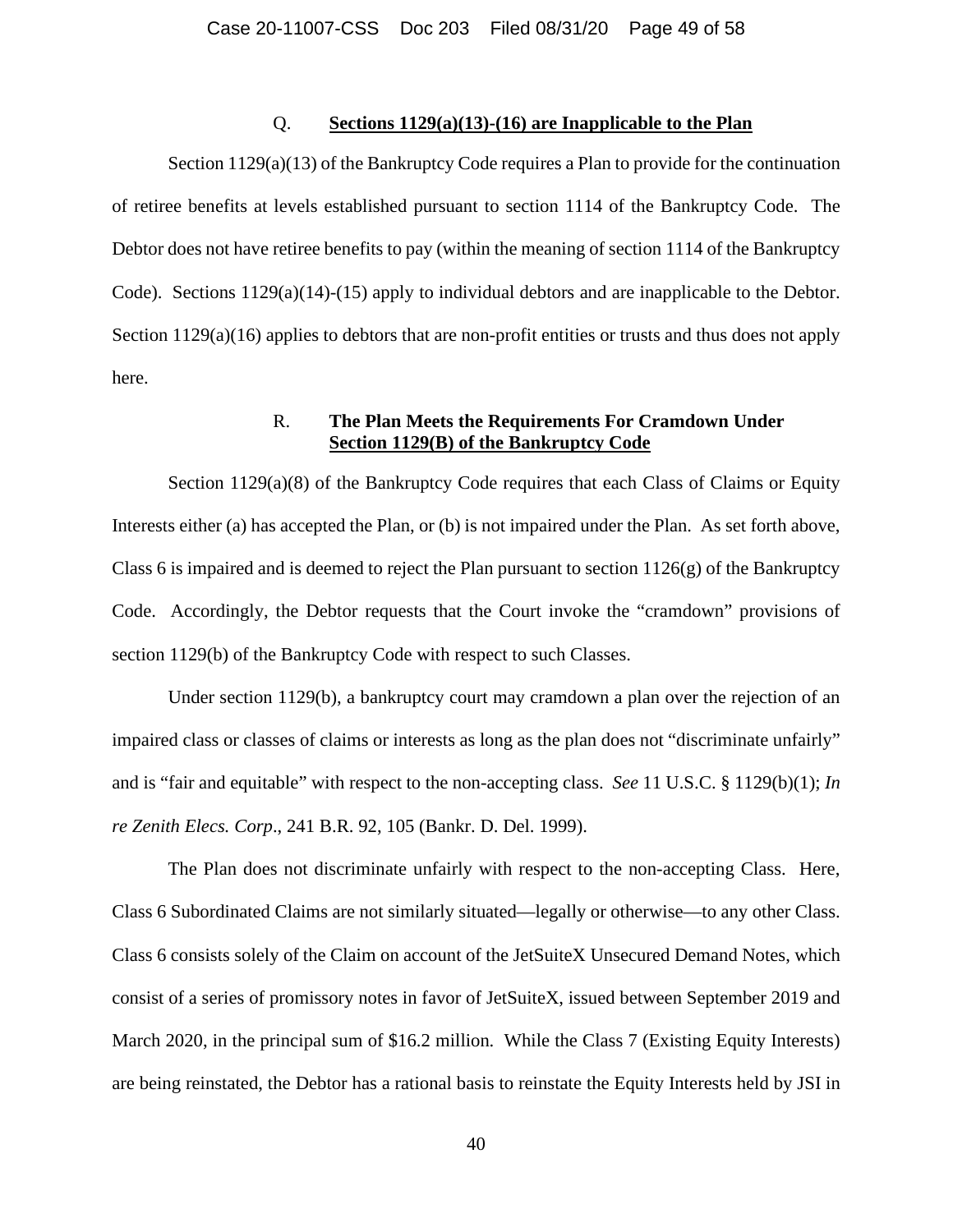#### Q. **Sections 1129(a)(13)-(16) are Inapplicable to the Plan**

Section 1129(a)(13) of the Bankruptcy Code requires a Plan to provide for the continuation of retiree benefits at levels established pursuant to section 1114 of the Bankruptcy Code. The Debtor does not have retiree benefits to pay (within the meaning of section 1114 of the Bankruptcy Code). Sections 1129(a)(14)-(15) apply to individual debtors and are inapplicable to the Debtor. Section 1129(a)(16) applies to debtors that are non-profit entities or trusts and thus does not apply here.

# R. **The Plan Meets the Requirements For Cramdown Under Section 1129(B) of the Bankruptcy Code**

Section  $1129(a)(8)$  of the Bankruptcy Code requires that each Class of Claims or Equity Interests either (a) has accepted the Plan, or (b) is not impaired under the Plan. As set forth above, Class 6 is impaired and is deemed to reject the Plan pursuant to section  $1126(g)$  of the Bankruptcy Code. Accordingly, the Debtor requests that the Court invoke the "cramdown" provisions of section 1129(b) of the Bankruptcy Code with respect to such Classes.

Under section 1129(b), a bankruptcy court may cramdown a plan over the rejection of an impaired class or classes of claims or interests as long as the plan does not "discriminate unfairly" and is "fair and equitable" with respect to the non-accepting class. *See* 11 U.S.C. § 1129(b)(1); *In re Zenith Elecs. Corp*., 241 B.R. 92, 105 (Bankr. D. Del. 1999).

The Plan does not discriminate unfairly with respect to the non-accepting Class. Here, Class 6 Subordinated Claims are not similarly situated—legally or otherwise—to any other Class. Class 6 consists solely of the Claim on account of the JetSuiteX Unsecured Demand Notes, which consist of a series of promissory notes in favor of JetSuiteX, issued between September 2019 and March 2020, in the principal sum of \$16.2 million. While the Class 7 (Existing Equity Interests) are being reinstated, the Debtor has a rational basis to reinstate the Equity Interests held by JSI in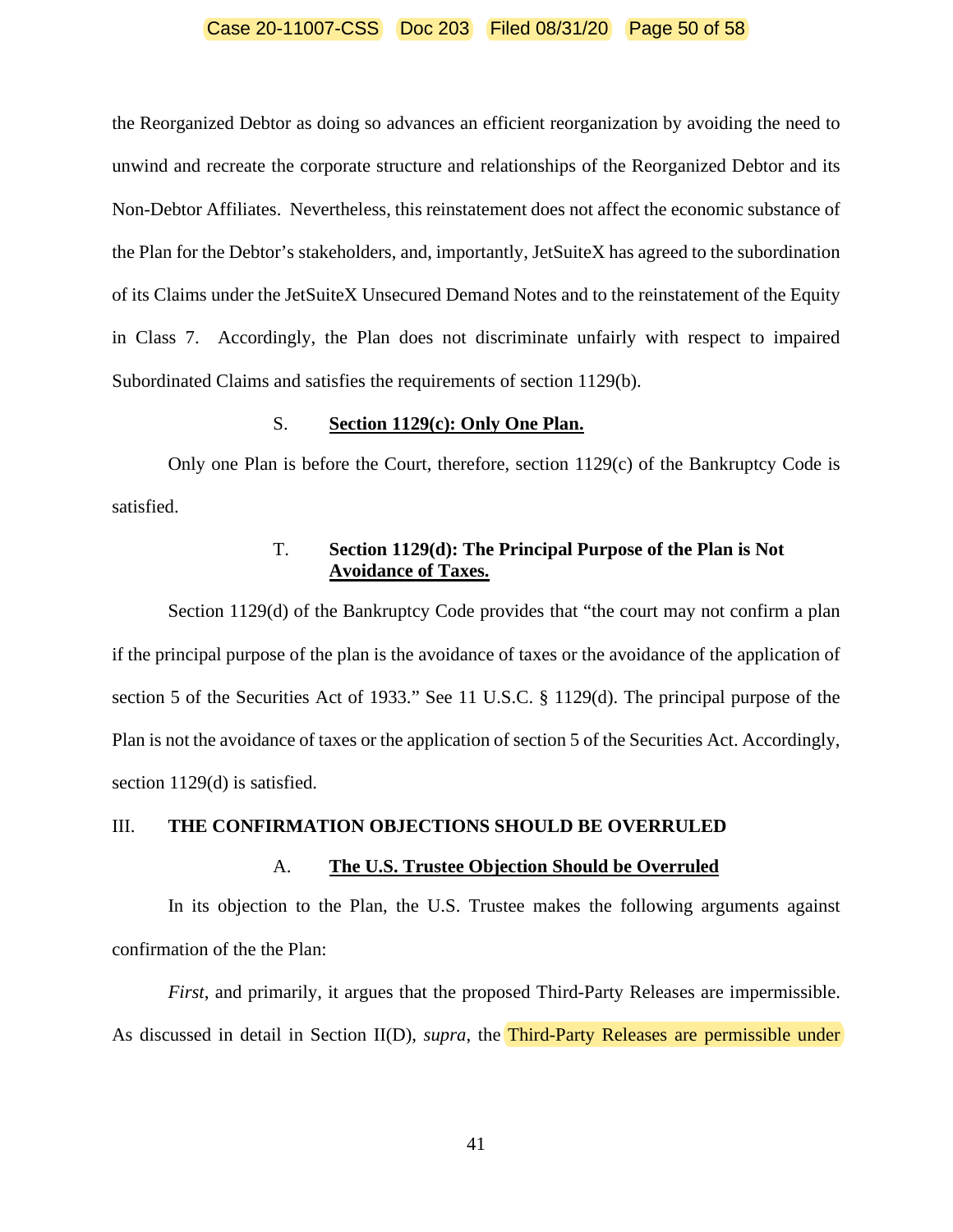#### Case 20-11007-CSS Doc 203 Filed 08/31/20 Page 50 of 58

the Reorganized Debtor as doing so advances an efficient reorganization by avoiding the need to unwind and recreate the corporate structure and relationships of the Reorganized Debtor and its Non-Debtor Affiliates. Nevertheless, this reinstatement does not affect the economic substance of the Plan for the Debtor's stakeholders, and, importantly, JetSuiteX has agreed to the subordination of its Claims under the JetSuiteX Unsecured Demand Notes and to the reinstatement of the Equity in Class 7. Accordingly, the Plan does not discriminate unfairly with respect to impaired Subordinated Claims and satisfies the requirements of section 1129(b).

#### S. **Section 1129(c): Only One Plan.**

Only one Plan is before the Court, therefore, section 1129(c) of the Bankruptcy Code is satisfied.

# T. **Section 1129(d): The Principal Purpose of the Plan is Not Avoidance of Taxes.**

Section 1129(d) of the Bankruptcy Code provides that "the court may not confirm a plan if the principal purpose of the plan is the avoidance of taxes or the avoidance of the application of section 5 of the Securities Act of 1933." See 11 U.S.C. § 1129(d). The principal purpose of the Plan is not the avoidance of taxes or the application of section 5 of the Securities Act. Accordingly, section 1129(d) is satisfied.

### III. **THE CONFIRMATION OBJECTIONS SHOULD BE OVERRULED**

#### A. **The U.S. Trustee Objection Should be Overruled**

In its objection to the Plan, the U.S. Trustee makes the following arguments against confirmation of the the Plan:

*First*, and primarily, it argues that the proposed Third-Party Releases are impermissible. As discussed in detail in Section II(D), *supra*, the **Third-Party Releases are permissible under** 

41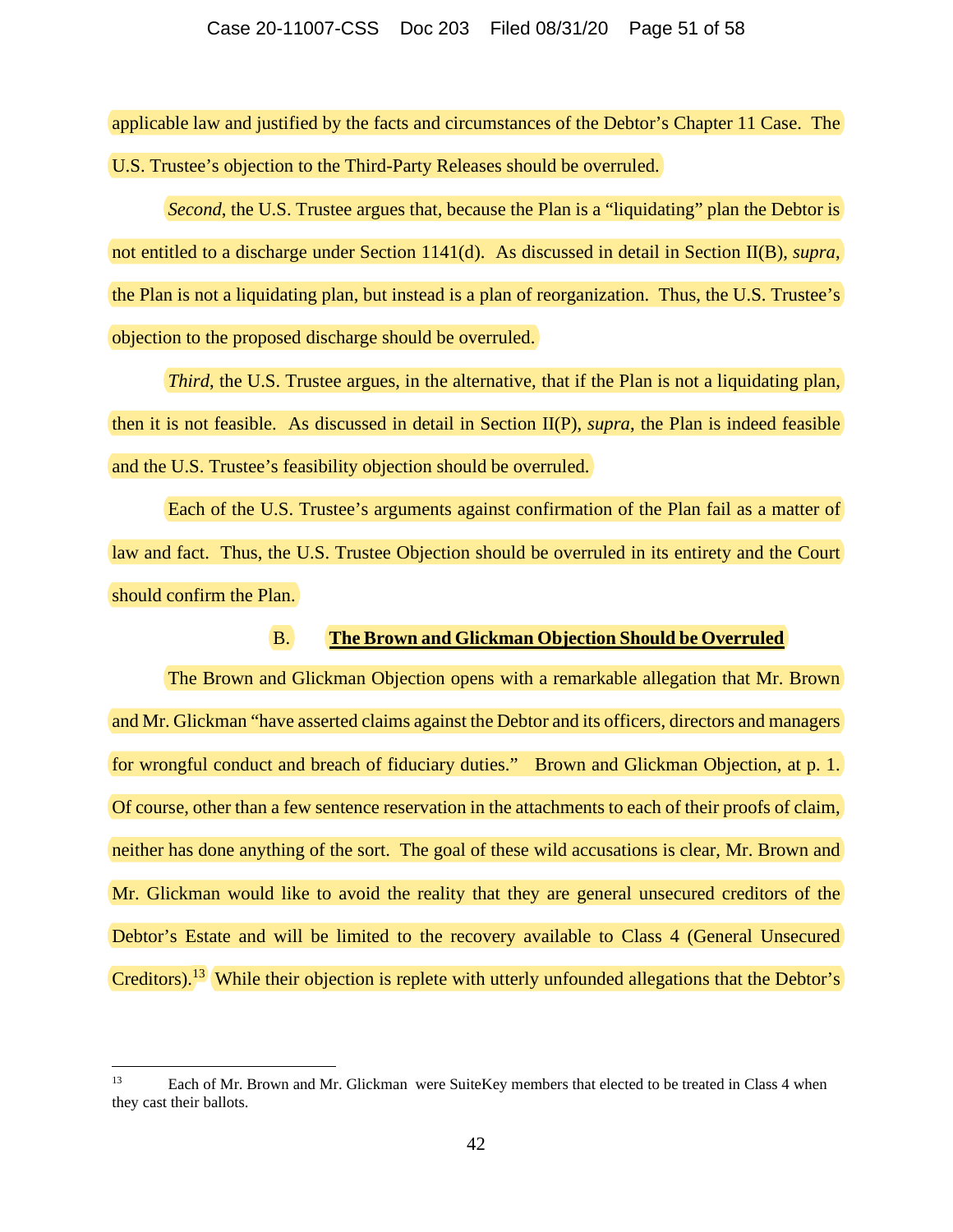applicable law and justified by the facts and circumstances of the Debtor's Chapter 11 Case. The U.S. Trustee's objection to the Third-Party Releases should be overruled.

*Second*, the U.S. Trustee argues that, because the Plan is a "liquidating" plan the Debtor is not entitled to a discharge under Section 1141(d). As discussed in detail in Section II(B), *supra*, the Plan is not a liquidating plan, but instead is a plan of reorganization. Thus, the U.S. Trustee's objection to the proposed discharge should be overruled.

*Third*, the U.S. Trustee argues, in the alternative, that if the Plan is not a liquidating plan, then it is not feasible. As discussed in detail in Section II(P), *supra*, the Plan is indeed feasible and the U.S. Trustee's feasibility objection should be overruled.

Each of the U.S. Trustee's arguments against confirmation of the Plan fail as a matter of law and fact. Thus, the U.S. Trustee Objection should be overruled in its entirety and the Court should confirm the Plan.

# B. **The Brown and Glickman Objection Should be Overruled**

The Brown and Glickman Objection opens with a remarkable allegation that Mr. Brown and Mr. Glickman "have asserted claims against the Debtor and its officers, directors and managers for wrongful conduct and breach of fiduciary duties." Brown and Glickman Objection, at p. 1. Of course, other than a few sentence reservation in the attachments to each of their proofs of claim, neither has done anything of the sort. The goal of these wild accusations is clear, Mr. Brown and Mr. Glickman would like to avoid the reality that they are general unsecured creditors of the Debtor's Estate and will be limited to the recovery available to Class 4 (General Unsecured Creditors).<sup>13</sup> While their objection is replete with utterly unfounded allegations that the Debtor's

<sup>13</sup> Each of Mr. Brown and Mr. Glickman were SuiteKey members that elected to be treated in Class 4 when they cast their ballots.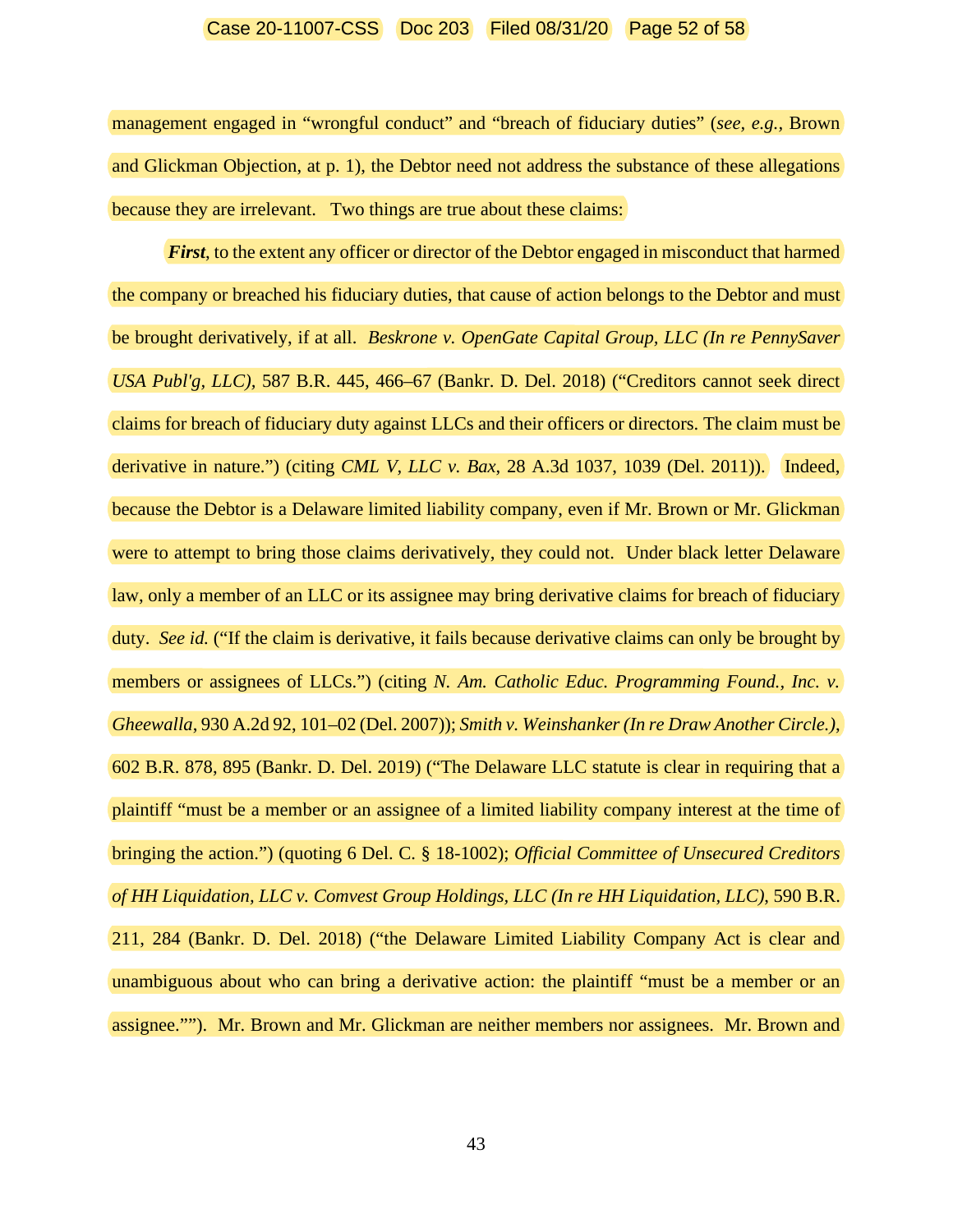#### Case 20-11007-CSS Doc 203 Filed 08/31/20 Page 52 of 58

management engaged in "wrongful conduct" and "breach of fiduciary duties" (*see, e.g.,* Brown and Glickman Objection, at p. 1), the Debtor need not address the substance of these allegations because they are irrelevant. Two things are true about these claims:

*First*, to the extent any officer or director of the Debtor engaged in misconduct that harmed the company or breached his fiduciary duties, that cause of action belongs to the Debtor and must be brought derivatively, if at all. *Beskrone v. OpenGate Capital Group, LLC (In re PennySaver USA Publ'g, LLC),* 587 B.R. 445, 466–67 (Bankr. D. Del. 2018) ("Creditors cannot seek direct claims for breach of fiduciary duty against LLCs and their officers or directors. The claim must be derivative in nature.") (citing *CML V, LLC v. Bax*, 28 A.3d 1037, 1039 (Del. 2011)). Indeed, because the Debtor is a Delaware limited liability company, even if Mr. Brown or Mr. Glickman were to attempt to bring those claims derivatively, they could not. Under black letter Delaware law, only a member of an LLC or its assignee may bring derivative claims for breach of fiduciary duty. *See id.* ("If the claim is derivative, it fails because derivative claims can only be brought by members or assignees of LLCs.") (citing *N. Am. Catholic Educ. Programming Found., Inc. v. Gheewalla*, 930 A.2d 92, 101–02 (Del. 2007)); *Smith v. Weinshanker (In re Draw Another Circle.)*, 602 B.R. 878, 895 (Bankr. D. Del. 2019) ("The Delaware LLC statute is clear in requiring that a plaintiff "must be a member or an assignee of a limited liability company interest at the time of bringing the action.") (quoting 6 Del. C. § 18-1002); *Official Committee of Unsecured Creditors of HH Liquidation, LLC v. Comvest Group Holdings, LLC (In re HH Liquidation, LLC)*, 590 B.R. 211, 284 (Bankr. D. Del. 2018) ("the Delaware Limited Liability Company Act is clear and unambiguous about who can bring a derivative action: the plaintiff "must be a member or an assignee.""). Mr. Brown and Mr. Glickman are neither members nor assignees. Mr. Brown and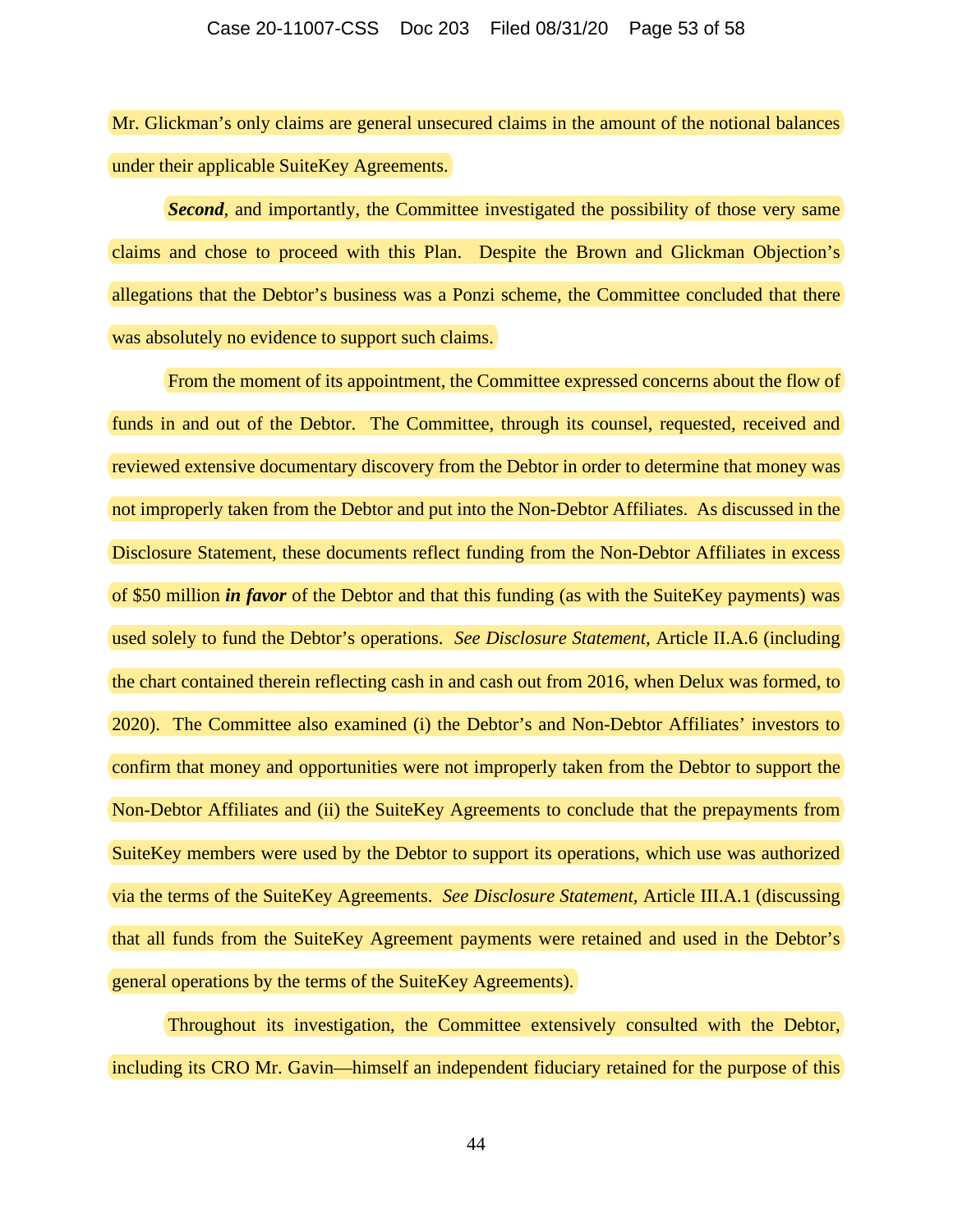#### Case 20-11007-CSS Doc 203 Filed 08/31/20 Page 53 of 58

Mr. Glickman's only claims are general unsecured claims in the amount of the notional balances under their applicable SuiteKey Agreements.

*Second*, and importantly, the Committee investigated the possibility of those very same claims and chose to proceed with this Plan. Despite the Brown and Glickman Objection's allegations that the Debtor's business was a Ponzi scheme, the Committee concluded that there was absolutely no evidence to support such claims.

From the moment of its appointment, the Committee expressed concerns about the flow of funds in and out of the Debtor. The Committee, through its counsel, requested, received and reviewed extensive documentary discovery from the Debtor in order to determine that money was not improperly taken from the Debtor and put into the Non-Debtor Affiliates. As discussed in the Disclosure Statement, these documents reflect funding from the Non-Debtor Affiliates in excess of \$50 million *in favor* of the Debtor and that this funding (as with the SuiteKey payments) was used solely to fund the Debtor's operations. *See Disclosure Statement,* Article II.A.6 (including the chart contained therein reflecting cash in and cash out from 2016, when Delux was formed, to 2020). The Committee also examined (i) the Debtor's and Non-Debtor Affiliates' investors to confirm that money and opportunities were not improperly taken from the Debtor to support the Non-Debtor Affiliates and (ii) the SuiteKey Agreements to conclude that the prepayments from SuiteKey members were used by the Debtor to support its operations, which use was authorized via the terms of the SuiteKey Agreements. *See Disclosure Statement,* Article III.A.1 (discussing that all funds from the SuiteKey Agreement payments were retained and used in the Debtor's general operations by the terms of the SuiteKey Agreements).

Throughout its investigation, the Committee extensively consulted with the Debtor, including its CRO Mr. Gavin—himself an independent fiduciary retained for the purpose of this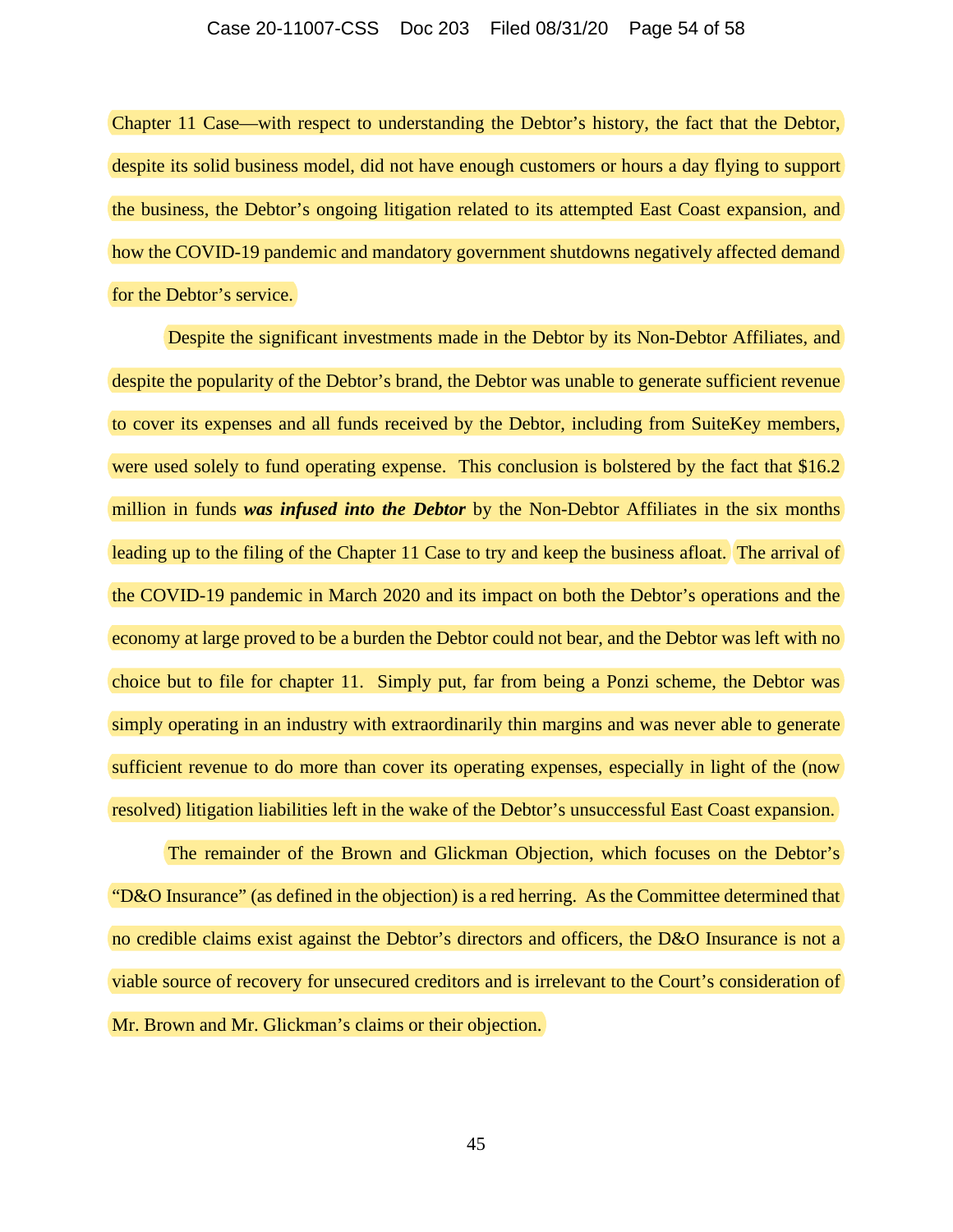Chapter 11 Case—with respect to understanding the Debtor's history, the fact that the Debtor, despite its solid business model, did not have enough customers or hours a day flying to support the business, the Debtor's ongoing litigation related to its attempted East Coast expansion, and how the COVID-19 pandemic and mandatory government shutdowns negatively affected demand for the Debtor's service.

Despite the significant investments made in the Debtor by its Non-Debtor Affiliates, and despite the popularity of the Debtor's brand, the Debtor was unable to generate sufficient revenue to cover its expenses and all funds received by the Debtor, including from SuiteKey members, were used solely to fund operating expense. This conclusion is bolstered by the fact that \$16.2 million in funds *was infused into the Debtor* by the Non-Debtor Affiliates in the six months leading up to the filing of the Chapter 11 Case to try and keep the business afloat. The arrival of the COVID-19 pandemic in March 2020 and its impact on both the Debtor's operations and the economy at large proved to be a burden the Debtor could not bear, and the Debtor was left with no choice but to file for chapter 11. Simply put, far from being a Ponzi scheme, the Debtor was simply operating in an industry with extraordinarily thin margins and was never able to generate sufficient revenue to do more than cover its operating expenses, especially in light of the (now resolved) litigation liabilities left in the wake of the Debtor's unsuccessful East Coast expansion.

The remainder of the Brown and Glickman Objection, which focuses on the Debtor's "D&O Insurance" (as defined in the objection) is a red herring. As the Committee determined that no credible claims exist against the Debtor's directors and officers, the D&O Insurance is not a viable source of recovery for unsecured creditors and is irrelevant to the Court's consideration of Mr. Brown and Mr. Glickman's claims or their objection.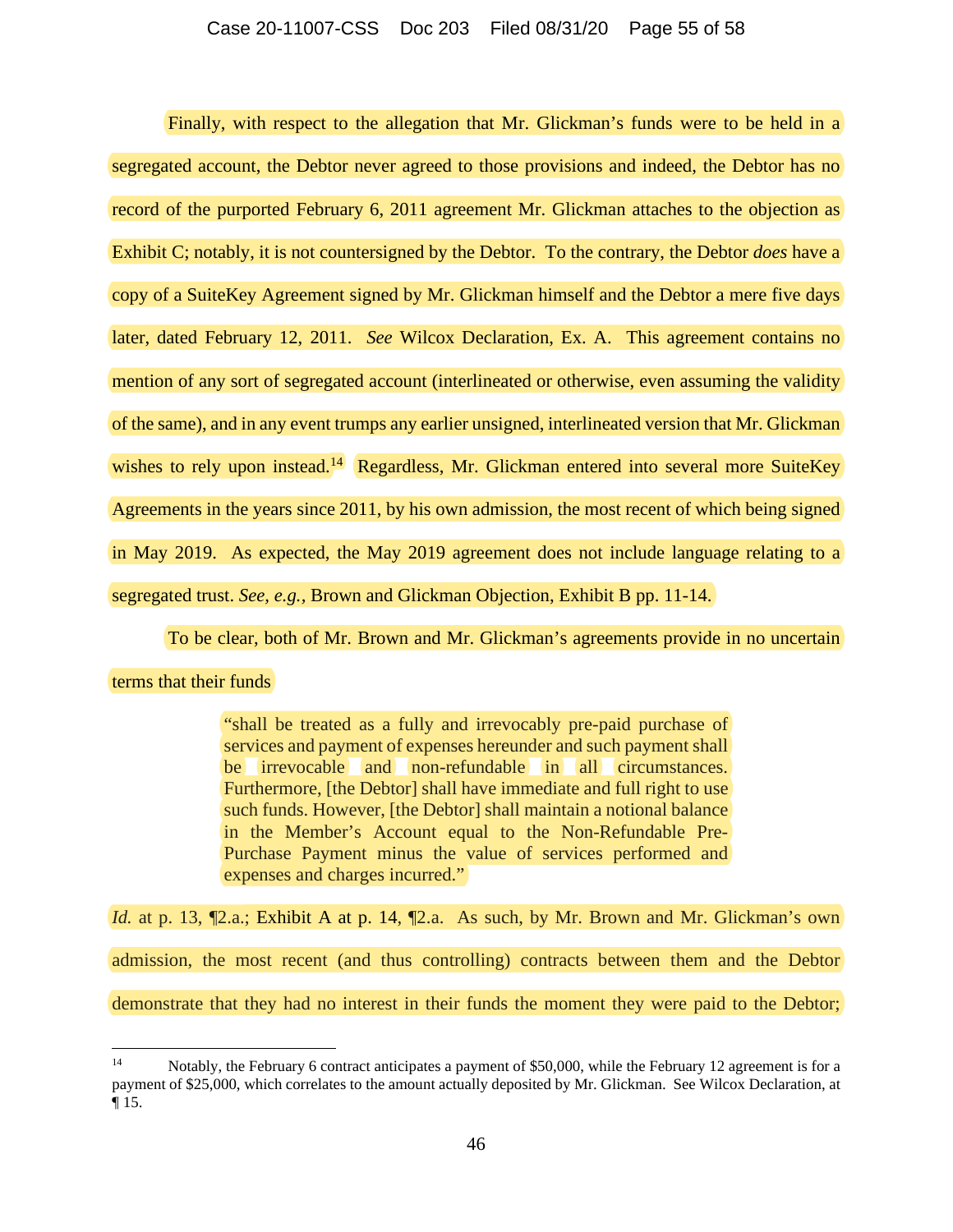Finally, with respect to the allegation that Mr. Glickman's funds were to be held in a segregated account, the Debtor never agreed to those provisions and indeed, the Debtor has no record of the purported February 6, 2011 agreement Mr. Glickman attaches to the objection as Exhibit C; notably, it is not countersigned by the Debtor. To the contrary, the Debtor *does* have a copy of a SuiteKey Agreement signed by Mr. Glickman himself and the Debtor a mere five days later, dated February 12, 2011. *See* Wilcox Declaration, Ex. A. This agreement contains no mention of any sort of segregated account (interlineated or otherwise, even assuming the validity of the same), and in any event trumps any earlier unsigned, interlineated version that Mr. Glickman wishes to rely upon instead.<sup>14</sup> Regardless, Mr. Glickman entered into several more SuiteKey Agreements in the years since 2011, by his own admission, the most recent of which being signed in May 2019. As expected, the May 2019 agreement does not include language relating to a segregated trust. *See, e.g.,* Brown and Glickman Objection, Exhibit B pp. 11-14.

To be clear, both of Mr. Brown and Mr. Glickman's agreements provide in no uncertain

#### terms that their funds

"shall be treated as a fully and irrevocably pre-paid purchase of services and payment of expenses hereunder and such payment shall be irrevocable and non-refundable in all circumstances. Furthermore, [the Debtor] shall have immediate and full right to use such funds. However, [the Debtor] shall maintain a notional balance in the Member's Account equal to the Non-Refundable Pre-Purchase Payment minus the value of services performed and expenses and charges incurred."

*Id.* at p. 13,  $\P$ 2.a.; Exhibit A at p. 14,  $\P$ 2.a. As such, by Mr. Brown and Mr. Glickman's own admission, the most recent (and thus controlling) contracts between them and the Debtor demonstrate that they had no interest in their funds the moment they were paid to the Debtor;

<sup>14</sup> Notably, the February 6 contract anticipates a payment of \$50,000, while the February 12 agreement is for a payment of \$25,000, which correlates to the amount actually deposited by Mr. Glickman. See Wilcox Declaration, at ¶ 15.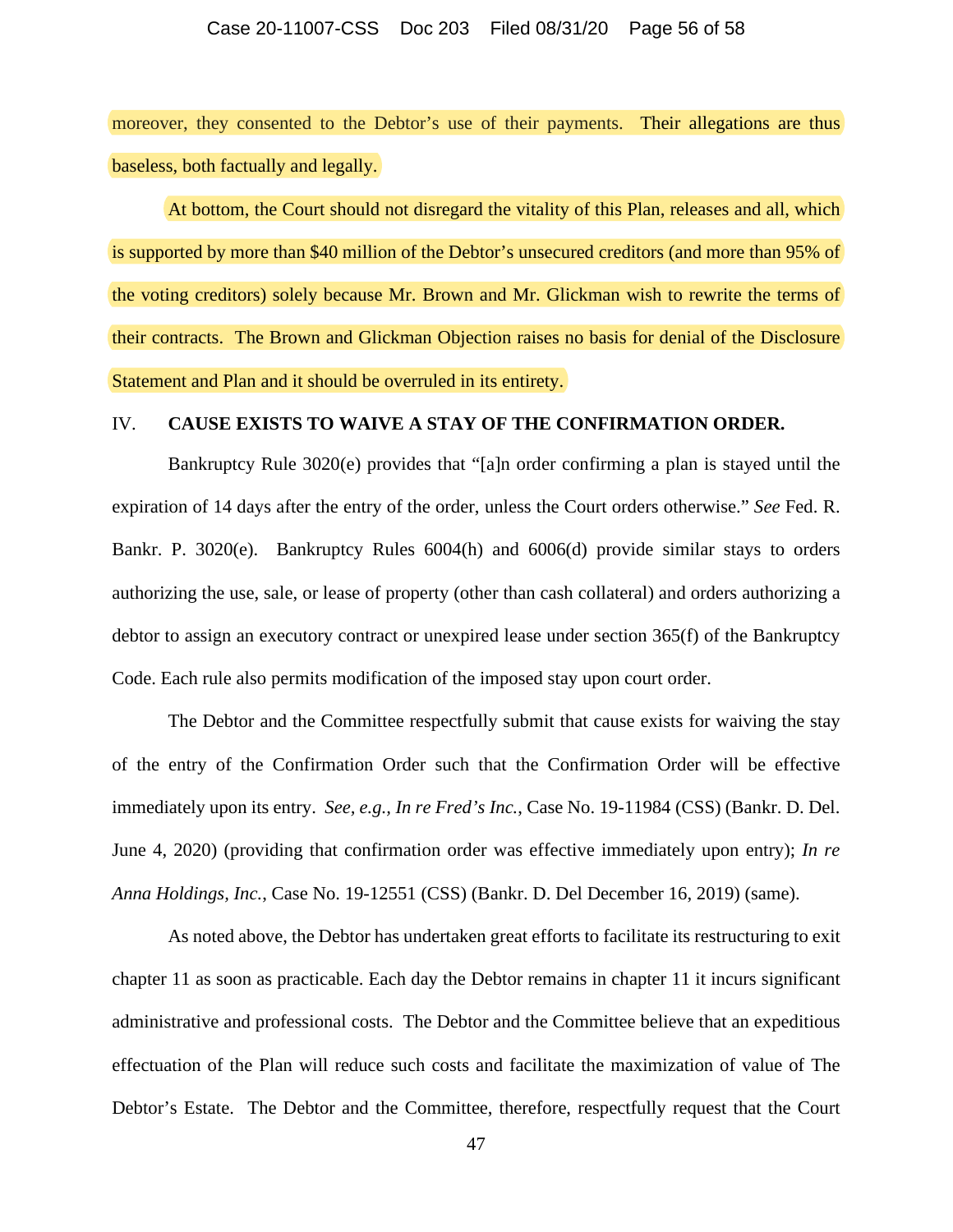#### Case 20-11007-CSS Doc 203 Filed 08/31/20 Page 56 of 58

moreover, they consented to the Debtor's use of their payments. Their allegations are thus baseless, both factually and legally.

At bottom, the Court should not disregard the vitality of this Plan, releases and all, which is supported by more than \$40 million of the Debtor's unsecured creditors (and more than 95% of the voting creditors) solely because Mr. Brown and Mr. Glickman wish to rewrite the terms of their contracts. The Brown and Glickman Objection raises no basis for denial of the Disclosure Statement and Plan and it should be overruled in its entirety.

# IV. **CAUSE EXISTS TO WAIVE A STAY OF THE CONFIRMATION ORDER.**

Bankruptcy Rule 3020(e) provides that "[a]n order confirming a plan is stayed until the expiration of 14 days after the entry of the order, unless the Court orders otherwise." *See* Fed. R. Bankr. P. 3020(e). Bankruptcy Rules 6004(h) and 6006(d) provide similar stays to orders authorizing the use, sale, or lease of property (other than cash collateral) and orders authorizing a debtor to assign an executory contract or unexpired lease under section 365(f) of the Bankruptcy Code. Each rule also permits modification of the imposed stay upon court order.

The Debtor and the Committee respectfully submit that cause exists for waiving the stay of the entry of the Confirmation Order such that the Confirmation Order will be effective immediately upon its entry. *See, e.g., In re Fred's Inc.*, Case No. 19-11984 (CSS) (Bankr. D. Del. June 4, 2020) (providing that confirmation order was effective immediately upon entry); *In re Anna Holdings, Inc.*, Case No. 19-12551 (CSS) (Bankr. D. Del December 16, 2019) (same).

As noted above, the Debtor has undertaken great efforts to facilitate its restructuring to exit chapter 11 as soon as practicable. Each day the Debtor remains in chapter 11 it incurs significant administrative and professional costs. The Debtor and the Committee believe that an expeditious effectuation of the Plan will reduce such costs and facilitate the maximization of value of The Debtor's Estate. The Debtor and the Committee, therefore, respectfully request that the Court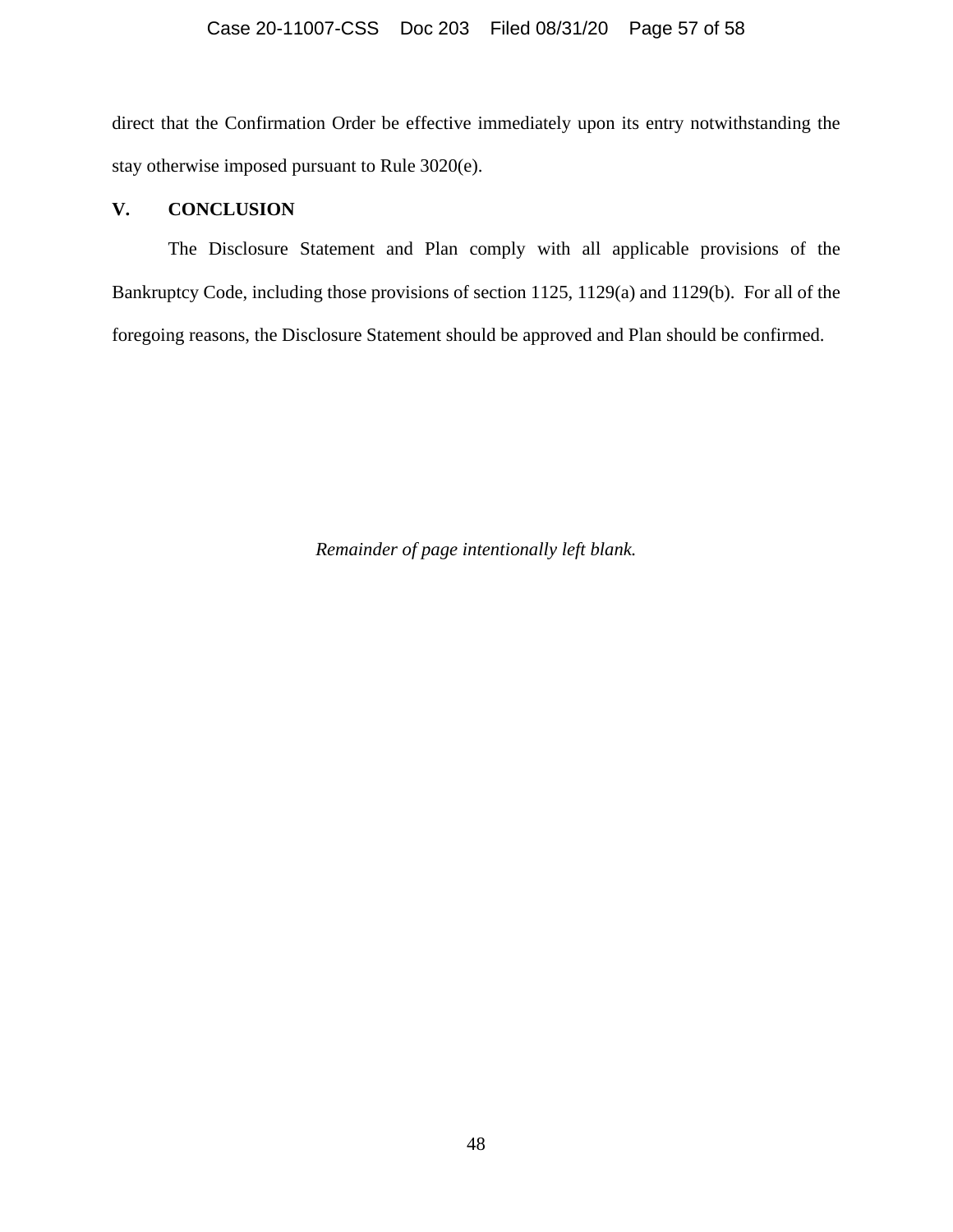direct that the Confirmation Order be effective immediately upon its entry notwithstanding the stay otherwise imposed pursuant to Rule 3020(e).

# **V. CONCLUSION**

The Disclosure Statement and Plan comply with all applicable provisions of the Bankruptcy Code, including those provisions of section 1125, 1129(a) and 1129(b). For all of the foregoing reasons, the Disclosure Statement should be approved and Plan should be confirmed.

*Remainder of page intentionally left blank.*